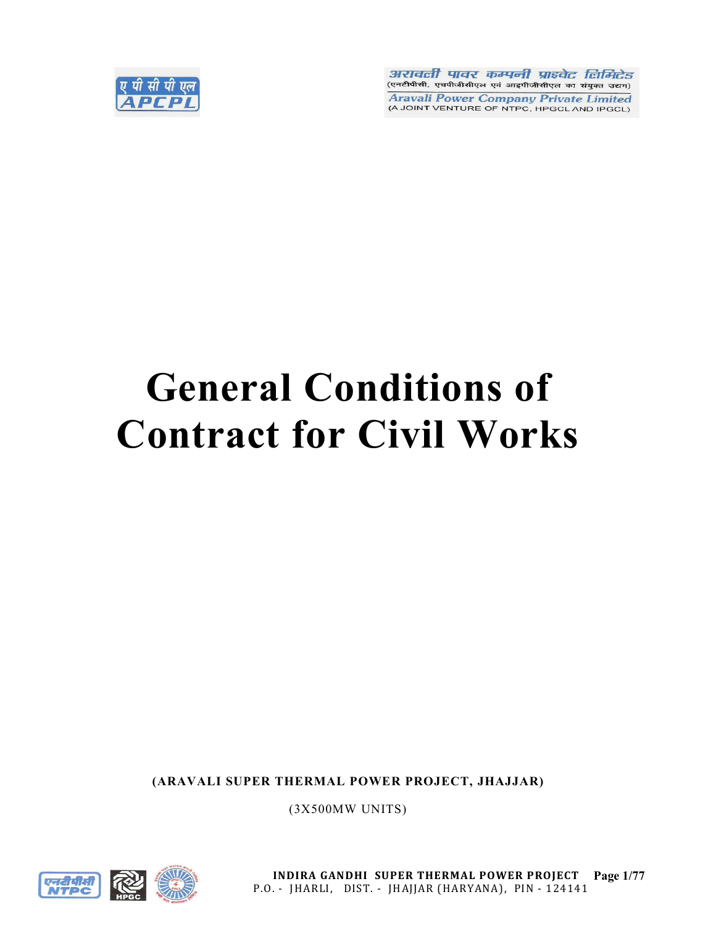

अरावली पावर कम्पनी प्राइवेट लिमिटेड (एनटीपीसी, एचपीजीसीएल एवं आइपीजीसीएल का संयुक्त उद्यम) **Aravali Power Company Private Limited** (A JOINT VENTURE OF NTPC, HPGCL AND IPGCL)

# General Conditions of Contract for Civil Works

(ARAVALI SUPER THERMAL POWER PROJECT, JHAJJAR)

(3X500MW UNITS)



INDIRA GANDHI SUPER THERMAL POWER PROJECT Page 1/77 P.O. - JHARLI, DIST. - JHAJJAR (HARYANA), PIN - 124141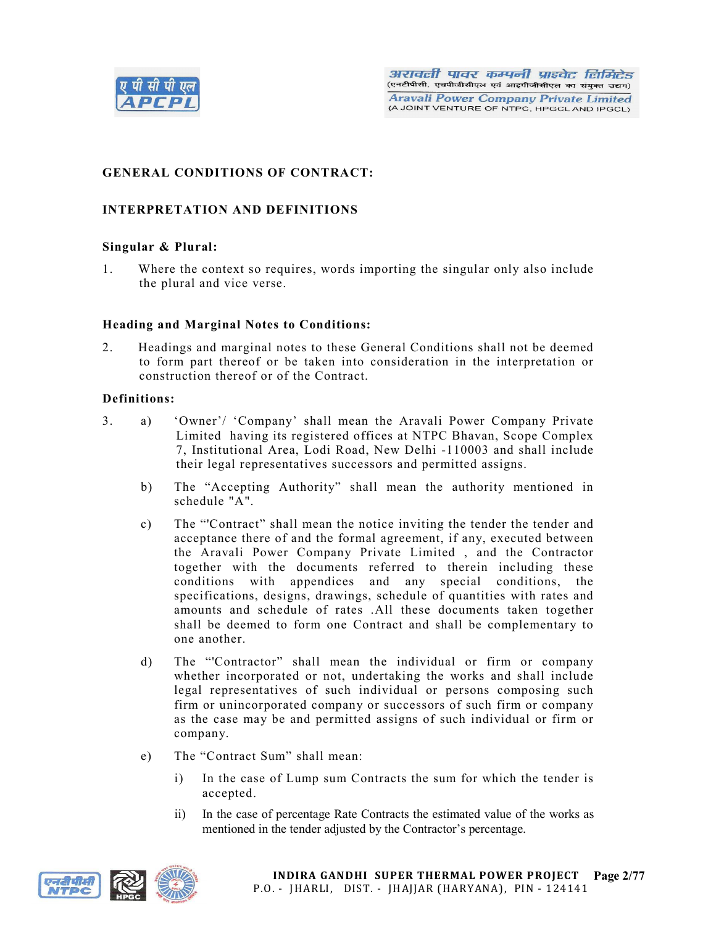

# GENERAL CONDITIONS OF CONTRACT:

# INTERPRETATION AND DEFINITIONS

## Singular & Plural:

1. Where the context so requires, words importing the singular only also include the plural and vice verse.

#### Heading and Marginal Notes to Conditions:

2. Headings and marginal notes to these General Conditions shall not be deemed to form part thereof or be taken into consideration in the interpretation or construction thereof or of the Contract.

#### Definitions:

- 3. a) 'Owner'/ 'Company' shall mean the Aravali Power Company Private Limited having its registered offices at NTPC Bhavan, Scope Complex 7, Institutional Area, Lodi Road, New Delhi -110003 and shall include their legal representatives successors and permitted assigns.
	- b) The "Accepting Authority" shall mean the authority mentioned in schedule "A".
	- c) The "'Contract" shall mean the notice inviting the tender the tender and acceptance there of and the formal agreement, if any, executed between the Aravali Power Company Private Limited , and the Contractor together with the documents referred to therein including these conditions with appendices and any special conditions, the specifications, designs, drawings, schedule of quantities with rates and amounts and schedule of rates .All these documents taken together shall be deemed to form one Contract and shall be complementary to one another.
	- d) The "'Contractor" shall mean the individual or firm or company whether incorporated or not, undertaking the works and shall include legal representatives of such individual or persons composing such firm or unincorporated company or successors of such firm or company as the case may be and permitted assigns of such individual or firm or company.
	- e) The "Contract Sum" shall mean:
		- i) In the case of Lump sum Contracts the sum for which the tender is accepted.
		- ii) In the case of percentage Rate Contracts the estimated value of the works as mentioned in the tender adjusted by the Contractor's percentage.

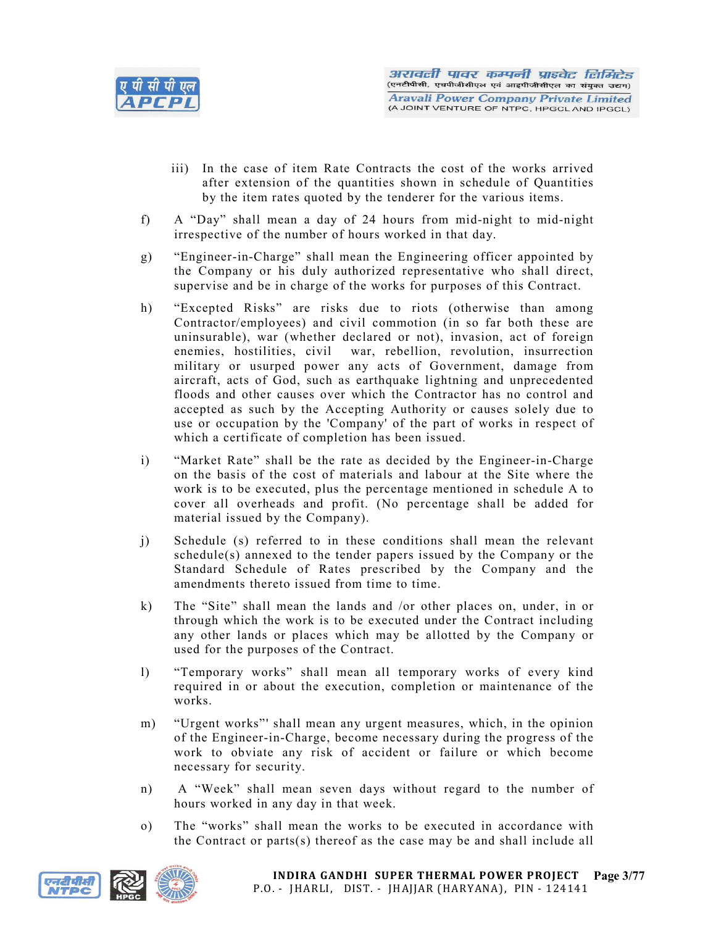

- iii) In the case of item Rate Contracts the cost of the works arrived after extension of the quantities shown in schedule of Quantities by the item rates quoted by the tenderer for the various items.
- f) A "Day" shall mean a day of 24 hours from mid-night to mid-night irrespective of the number of hours worked in that day.
- g) "Engineer-in-Charge" shall mean the Engineering officer appointed by the Company or his duly authorized representative who shall direct, supervise and be in charge of the works for purposes of this Contract.
- h) "Excepted Risks" are risks due to riots (otherwise than among Contractor/employees) and civil commotion (in so far both these are uninsurable), war (whether declared or not), invasion, act of foreign enemies, hostilities, civil war, rebellion, revolution, insurrection military or usurped power any acts of Government, damage from aircraft, acts of God, such as earthquake lightning and unprecedented floods and other causes over which the Contractor has no control and accepted as such by the Accepting Authority or causes solely due to use or occupation by the 'Company' of the part of works in respect of which a certificate of completion has been issued.
- i) "Market Rate" shall be the rate as decided by the Engineer-in-Charge on the basis of the cost of materials and labour at the Site where the work is to be executed, plus the percentage mentioned in schedule A to cover all overheads and profit. (No percentage shall be added for material issued by the Company).
- j) Schedule (s) referred to in these conditions shall mean the relevant schedule(s) annexed to the tender papers issued by the Company or the Standard Schedule of Rates prescribed by the Company and the amendments thereto issued from time to time.
- k) The "Site" shall mean the lands and /or other places on, under, in or through which the work is to be executed under the Contract including any other lands or places which may be allotted by the Company or used for the purposes of the Contract.
- l) "Temporary works" shall mean all temporary works of every kind required in or about the execution, completion or maintenance of the works.
- m) "Urgent works"' shall mean any urgent measures, which, in the opinion of the Engineer-in-Charge, become necessary during the progress of the work to obviate any risk of accident or failure or which become necessary for security.
- n) A "Week" shall mean seven days without regard to the number of hours worked in any day in that week.
- o) The "works" shall mean the works to be executed in accordance with the Contract or parts(s) thereof as the case may be and shall include all

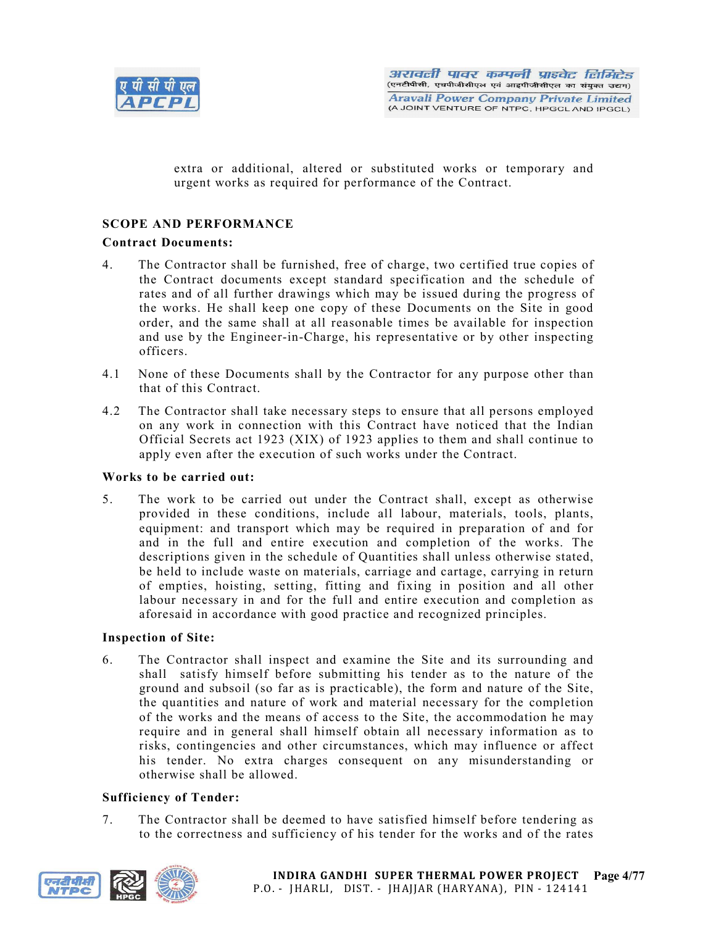

extra or additional, altered or substituted works or temporary and urgent works as required for performance of the Contract.

## SCOPE AND PERFORMANCE

#### Contract Documents:

- 4. The Contractor shall be furnished, free of charge, two certified true copies of the Contract documents except standard specification and the schedule of rates and of all further drawings which may be issued during the progress of the works. He shall keep one copy of these Documents on the Site in good order, and the same shall at all reasonable times be available for inspection and use by the Engineer-in-Charge, his representative or by other inspecting officers.
- 4.1 None of these Documents shall by the Contractor for any purpose other than that of this Contract.
- 4.2 The Contractor shall take necessary steps to ensure that all persons employed on any work in connection with this Contract have noticed that the Indian Official Secrets act 1923 (XIX) of 1923 applies to them and shall continue to apply even after the execution of such works under the Contract.

## Works to be carried out:

5. The work to be carried out under the Contract shall, except as otherwise provided in these conditions, include all labour, materials, tools, plants, equipment: and transport which may be required in preparation of and for and in the full and entire execution and completion of the works. The descriptions given in the schedule of Quantities shall unless otherwise stated, be held to include waste on materials, carriage and cartage, carrying in return of empties, hoisting, setting, fitting and fixing in position and all other labour necessary in and for the full and entire execution and completion as aforesaid in accordance with good practice and recognized principles.

## Inspection of Site:

6. The Contractor shall inspect and examine the Site and its surrounding and shall satisfy himself before submitting his tender as to the nature of the ground and subsoil (so far as is practicable), the form and nature of the Site, the quantities and nature of work and material necessary for the completion of the works and the means of access to the Site, the accommodation he may require and in general shall himself obtain all necessary information as to risks, contingencies and other circumstances, which may influence or affect his tender. No extra charges consequent on any misunderstanding or otherwise shall be allowed.

## Sufficiency of Tender:

7. The Contractor shall be deemed to have satisfied himself before tendering as to the correctness and sufficiency of his tender for the works and of the rates

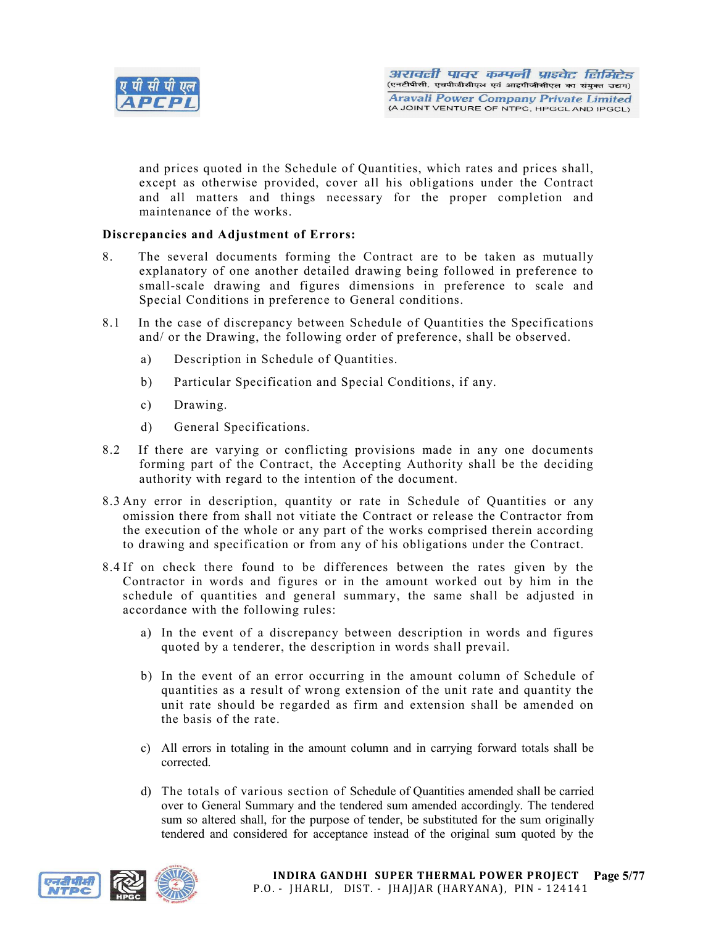

and prices quoted in the Schedule of Quantities, which rates and prices shall, except as otherwise provided, cover all his obligations under the Contract and all matters and things necessary for the proper completion and maintenance of the works.

## Discrepancies and Adjustment of Errors:

- 8. The several documents forming the Contract are to be taken as mutually explanatory of one another detailed drawing being followed in preference to small-scale drawing and figures dimensions in preference to scale and Special Conditions in preference to General conditions.
- 8.1 In the case of discrepancy between Schedule of Quantities the Specifications and/ or the Drawing, the following order of preference, shall be observed.
	- a) Description in Schedule of Quantities.
	- b) Particular Specification and Special Conditions, if any.
	- c) Drawing.
	- d) General Specifications.
- 8.2 If there are varying or conflicting provisions made in any one documents forming part of the Contract, the Accepting Authority shall be the deciding authority with regard to the intention of the document.
- 8.3 Any error in description, quantity or rate in Schedule of Quantities or any omission there from shall not vitiate the Contract or release the Contractor from the execution of the whole or any part of the works comprised therein according to drawing and specification or from any of his obligations under the Contract.
- 8.4 If on check there found to be differences between the rates given by the Contractor in words and figures or in the amount worked out by him in the schedule of quantities and general summary, the same shall be adjusted in accordance with the following rules:
	- a) In the event of a discrepancy between description in words and figures quoted by a tenderer, the description in words shall prevail.
	- b) In the event of an error occurring in the amount column of Schedule of quantities as a result of wrong extension of the unit rate and quantity the unit rate should be regarded as firm and extension shall be amended on the basis of the rate.
	- c) All errors in totaling in the amount column and in carrying forward totals shall be corrected.
	- d) The totals of various section of Schedule of Quantities amended shall be carried over to General Summary and the tendered sum amended accordingly. The tendered sum so altered shall, for the purpose of tender, be substituted for the sum originally tendered and considered for acceptance instead of the original sum quoted by the



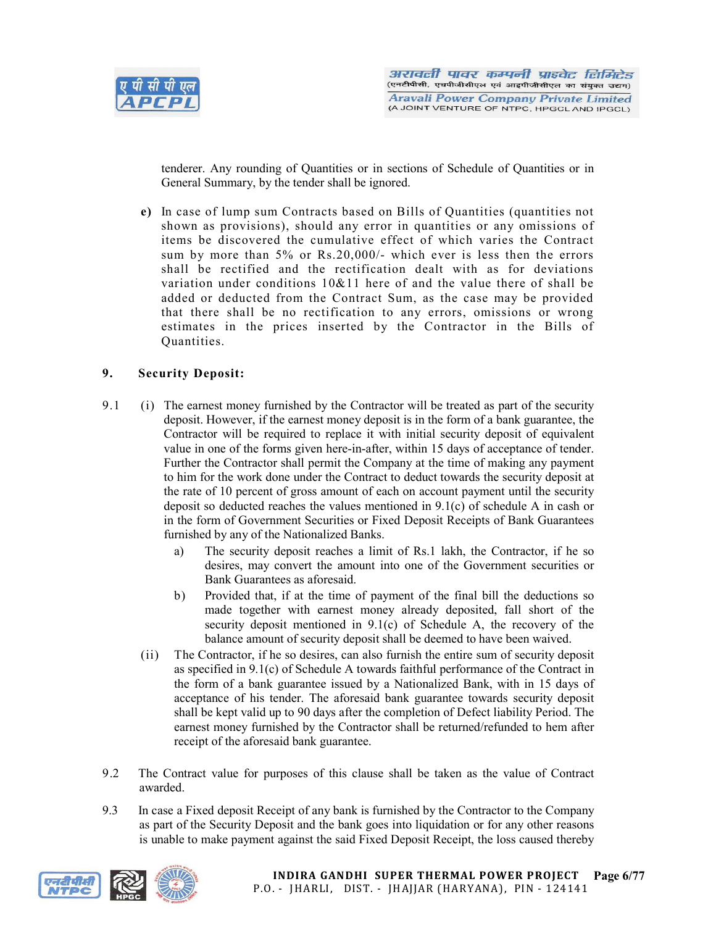

tenderer. Any rounding of Quantities or in sections of Schedule of Quantities or in General Summary, by the tender shall be ignored.

e) In case of lump sum Contracts based on Bills of Quantities (quantities not shown as provisions), should any error in quantities or any omissions of items be discovered the cumulative effect of which varies the Contract sum by more than 5% or Rs.20,000/- which ever is less then the errors shall be rectified and the rectification dealt with as for deviations variation under conditions 10&11 here of and the value there of shall be added or deducted from the Contract Sum, as the case may be provided that there shall be no rectification to any errors, omissions or wrong estimates in the prices inserted by the Contractor in the Bills of Quantities.

## 9. Security Deposit:

- 9.1 (i) The earnest money furnished by the Contractor will be treated as part of the security deposit. However, if the earnest money deposit is in the form of a bank guarantee, the Contractor will be required to replace it with initial security deposit of equivalent value in one of the forms given here-in-after, within 15 days of acceptance of tender. Further the Contractor shall permit the Company at the time of making any payment to him for the work done under the Contract to deduct towards the security deposit at the rate of 10 percent of gross amount of each on account payment until the security deposit so deducted reaches the values mentioned in 9.1(c) of schedule A in cash or in the form of Government Securities or Fixed Deposit Receipts of Bank Guarantees furnished by any of the Nationalized Banks.
	- a) The security deposit reaches a limit of Rs.1 lakh, the Contractor, if he so desires, may convert the amount into one of the Government securities or Bank Guarantees as aforesaid.
	- b) Provided that, if at the time of payment of the final bill the deductions so made together with earnest money already deposited, fall short of the security deposit mentioned in 9.1(c) of Schedule A, the recovery of the balance amount of security deposit shall be deemed to have been waived.
	- (ii) The Contractor, if he so desires, can also furnish the entire sum of security deposit as specified in 9.1(c) of Schedule A towards faithful performance of the Contract in the form of a bank guarantee issued by a Nationalized Bank, with in 15 days of acceptance of his tender. The aforesaid bank guarantee towards security deposit shall be kept valid up to 90 days after the completion of Defect liability Period. The earnest money furnished by the Contractor shall be returned/refunded to hem after receipt of the aforesaid bank guarantee.
- 9.2 The Contract value for purposes of this clause shall be taken as the value of Contract awarded.
- 9.3 In case a Fixed deposit Receipt of any bank is furnished by the Contractor to the Company as part of the Security Deposit and the bank goes into liquidation or for any other reasons is unable to make payment against the said Fixed Deposit Receipt, the loss caused thereby

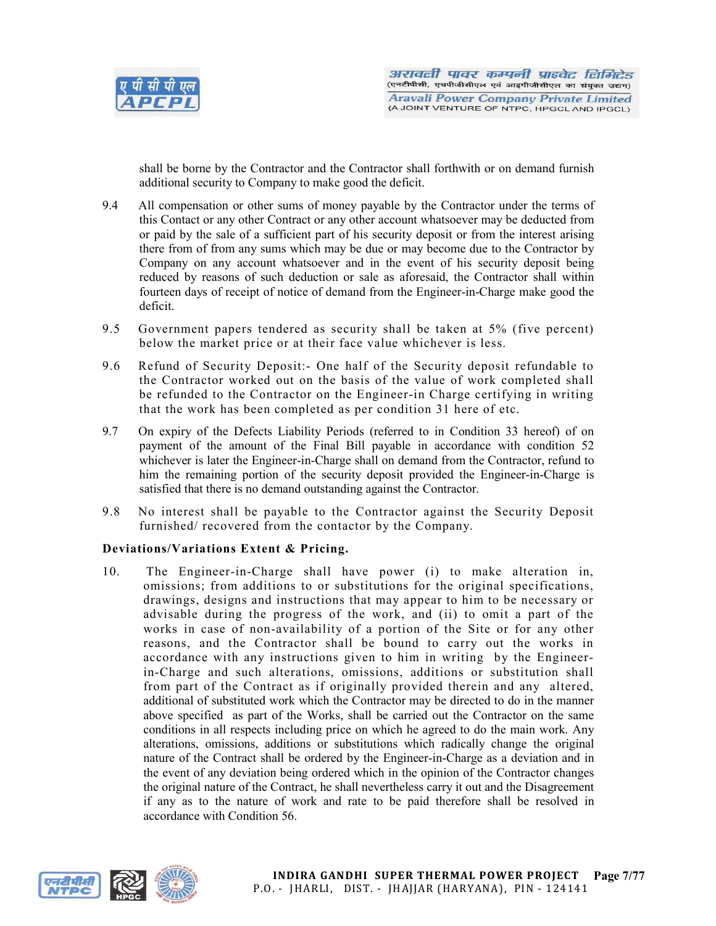

shall be borne by the Contractor and the Contractor shall forthwith or on demand furnish additional security to Company to make good the deficit.

- 9.4 All compensation or other sums of money payable by the Contractor under the terms of this Contact or any other Contract or any other account whatsoever may be deducted from or paid by the sale of a sufficient part of his security deposit or from the interest arising there from of from any sums which may be due or may become due to the Contractor by Company on any account whatsoever and in the event of his security deposit being reduced by reasons of such deduction or sale as aforesaid, the Contractor shall within fourteen days of receipt of notice of demand from the Engineer-in-Charge make good the deficit.
- 9.5 Government papers tendered as security shall be taken at 5% (five percent) below the market price or at their face value whichever is less.
- 9.6 Refund of Security Deposit:- One half of the Security deposit refundable to the Contractor worked out on the basis of the value of work completed shall be refunded to the Contractor on the Engineer-in Charge certifying in writing that the work has been completed as per condition 31 here of etc.
- 9.7 On expiry of the Defects Liability Periods (referred to in Condition 33 hereof) of on payment of the amount of the Final Bill payable in accordance with condition 52 whichever is later the Engineer-in-Charge shall on demand from the Contractor, refund to him the remaining portion of the security deposit provided the Engineer-in-Charge is satisfied that there is no demand outstanding against the Contractor.
- 9.8 No interest shall be payable to the Contractor against the Security Deposit furnished/ recovered from the contactor by the Company.

# Deviations/Variations Extent & Pricing.

10. The Engineer-in-Charge shall have power (i) to make alteration in, omissions; from additions to or substitutions for the original specifications, drawings, designs and instructions that may appear to him to be necessary or advisable during the progress of the work, and (ii) to omit a part of the works in case of non-availability of a portion of the Site or for any other reasons, and the Contractor shall be bound to carry out the works in accordance with any instructions given to him in writing by the Engineerin-Charge and such alterations, omissions, additions or substitution shall from part of the Contract as if originally provided therein and any altered, additional of substituted work which the Contractor may be directed to do in the manner above specified as part of the Works, shall be carried out the Contractor on the same conditions in all respects including price on which he agreed to do the main work. Any alterations, omissions, additions or substitutions which radically change the original nature of the Contract shall be ordered by the Engineer-in-Charge as a deviation and in the event of any deviation being ordered which in the opinion of the Contractor changes the original nature of the Contract, he shall nevertheless carry it out and the Disagreement if any as to the nature of work and rate to be paid therefore shall be resolved in accordance with Condition 56.

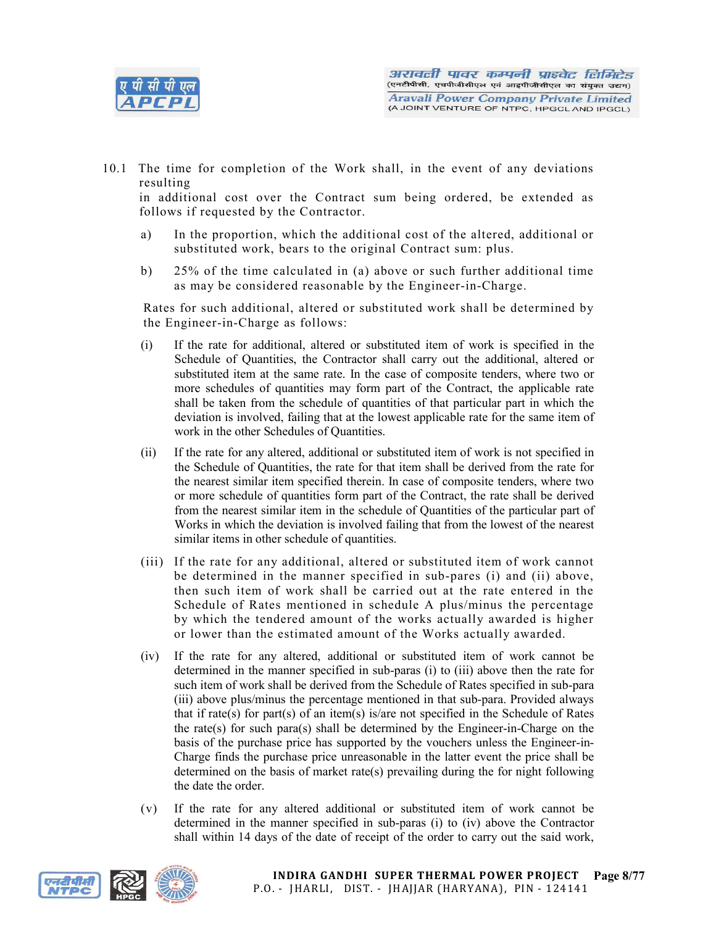

10.1 The time for completion of the Work shall, in the event of any deviations resulting

in additional cost over the Contract sum being ordered, be extended as follows if requested by the Contractor.

- a) In the proportion, which the additional cost of the altered, additional or substituted work, bears to the original Contract sum: plus.
- b) 25% of the time calculated in (a) above or such further additional time as may be considered reasonable by the Engineer-in-Charge.

Rates for such additional, altered or substituted work shall be determined by the Engineer-in-Charge as follows:

- (i) If the rate for additional, altered or substituted item of work is specified in the Schedule of Quantities, the Contractor shall carry out the additional, altered or substituted item at the same rate. In the case of composite tenders, where two or more schedules of quantities may form part of the Contract, the applicable rate shall be taken from the schedule of quantities of that particular part in which the deviation is involved, failing that at the lowest applicable rate for the same item of work in the other Schedules of Quantities.
- (ii) If the rate for any altered, additional or substituted item of work is not specified in the Schedule of Quantities, the rate for that item shall be derived from the rate for the nearest similar item specified therein. In case of composite tenders, where two or more schedule of quantities form part of the Contract, the rate shall be derived from the nearest similar item in the schedule of Quantities of the particular part of Works in which the deviation is involved failing that from the lowest of the nearest similar items in other schedule of quantities.
- (iii) If the rate for any additional, altered or substituted item of work cannot be determined in the manner specified in sub-pares (i) and (ii) above, then such item of work shall be carried out at the rate entered in the Schedule of Rates mentioned in schedule A plus/minus the percentage by which the tendered amount of the works actually awarded is higher or lower than the estimated amount of the Works actually awarded.
- (iv) If the rate for any altered, additional or substituted item of work cannot be determined in the manner specified in sub-paras (i) to (iii) above then the rate for such item of work shall be derived from the Schedule of Rates specified in sub-para (iii) above plus/minus the percentage mentioned in that sub-para. Provided always that if rate(s) for part(s) of an item(s) is/are not specified in the Schedule of Rates the rate(s) for such para(s) shall be determined by the Engineer-in-Charge on the basis of the purchase price has supported by the vouchers unless the Engineer-in-Charge finds the purchase price unreasonable in the latter event the price shall be determined on the basis of market rate(s) prevailing during the for night following the date the order.
- (v) If the rate for any altered additional or substituted item of work cannot be determined in the manner specified in sub-paras (i) to (iv) above the Contractor shall within 14 days of the date of receipt of the order to carry out the said work,

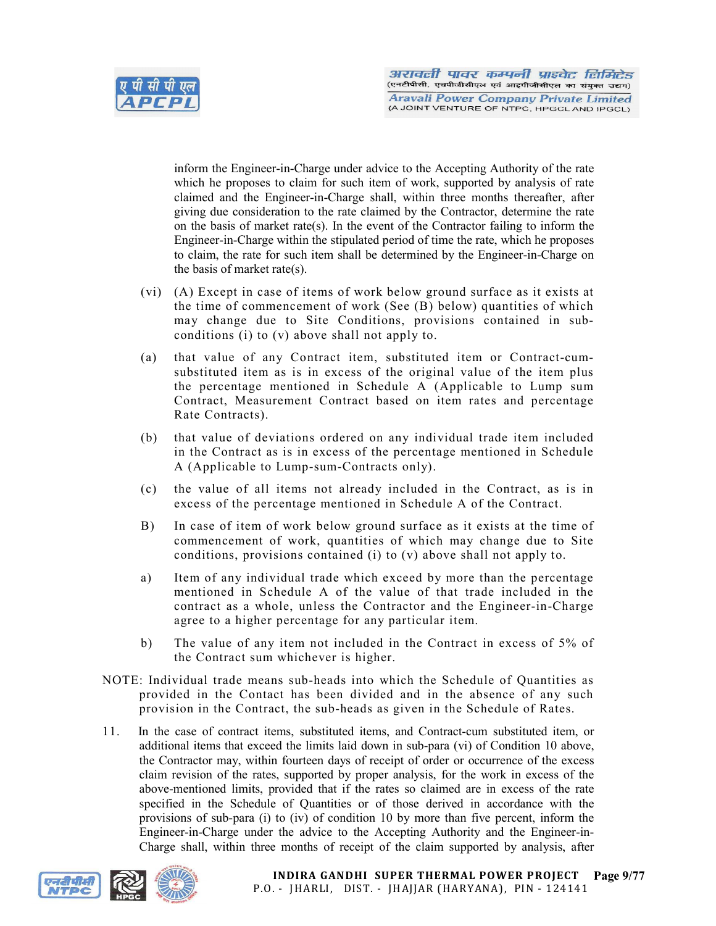

inform the Engineer-in-Charge under advice to the Accepting Authority of the rate which he proposes to claim for such item of work, supported by analysis of rate claimed and the Engineer-in-Charge shall, within three months thereafter, after giving due consideration to the rate claimed by the Contractor, determine the rate on the basis of market rate(s). In the event of the Contractor failing to inform the Engineer-in-Charge within the stipulated period of time the rate, which he proposes to claim, the rate for such item shall be determined by the Engineer-in-Charge on the basis of market rate(s).

- (vi) (A) Except in case of items of work below ground surface as it exists at the time of commencement of work (See (B) below) quantities of which may change due to Site Conditions, provisions contained in subconditions (i) to (v) above shall not apply to.
- (a) that value of any Contract item, substituted item or Contract-cumsubstituted item as is in excess of the original value of the item plus the percentage mentioned in Schedule A (Applicable to Lump sum Contract, Measurement Contract based on item rates and percentage Rate Contracts).
- (b) that value of deviations ordered on any individual trade item included in the Contract as is in excess of the percentage mentioned in Schedule A (Applicable to Lump-sum-Contracts only).
- (c) the value of all items not already included in the Contract, as is in excess of the percentage mentioned in Schedule A of the Contract.
- B) In case of item of work below ground surface as it exists at the time of commencement of work, quantities of which may change due to Site conditions, provisions contained (i) to (v) above shall not apply to.
- a) Item of any individual trade which exceed by more than the percentage mentioned in Schedule A of the value of that trade included in the contract as a whole, unless the Contractor and the Engineer-in-Charge agree to a higher percentage for any particular item.
- b) The value of any item not included in the Contract in excess of 5% of the Contract sum whichever is higher.
- NOTE: Individual trade means sub-heads into which the Schedule of Quantities as provided in the Contact has been divided and in the absence of any such provision in the Contract, the sub-heads as given in the Schedule of Rates.
- 11. In the case of contract items, substituted items, and Contract-cum substituted item, or additional items that exceed the limits laid down in sub-para (vi) of Condition 10 above, the Contractor may, within fourteen days of receipt of order or occurrence of the excess claim revision of the rates, supported by proper analysis, for the work in excess of the above-mentioned limits, provided that if the rates so claimed are in excess of the rate specified in the Schedule of Quantities or of those derived in accordance with the provisions of sub-para (i) to (iv) of condition 10 by more than five percent, inform the Engineer-in-Charge under the advice to the Accepting Authority and the Engineer-in-Charge shall, within three months of receipt of the claim supported by analysis, after

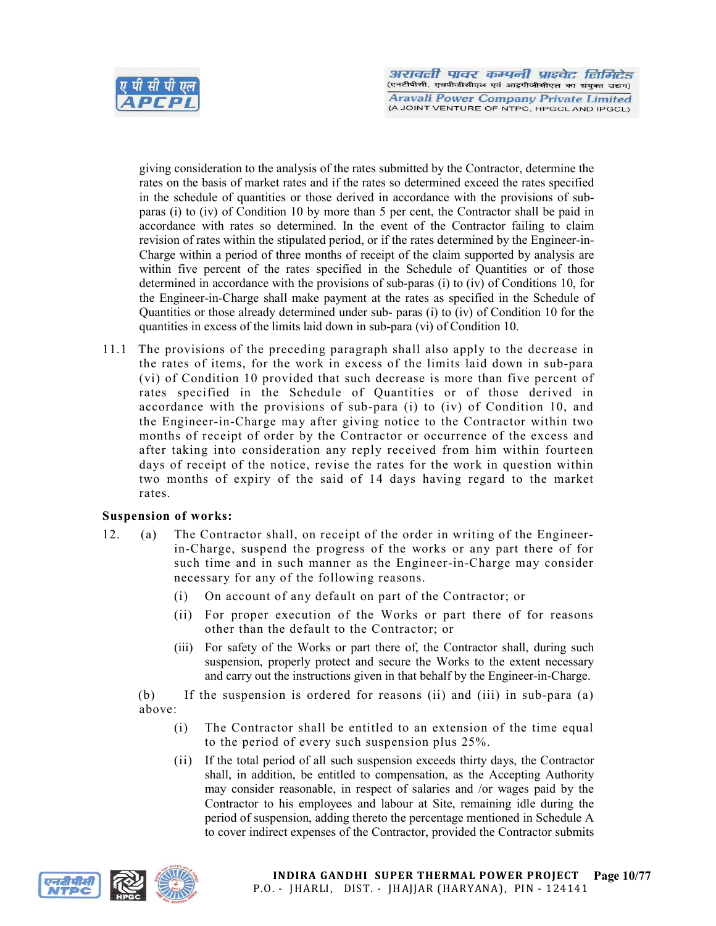

giving consideration to the analysis of the rates submitted by the Contractor, determine the rates on the basis of market rates and if the rates so determined exceed the rates specified in the schedule of quantities or those derived in accordance with the provisions of subparas (i) to (iv) of Condition 10 by more than 5 per cent, the Contractor shall be paid in accordance with rates so determined. In the event of the Contractor failing to claim revision of rates within the stipulated period, or if the rates determined by the Engineer-in-Charge within a period of three months of receipt of the claim supported by analysis are within five percent of the rates specified in the Schedule of Quantities or of those determined in accordance with the provisions of sub-paras (i) to (iv) of Conditions 10, for the Engineer-in-Charge shall make payment at the rates as specified in the Schedule of Quantities or those already determined under sub- paras (i) to (iv) of Condition 10 for the quantities in excess of the limits laid down in sub-para (vi) of Condition 10.

11.1 The provisions of the preceding paragraph shall also apply to the decrease in the rates of items, for the work in excess of the limits laid down in sub-para (vi) of Condition 10 provided that such decrease is more than five percent of rates specified in the Schedule of Quantities or of those derived in accordance with the provisions of sub-para (i) to (iv) of Condition 10, and the Engineer-in-Charge may after giving notice to the Contractor within two months of receipt of order by the Contractor or occurrence of the excess and after taking into consideration any reply received from him within fourteen days of receipt of the notice, revise the rates for the work in question within two months of expiry of the said of 14 days having regard to the market rates.

## Suspension of works:

- 12. (a) The Contractor shall, on receipt of the order in writing of the Engineerin-Charge, suspend the progress of the works or any part there of for such time and in such manner as the Engineer-in-Charge may consider necessary for any of the following reasons.
	- (i) On account of any default on part of the Contractor; or
	- (ii) For proper execution of the Works or part there of for reasons other than the default to the Contractor; or
	- (iii) For safety of the Works or part there of, the Contractor shall, during such suspension, properly protect and secure the Works to the extent necessary and carry out the instructions given in that behalf by the Engineer-in-Charge.

(b) If the suspension is ordered for reasons (ii) and (iii) in sub-para (a) above:

- (i) The Contractor shall be entitled to an extension of the time equal to the period of every such suspension plus 25%.
- (ii) If the total period of all such suspension exceeds thirty days, the Contractor shall, in addition, be entitled to compensation, as the Accepting Authority may consider reasonable, in respect of salaries and /or wages paid by the Contractor to his employees and labour at Site, remaining idle during the period of suspension, adding thereto the percentage mentioned in Schedule A to cover indirect expenses of the Contractor, provided the Contractor submits

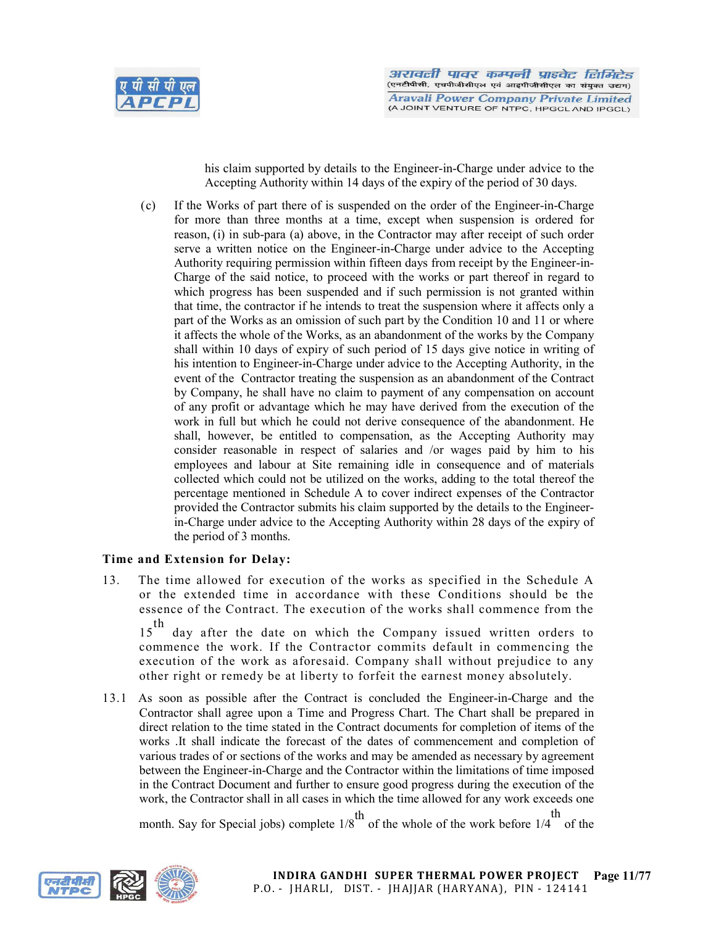

his claim supported by details to the Engineer-in-Charge under advice to the Accepting Authority within 14 days of the expiry of the period of 30 days.

(c) If the Works of part there of is suspended on the order of the Engineer-in-Charge for more than three months at a time, except when suspension is ordered for reason, (i) in sub-para (a) above, in the Contractor may after receipt of such order serve a written notice on the Engineer-in-Charge under advice to the Accepting Authority requiring permission within fifteen days from receipt by the Engineer-in-Charge of the said notice, to proceed with the works or part thereof in regard to which progress has been suspended and if such permission is not granted within that time, the contractor if he intends to treat the suspension where it affects only a part of the Works as an omission of such part by the Condition 10 and 11 or where it affects the whole of the Works, as an abandonment of the works by the Company shall within 10 days of expiry of such period of 15 days give notice in writing of his intention to Engineer-in-Charge under advice to the Accepting Authority, in the event of the Contractor treating the suspension as an abandonment of the Contract by Company, he shall have no claim to payment of any compensation on account of any profit or advantage which he may have derived from the execution of the work in full but which he could not derive consequence of the abandonment. He shall, however, be entitled to compensation, as the Accepting Authority may consider reasonable in respect of salaries and /or wages paid by him to his employees and labour at Site remaining idle in consequence and of materials collected which could not be utilized on the works, adding to the total thereof the percentage mentioned in Schedule A to cover indirect expenses of the Contractor provided the Contractor submits his claim supported by the details to the Engineerin-Charge under advice to the Accepting Authority within 28 days of the expiry of the period of 3 months.

## Time and Extension for Delay:

13. The time allowed for execution of the works as specified in the Schedule A or the extended time in accordance with these Conditions should be the essence of the Contract. The execution of the works shall commence from the

15<sup>th</sup> day after the date on which the Company issued written orders to commence the work. If the Contractor commits default in commencing the execution of the work as aforesaid. Company shall without prejudice to any other right or remedy be at liberty to forfeit the earnest money absolutely.

13.1 As soon as possible after the Contract is concluded the Engineer-in-Charge and the Contractor shall agree upon a Time and Progress Chart. The Chart shall be prepared in direct relation to the time stated in the Contract documents for completion of items of the works .It shall indicate the forecast of the dates of commencement and completion of various trades of or sections of the works and may be amended as necessary by agreement between the Engineer-in-Charge and the Contractor within the limitations of time imposed in the Contract Document and further to ensure good progress during the execution of the work, the Contractor shall in all cases in which the time allowed for any work exceeds one th

month. Say for Special jobs) complete  $1/8^{th}$  of the whole of the work before 1/4 of the

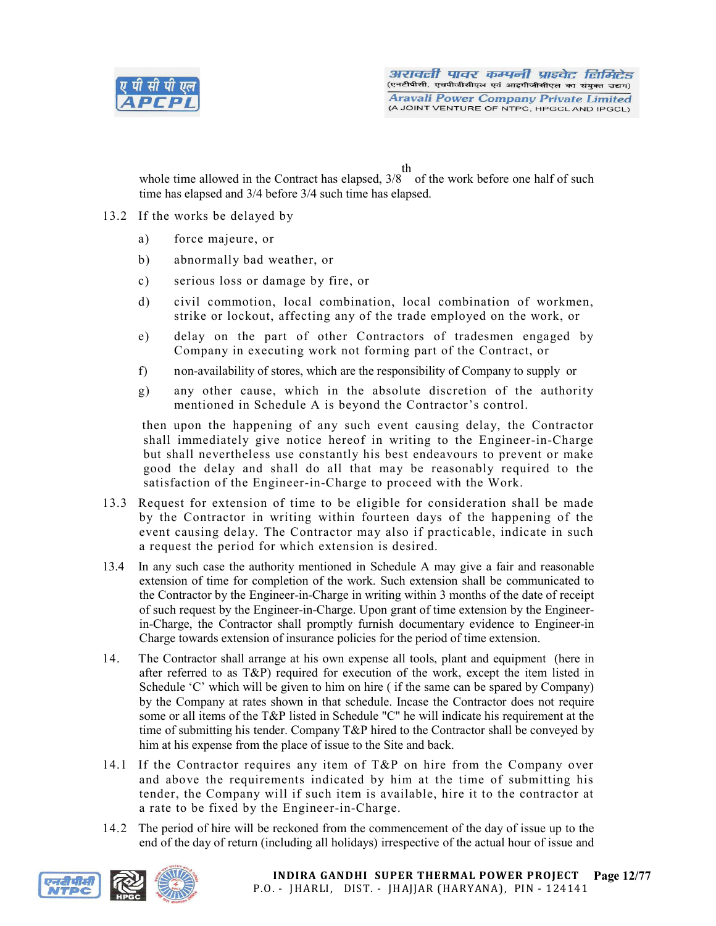

th

whole time allowed in the Contract has elapsed, 3/8 of the work before one half of such time has elapsed and 3/4 before 3/4 such time has elapsed.

- 13.2 If the works be delayed by
	- a) force majeure, or
	- b) abnormally bad weather, or
	- c) serious loss or damage by fire, or
	- d) civil commotion, local combination, local combination of workmen, strike or lockout, affecting any of the trade employed on the work, or
	- e) delay on the part of other Contractors of tradesmen engaged by Company in executing work not forming part of the Contract, or
	- f) non-availability of stores, which are the responsibility of Company to supply or
	- g) any other cause, which in the absolute discretion of the authority mentioned in Schedule A is beyond the Contractor's control.

then upon the happening of any such event causing delay, the Contractor shall immediately give notice hereof in writing to the Engineer-in-Charge but shall nevertheless use constantly his best endeavours to prevent or make good the delay and shall do all that may be reasonably required to the satisfaction of the Engineer-in-Charge to proceed with the Work.

- 13.3 Request for extension of time to be eligible for consideration shall be made by the Contractor in writing within fourteen days of the happening of the event causing delay. The Contractor may also if practicable, indicate in such a request the period for which extension is desired.
- 13.4 In any such case the authority mentioned in Schedule A may give a fair and reasonable extension of time for completion of the work. Such extension shall be communicated to the Contractor by the Engineer-in-Charge in writing within 3 months of the date of receipt of such request by the Engineer-in-Charge. Upon grant of time extension by the Engineerin-Charge, the Contractor shall promptly furnish documentary evidence to Engineer-in Charge towards extension of insurance policies for the period of time extension.
- 14. The Contractor shall arrange at his own expense all tools, plant and equipment (here in after referred to as T&P) required for execution of the work, except the item listed in Schedule 'C' which will be given to him on hire ( if the same can be spared by Company) by the Company at rates shown in that schedule. Incase the Contractor does not require some or all items of the T&P listed in Schedule "C" he will indicate his requirement at the time of submitting his tender. Company T&P hired to the Contractor shall be conveyed by him at his expense from the place of issue to the Site and back.
- 14.1 If the Contractor requires any item of T&P on hire from the Company over and above the requirements indicated by him at the time of submitting his tender, the Company will if such item is available, hire it to the contractor at a rate to be fixed by the Engineer-in-Charge.
- 14.2 The period of hire will be reckoned from the commencement of the day of issue up to the end of the day of return (including all holidays) irrespective of the actual hour of issue and

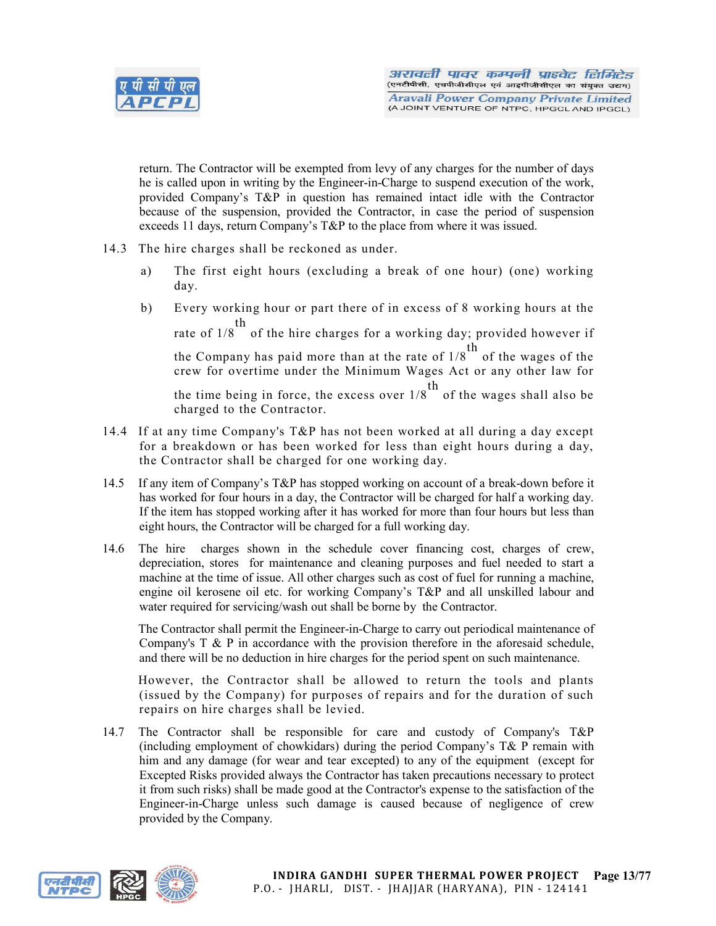

return. The Contractor will be exempted from levy of any charges for the number of days he is called upon in writing by the Engineer-in-Charge to suspend execution of the work, provided Company's T&P in question has remained intact idle with the Contractor because of the suspension, provided the Contractor, in case the period of suspension exceeds 11 days, return Company's T&P to the place from where it was issued.

- 14.3 The hire charges shall be reckoned as under.
	- a) The first eight hours (excluding a break of one hour) (one) working day.
	- b) Every working hour or part there of in excess of 8 working hours at the rate of 1/8 of the hire charges for a working day; provided however if th the Company has paid more than at the rate of  $1/8$ <sup>th</sup> of the wages of the crew for overtime under the Minimum Wages Act or any other law for the time being in force, the excess over  $1/8$ <sup>th</sup> of the wages shall also be charged to the Contractor.
- 14.4 If at any time Company's T&P has not been worked at all during a day except for a breakdown or has been worked for less than eight hours during a day, the Contractor shall be charged for one working day.
- 14.5 If any item of Company's T&P has stopped working on account of a break-down before it has worked for four hours in a day, the Contractor will be charged for half a working day. If the item has stopped working after it has worked for more than four hours but less than eight hours, the Contractor will be charged for a full working day.
- 14.6 The hire charges shown in the schedule cover financing cost, charges of crew, depreciation, stores for maintenance and cleaning purposes and fuel needed to start a machine at the time of issue. All other charges such as cost of fuel for running a machine, engine oil kerosene oil etc. for working Company's T&P and all unskilled labour and water required for servicing/wash out shall be borne by the Contractor.

The Contractor shall permit the Engineer-in-Charge to carry out periodical maintenance of Company's T & P in accordance with the provision therefore in the aforesaid schedule, and there will be no deduction in hire charges for the period spent on such maintenance.

However, the Contractor shall be allowed to return the tools and plants (issued by the Company) for purposes of repairs and for the duration of such repairs on hire charges shall be levied.

14.7 The Contractor shall be responsible for care and custody of Company's T&P (including employment of chowkidars) during the period Company's T& P remain with him and any damage (for wear and tear excepted) to any of the equipment (except for Excepted Risks provided always the Contractor has taken precautions necessary to protect it from such risks) shall be made good at the Contractor's expense to the satisfaction of the Engineer-in-Charge unless such damage is caused because of negligence of crew provided by the Company.

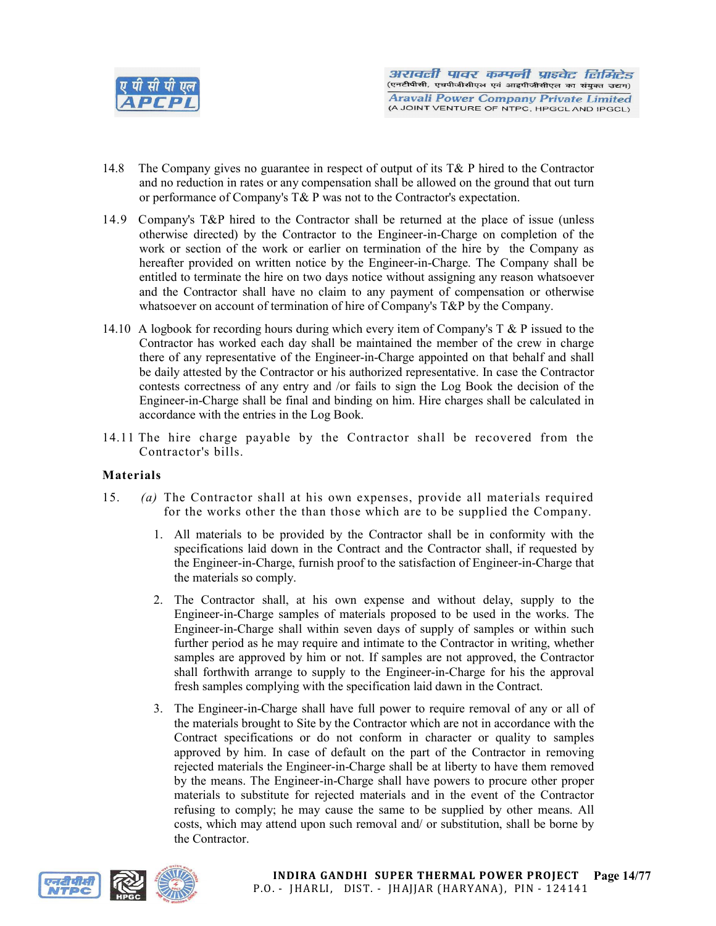

- 14.8 The Company gives no guarantee in respect of output of its T& P hired to the Contractor and no reduction in rates or any compensation shall be allowed on the ground that out turn or performance of Company's T& P was not to the Contractor's expectation.
- 14.9 Company's T&P hired to the Contractor shall be returned at the place of issue (unless otherwise directed) by the Contractor to the Engineer-in-Charge on completion of the work or section of the work or earlier on termination of the hire by the Company as hereafter provided on written notice by the Engineer-in-Charge. The Company shall be entitled to terminate the hire on two days notice without assigning any reason whatsoever and the Contractor shall have no claim to any payment of compensation or otherwise whatsoever on account of termination of hire of Company's T&P by the Company.
- 14.10 A logbook for recording hours during which every item of Company's  $T \& P$  issued to the Contractor has worked each day shall be maintained the member of the crew in charge there of any representative of the Engineer-in-Charge appointed on that behalf and shall be daily attested by the Contractor or his authorized representative. In case the Contractor contests correctness of any entry and /or fails to sign the Log Book the decision of the Engineer-in-Charge shall be final and binding on him. Hire charges shall be calculated in accordance with the entries in the Log Book.
- 14.11 The hire charge payable by the Contractor shall be recovered from the Contractor's bills.

## Materials

- 15. *(a)* The Contractor shall at his own expenses, provide all materials required for the works other the than those which are to be supplied the Company.
	- 1. All materials to be provided by the Contractor shall be in conformity with the specifications laid down in the Contract and the Contractor shall, if requested by the Engineer-in-Charge, furnish proof to the satisfaction of Engineer-in-Charge that the materials so comply.
	- 2. The Contractor shall, at his own expense and without delay, supply to the Engineer-in-Charge samples of materials proposed to be used in the works. The Engineer-in-Charge shall within seven days of supply of samples or within such further period as he may require and intimate to the Contractor in writing, whether samples are approved by him or not. If samples are not approved, the Contractor shall forthwith arrange to supply to the Engineer-in-Charge for his the approval fresh samples complying with the specification laid dawn in the Contract.
	- 3. The Engineer-in-Charge shall have full power to require removal of any or all of the materials brought to Site by the Contractor which are not in accordance with the Contract specifications or do not conform in character or quality to samples approved by him. In case of default on the part of the Contractor in removing rejected materials the Engineer-in-Charge shall be at liberty to have them removed by the means. The Engineer-in-Charge shall have powers to procure other proper materials to substitute for rejected materials and in the event of the Contractor refusing to comply; he may cause the same to be supplied by other means. All costs, which may attend upon such removal and/ or substitution, shall be borne by the Contractor.



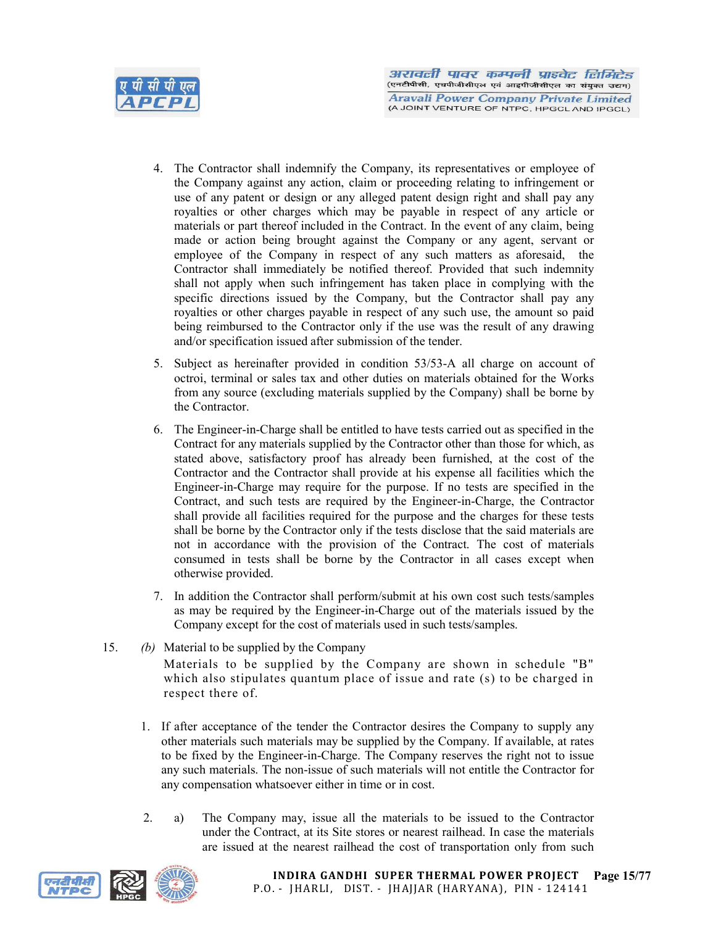

- 4. The Contractor shall indemnify the Company, its representatives or employee of the Company against any action, claim or proceeding relating to infringement or use of any patent or design or any alleged patent design right and shall pay any royalties or other charges which may be payable in respect of any article or materials or part thereof included in the Contract. In the event of any claim, being made or action being brought against the Company or any agent, servant or employee of the Company in respect of any such matters as aforesaid, the Contractor shall immediately be notified thereof. Provided that such indemnity shall not apply when such infringement has taken place in complying with the specific directions issued by the Company, but the Contractor shall pay any royalties or other charges payable in respect of any such use, the amount so paid being reimbursed to the Contractor only if the use was the result of any drawing and/or specification issued after submission of the tender.
- 5. Subject as hereinafter provided in condition 53/53-A all charge on account of octroi, terminal or sales tax and other duties on materials obtained for the Works from any source (excluding materials supplied by the Company) shall be borne by the Contractor.
- 6. The Engineer-in-Charge shall be entitled to have tests carried out as specified in the Contract for any materials supplied by the Contractor other than those for which, as stated above, satisfactory proof has already been furnished, at the cost of the Contractor and the Contractor shall provide at his expense all facilities which the Engineer-in-Charge may require for the purpose. If no tests are specified in the Contract, and such tests are required by the Engineer-in-Charge, the Contractor shall provide all facilities required for the purpose and the charges for these tests shall be borne by the Contractor only if the tests disclose that the said materials are not in accordance with the provision of the Contract. The cost of materials consumed in tests shall be borne by the Contractor in all cases except when otherwise provided.
- 7. In addition the Contractor shall perform/submit at his own cost such tests/samples as may be required by the Engineer-in-Charge out of the materials issued by the Company except for the cost of materials used in such tests/samples.
- 15. *(b)* Material to be supplied by the Company Materials to be supplied by the Company are shown in schedule "B" which also stipulates quantum place of issue and rate (s) to be charged in respect there of.
	- 1. If after acceptance of the tender the Contractor desires the Company to supply any other materials such materials may be supplied by the Company. If available, at rates to be fixed by the Engineer-in-Charge. The Company reserves the right not to issue any such materials. The non-issue of such materials will not entitle the Contractor for any compensation whatsoever either in time or in cost.
	- 2. a) The Company may, issue all the materials to be issued to the Contractor under the Contract, at its Site stores or nearest railhead. In case the materials are issued at the nearest railhead the cost of transportation only from such



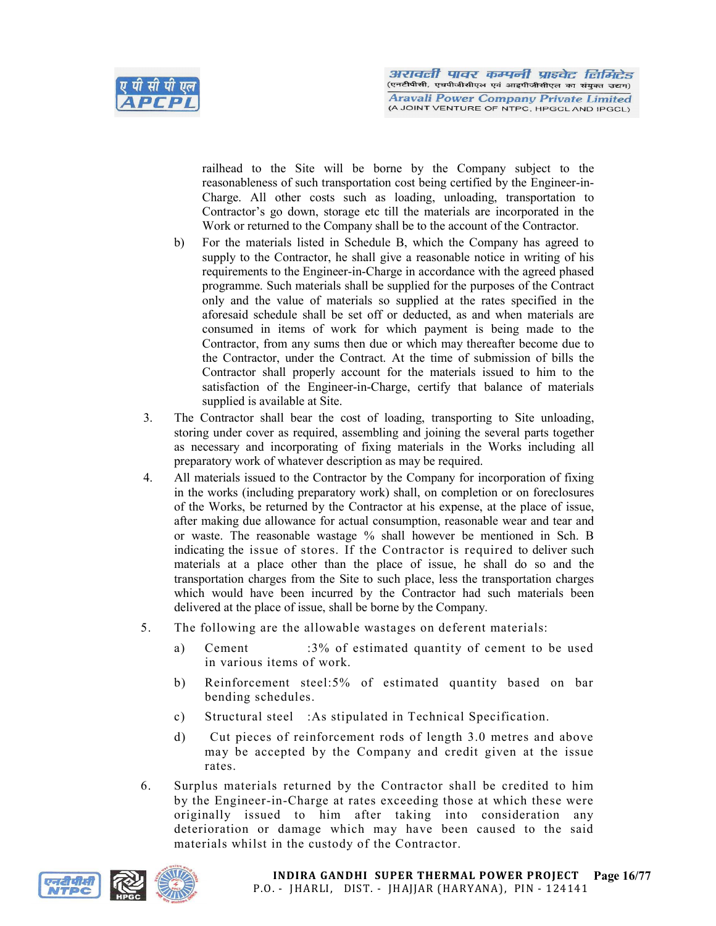

railhead to the Site will be borne by the Company subject to the reasonableness of such transportation cost being certified by the Engineer-in-Charge. All other costs such as loading, unloading, transportation to Contractor's go down, storage etc till the materials are incorporated in the Work or returned to the Company shall be to the account of the Contractor.

- b) For the materials listed in Schedule B, which the Company has agreed to supply to the Contractor, he shall give a reasonable notice in writing of his requirements to the Engineer-in-Charge in accordance with the agreed phased programme. Such materials shall be supplied for the purposes of the Contract only and the value of materials so supplied at the rates specified in the aforesaid schedule shall be set off or deducted, as and when materials are consumed in items of work for which payment is being made to the Contractor, from any sums then due or which may thereafter become due to the Contractor, under the Contract. At the time of submission of bills the Contractor shall properly account for the materials issued to him to the satisfaction of the Engineer-in-Charge, certify that balance of materials supplied is available at Site.
- 3. The Contractor shall bear the cost of loading, transporting to Site unloading, storing under cover as required, assembling and joining the several parts together as necessary and incorporating of fixing materials in the Works including all preparatory work of whatever description as may be required.
- 4. All materials issued to the Contractor by the Company for incorporation of fixing in the works (including preparatory work) shall, on completion or on foreclosures of the Works, be returned by the Contractor at his expense, at the place of issue, after making due allowance for actual consumption, reasonable wear and tear and or waste. The reasonable wastage % shall however be mentioned in Sch. B indicating the issue of stores. If the Contractor is required to deliver such materials at a place other than the place of issue, he shall do so and the transportation charges from the Site to such place, less the transportation charges which would have been incurred by the Contractor had such materials been delivered at the place of issue, shall be borne by the Company.
- 5. The following are the allowable wastages on deferent materials:
	- a) Cement :3% of estimated quantity of cement to be used in various items of work.
	- b) Reinforcement steel:5% of estimated quantity based on bar bending schedules.
	- c) Structural steel :As stipulated in Technical Specification.
	- d) Cut pieces of reinforcement rods of length 3.0 metres and above may be accepted by the Company and credit given at the issue rates.
- 6. Surplus materials returned by the Contractor shall be credited to him by the Engineer-in-Charge at rates exceeding those at which these were originally issued to him after taking into consideration any deterioration or damage which may have been caused to the said materials whilst in the custody of the Contractor.



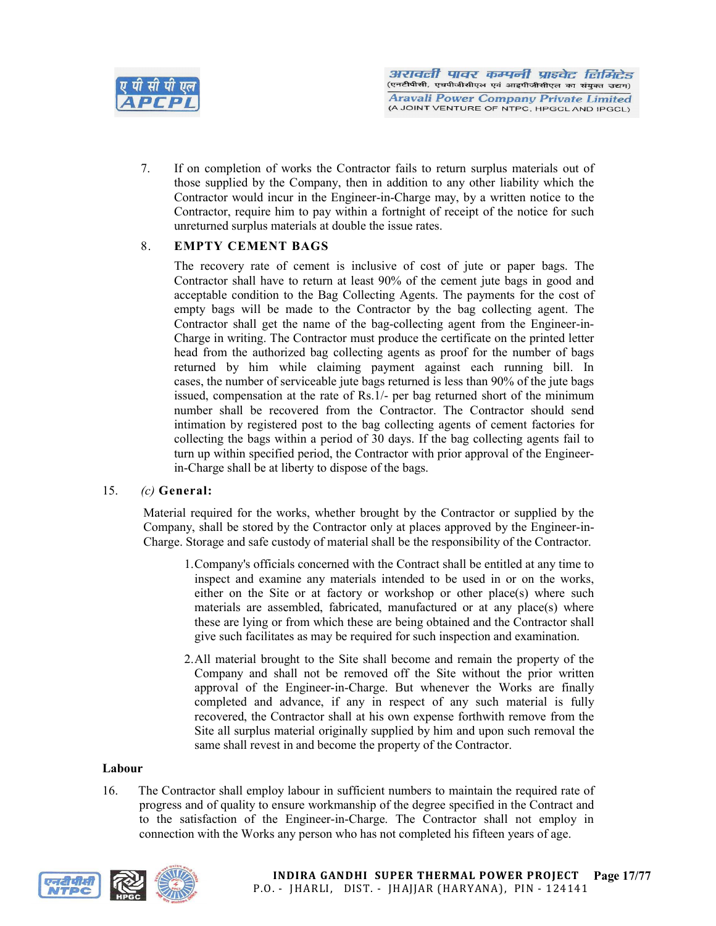

7. If on completion of works the Contractor fails to return surplus materials out of those supplied by the Company, then in addition to any other liability which the Contractor would incur in the Engineer-in-Charge may, by a written notice to the Contractor, require him to pay within a fortnight of receipt of the notice for such unreturned surplus materials at double the issue rates.

## 8. EMPTY CEMENT BAGS

The recovery rate of cement is inclusive of cost of jute or paper bags. The Contractor shall have to return at least 90% of the cement jute bags in good and acceptable condition to the Bag Collecting Agents. The payments for the cost of empty bags will be made to the Contractor by the bag collecting agent. The Contractor shall get the name of the bag-collecting agent from the Engineer-in-Charge in writing. The Contractor must produce the certificate on the printed letter head from the authorized bag collecting agents as proof for the number of bags returned by him while claiming payment against each running bill. In cases, the number of serviceable jute bags returned is less than 90% of the jute bags issued, compensation at the rate of Rs.1/- per bag returned short of the minimum number shall be recovered from the Contractor. The Contractor should send intimation by registered post to the bag collecting agents of cement factories for collecting the bags within a period of 30 days. If the bag collecting agents fail to turn up within specified period, the Contractor with prior approval of the Engineerin-Charge shall be at liberty to dispose of the bags.

## 15. *(c)* General:

Material required for the works, whether brought by the Contractor or supplied by the Company, shall be stored by the Contractor only at places approved by the Engineer-in-Charge. Storage and safe custody of material shall be the responsibility of the Contractor.

- 1.Company's officials concerned with the Contract shall be entitled at any time to inspect and examine any materials intended to be used in or on the works, either on the Site or at factory or workshop or other place(s) where such materials are assembled, fabricated, manufactured or at any place(s) where these are lying or from which these are being obtained and the Contractor shall give such facilitates as may be required for such inspection and examination.
- 2.All material brought to the Site shall become and remain the property of the Company and shall not be removed off the Site without the prior written approval of the Engineer-in-Charge. But whenever the Works are finally completed and advance, if any in respect of any such material is fully recovered, the Contractor shall at his own expense forthwith remove from the Site all surplus material originally supplied by him and upon such removal the same shall revest in and become the property of the Contractor.

## Labour

16. The Contractor shall employ labour in sufficient numbers to maintain the required rate of progress and of quality to ensure workmanship of the degree specified in the Contract and to the satisfaction of the Engineer-in-Charge. The Contractor shall not employ in connection with the Works any person who has not completed his fifteen years of age.

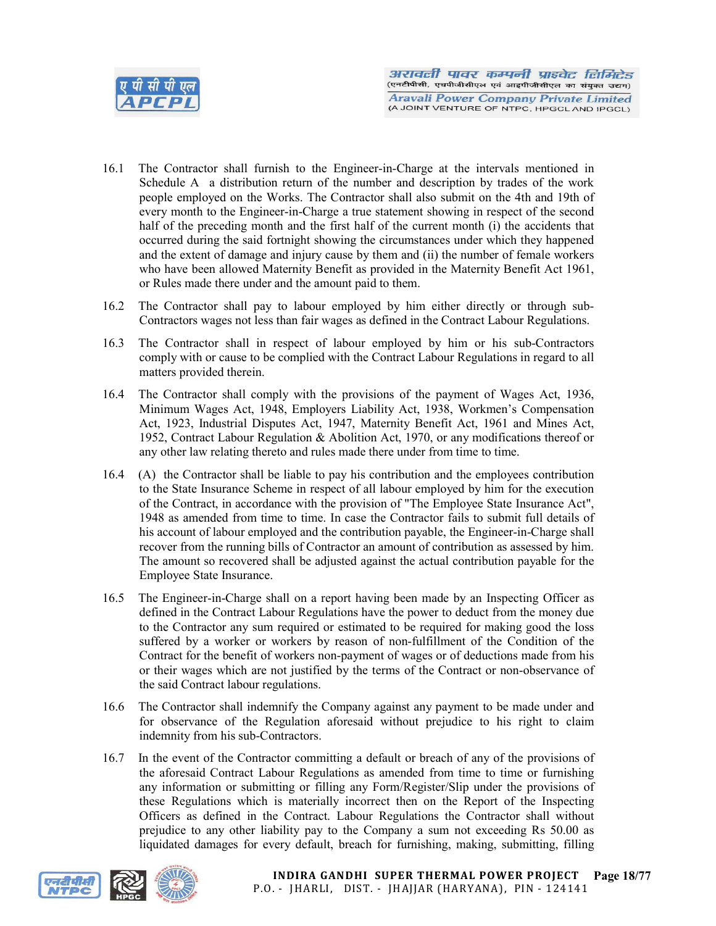

- 16.1 The Contractor shall furnish to the Engineer-in-Charge at the intervals mentioned in Schedule A a distribution return of the number and description by trades of the work people employed on the Works. The Contractor shall also submit on the 4th and 19th of every month to the Engineer-in-Charge a true statement showing in respect of the second half of the preceding month and the first half of the current month (i) the accidents that occurred during the said fortnight showing the circumstances under which they happened and the extent of damage and injury cause by them and (ii) the number of female workers who have been allowed Maternity Benefit as provided in the Maternity Benefit Act 1961, or Rules made there under and the amount paid to them.
- 16.2 The Contractor shall pay to labour employed by him either directly or through sub-Contractors wages not less than fair wages as defined in the Contract Labour Regulations.
- 16.3 The Contractor shall in respect of labour employed by him or his sub-Contractors comply with or cause to be complied with the Contract Labour Regulations in regard to all matters provided therein.
- 16.4 The Contractor shall comply with the provisions of the payment of Wages Act, 1936, Minimum Wages Act, 1948, Employers Liability Act, 1938, Workmen's Compensation Act, 1923, Industrial Disputes Act, 1947, Maternity Benefit Act, 1961 and Mines Act, 1952, Contract Labour Regulation & Abolition Act, 1970, or any modifications thereof or any other law relating thereto and rules made there under from time to time.
- 16.4 (A) the Contractor shall be liable to pay his contribution and the employees contribution to the State Insurance Scheme in respect of all labour employed by him for the execution of the Contract, in accordance with the provision of "The Employee State Insurance Act", 1948 as amended from time to time. In case the Contractor fails to submit full details of his account of labour employed and the contribution payable, the Engineer-in-Charge shall recover from the running bills of Contractor an amount of contribution as assessed by him. The amount so recovered shall be adjusted against the actual contribution payable for the Employee State Insurance.
- 16.5 The Engineer-in-Charge shall on a report having been made by an Inspecting Officer as defined in the Contract Labour Regulations have the power to deduct from the money due to the Contractor any sum required or estimated to be required for making good the loss suffered by a worker or workers by reason of non-fulfillment of the Condition of the Contract for the benefit of workers non-payment of wages or of deductions made from his or their wages which are not justified by the terms of the Contract or non-observance of the said Contract labour regulations.
- 16.6 The Contractor shall indemnify the Company against any payment to be made under and for observance of the Regulation aforesaid without prejudice to his right to claim indemnity from his sub-Contractors.
- 16.7 In the event of the Contractor committing a default or breach of any of the provisions of the aforesaid Contract Labour Regulations as amended from time to time or furnishing any information or submitting or filling any Form/Register/Slip under the provisions of these Regulations which is materially incorrect then on the Report of the Inspecting Officers as defined in the Contract. Labour Regulations the Contractor shall without prejudice to any other liability pay to the Company a sum not exceeding Rs 50.00 as liquidated damages for every default, breach for furnishing, making, submitting, filling

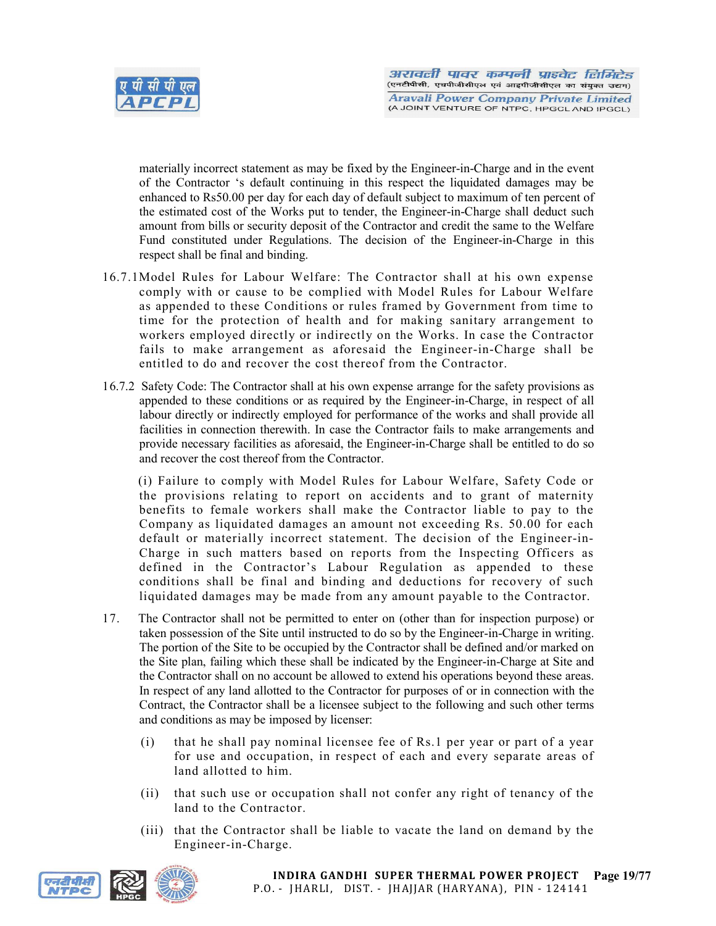

materially incorrect statement as may be fixed by the Engineer-in-Charge and in the event of the Contractor 's default continuing in this respect the liquidated damages may be enhanced to Rs50.00 per day for each day of default subject to maximum of ten percent of the estimated cost of the Works put to tender, the Engineer-in-Charge shall deduct such amount from bills or security deposit of the Contractor and credit the same to the Welfare Fund constituted under Regulations. The decision of the Engineer-in-Charge in this respect shall be final and binding.

- 16.7.1Model Rules for Labour Welfare: The Contractor shall at his own expense comply with or cause to be complied with Model Rules for Labour Welfare as appended to these Conditions or rules framed by Government from time to time for the protection of health and for making sanitary arrangement to workers employed directly or indirectly on the Works. In case the Contractor fails to make arrangement as aforesaid the Engineer-in-Charge shall be entitled to do and recover the cost thereof from the Contractor.
- 16.7.2 Safety Code: The Contractor shall at his own expense arrange for the safety provisions as appended to these conditions or as required by the Engineer-in-Charge, in respect of all labour directly or indirectly employed for performance of the works and shall provide all facilities in connection therewith. In case the Contractor fails to make arrangements and provide necessary facilities as aforesaid, the Engineer-in-Charge shall be entitled to do so and recover the cost thereof from the Contractor.

(i) Failure to comply with Model Rules for Labour Welfare, Safety Code or the provisions relating to report on accidents and to grant of maternity benefits to female workers shall make the Contractor liable to pay to the Company as liquidated damages an amount not exceeding Rs. 50.00 for each default or materially incorrect statement. The decision of the Engineer-in-Charge in such matters based on reports from the Inspecting Officers as defined in the Contractor's Labour Regulation as appended to these conditions shall be final and binding and deductions for recovery of such liquidated damages may be made from any amount payable to the Contractor.

- 17. The Contractor shall not be permitted to enter on (other than for inspection purpose) or taken possession of the Site until instructed to do so by the Engineer-in-Charge in writing. The portion of the Site to be occupied by the Contractor shall be defined and/or marked on the Site plan, failing which these shall be indicated by the Engineer-in-Charge at Site and the Contractor shall on no account be allowed to extend his operations beyond these areas. In respect of any land allotted to the Contractor for purposes of or in connection with the Contract, the Contractor shall be a licensee subject to the following and such other terms and conditions as may be imposed by licenser:
	- (i) that he shall pay nominal licensee fee of Rs.1 per year or part of a year for use and occupation, in respect of each and every separate areas of land allotted to him.
	- (ii) that such use or occupation shall not confer any right of tenancy of the land to the Contractor.
	- (iii) that the Contractor shall be liable to vacate the land on demand by the Engineer-in-Charge.

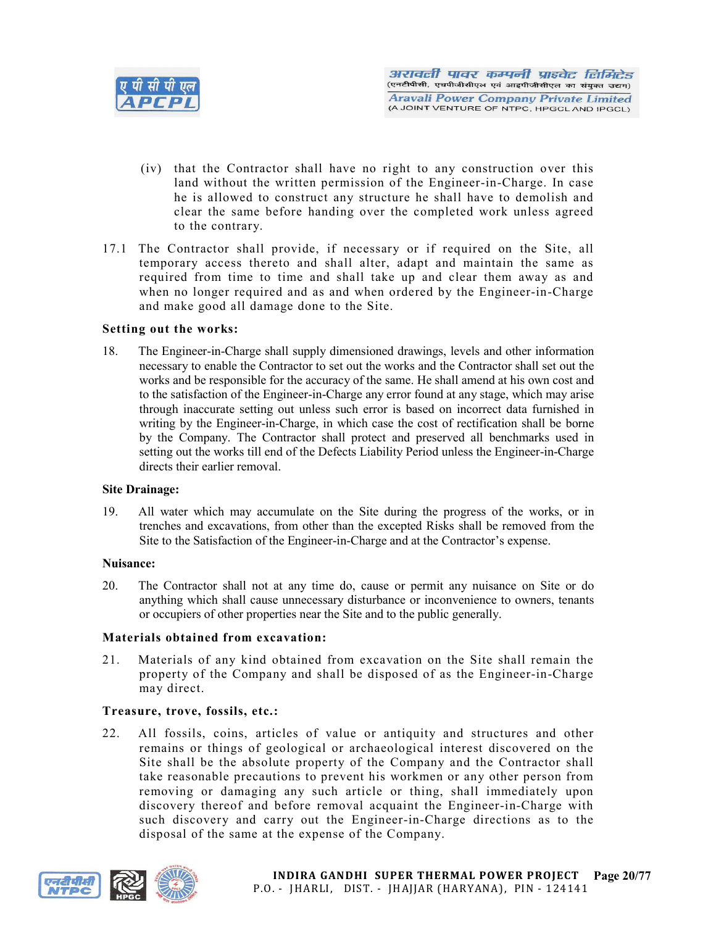

- (iv) that the Contractor shall have no right to any construction over this land without the written permission of the Engineer-in-Charge. In case he is allowed to construct any structure he shall have to demolish and clear the same before handing over the completed work unless agreed to the contrary.
- 17.1 The Contractor shall provide, if necessary or if required on the Site, all temporary access thereto and shall alter, adapt and maintain the same as required from time to time and shall take up and clear them away as and when no longer required and as and when ordered by the Engineer-in-Charge and make good all damage done to the Site.

#### Setting out the works:

18. The Engineer-in-Charge shall supply dimensioned drawings, levels and other information necessary to enable the Contractor to set out the works and the Contractor shall set out the works and be responsible for the accuracy of the same. He shall amend at his own cost and to the satisfaction of the Engineer-in-Charge any error found at any stage, which may arise through inaccurate setting out unless such error is based on incorrect data furnished in writing by the Engineer-in-Charge, in which case the cost of rectification shall be borne by the Company. The Contractor shall protect and preserved all benchmarks used in setting out the works till end of the Defects Liability Period unless the Engineer-in-Charge directs their earlier removal.

#### Site Drainage:

19. All water which may accumulate on the Site during the progress of the works, or in trenches and excavations, from other than the excepted Risks shall be removed from the Site to the Satisfaction of the Engineer-in-Charge and at the Contractor's expense.

#### Nuisance:

20. The Contractor shall not at any time do, cause or permit any nuisance on Site or do anything which shall cause unnecessary disturbance or inconvenience to owners, tenants or occupiers of other properties near the Site and to the public generally.

#### Materials obtained from excavation:

21. Materials of any kind obtained from excavation on the Site shall remain the property of the Company and shall be disposed of as the Engineer-in-Charge may direct.

## Treasure, trove, fossils, etc.:

22. All fossils, coins, articles of value or antiquity and structures and other remains or things of geological or archaeological interest discovered on the Site shall be the absolute property of the Company and the Contractor shall take reasonable precautions to prevent his workmen or any other person from removing or damaging any such article or thing, shall immediately upon discovery thereof and before removal acquaint the Engineer-in-Charge with such discovery and carry out the Engineer-in-Charge directions as to the disposal of the same at the expense of the Company.

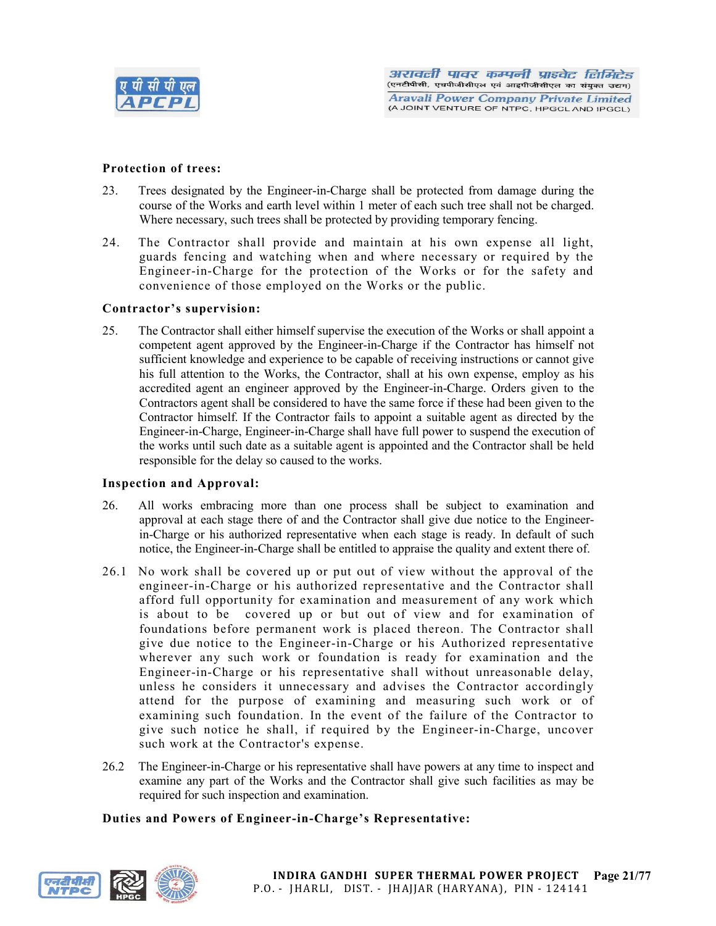

#### Protection of trees:

- 23. Trees designated by the Engineer-in-Charge shall be protected from damage during the course of the Works and earth level within 1 meter of each such tree shall not be charged. Where necessary, such trees shall be protected by providing temporary fencing.
- 24. The Contractor shall provide and maintain at his own expense all light, guards fencing and watching when and where necessary or required by the Engineer-in-Charge for the protection of the Works or for the safety and convenience of those employed on the Works or the public.

#### Contractor's supervision:

25. The Contractor shall either himself supervise the execution of the Works or shall appoint a competent agent approved by the Engineer-in-Charge if the Contractor has himself not sufficient knowledge and experience to be capable of receiving instructions or cannot give his full attention to the Works, the Contractor, shall at his own expense, employ as his accredited agent an engineer approved by the Engineer-in-Charge. Orders given to the Contractors agent shall be considered to have the same force if these had been given to the Contractor himself. If the Contractor fails to appoint a suitable agent as directed by the Engineer-in-Charge, Engineer-in-Charge shall have full power to suspend the execution of the works until such date as a suitable agent is appointed and the Contractor shall be held responsible for the delay so caused to the works.

#### Inspection and Approval:

- 26. All works embracing more than one process shall be subject to examination and approval at each stage there of and the Contractor shall give due notice to the Engineerin-Charge or his authorized representative when each stage is ready. In default of such notice, the Engineer-in-Charge shall be entitled to appraise the quality and extent there of.
- 26.1 No work shall be covered up or put out of view without the approval of the engineer-in-Charge or his authorized representative and the Contractor shall afford full opportunity for examination and measurement of any work which is about to be covered up or but out of view and for examination of foundations before permanent work is placed thereon. The Contractor shall give due notice to the Engineer-in-Charge or his Authorized representative wherever any such work or foundation is ready for examination and the Engineer-in-Charge or his representative shall without unreasonable delay, unless he considers it unnecessary and advises the Contractor accordingly attend for the purpose of examining and measuring such work or of examining such foundation. In the event of the failure of the Contractor to give such notice he shall, if required by the Engineer-in-Charge, uncover such work at the Contractor's expense.
- 26.2 The Engineer-in-Charge or his representative shall have powers at any time to inspect and examine any part of the Works and the Contractor shall give such facilities as may be required for such inspection and examination.

## Duties and Powers of Engineer-in-Charge's Representative:

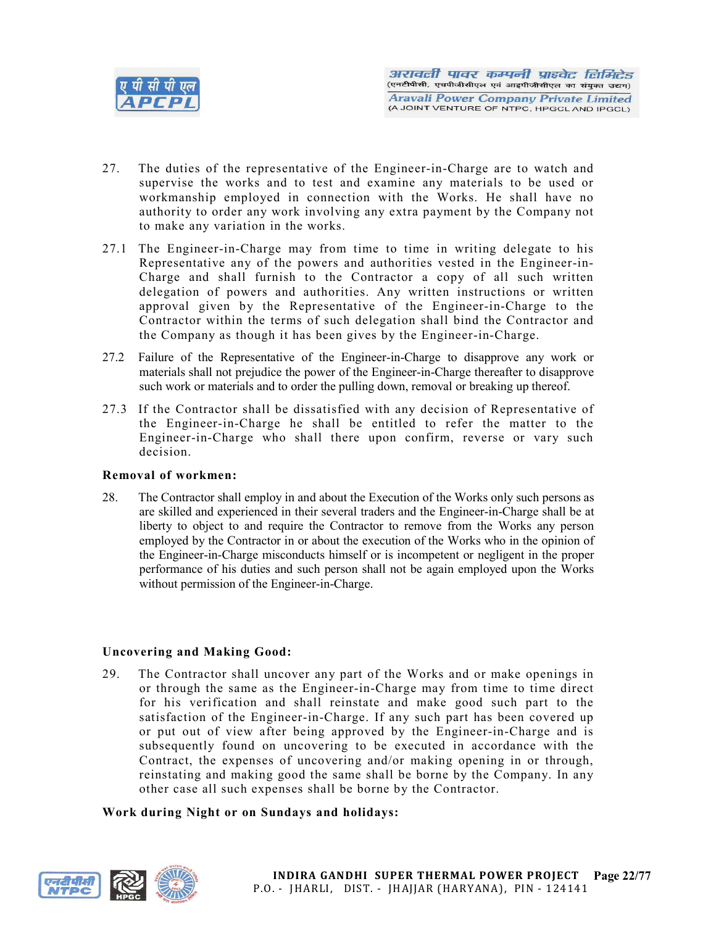

- 27. The duties of the representative of the Engineer-in-Charge are to watch and supervise the works and to test and examine any materials to be used or workmanship employed in connection with the Works. He shall have no authority to order any work involving any extra payment by the Company not to make any variation in the works.
- 27.1 The Engineer-in-Charge may from time to time in writing delegate to his Representative any of the powers and authorities vested in the Engineer-in-Charge and shall furnish to the Contractor a copy of all such written delegation of powers and authorities. Any written instructions or written approval given by the Representative of the Engineer-in-Charge to the Contractor within the terms of such delegation shall bind the Contractor and the Company as though it has been gives by the Engineer-in-Charge.
- 27.2 Failure of the Representative of the Engineer-in-Charge to disapprove any work or materials shall not prejudice the power of the Engineer-in-Charge thereafter to disapprove such work or materials and to order the pulling down, removal or breaking up thereof.
- 27.3 If the Contractor shall be dissatisfied with any decision of Representative of the Engineer-in-Charge he shall be entitled to refer the matter to the Engineer-in-Charge who shall there upon confirm, reverse or vary such decision.

## Removal of workmen:

28. The Contractor shall employ in and about the Execution of the Works only such persons as are skilled and experienced in their several traders and the Engineer-in-Charge shall be at liberty to object to and require the Contractor to remove from the Works any person employed by the Contractor in or about the execution of the Works who in the opinion of the Engineer-in-Charge misconducts himself or is incompetent or negligent in the proper performance of his duties and such person shall not be again employed upon the Works without permission of the Engineer-in-Charge.

## Uncovering and Making Good:

29. The Contractor shall uncover any part of the Works and or make openings in or through the same as the Engineer-in-Charge may from time to time direct for his verification and shall reinstate and make good such part to the satisfaction of the Engineer-in-Charge. If any such part has been covered up or put out of view after being approved by the Engineer-in-Charge and is subsequently found on uncovering to be executed in accordance with the Contract, the expenses of uncovering and/or making opening in or through, reinstating and making good the same shall be borne by the Company. In any other case all such expenses shall be borne by the Contractor.

#### Work during Night or on Sundays and holidays:

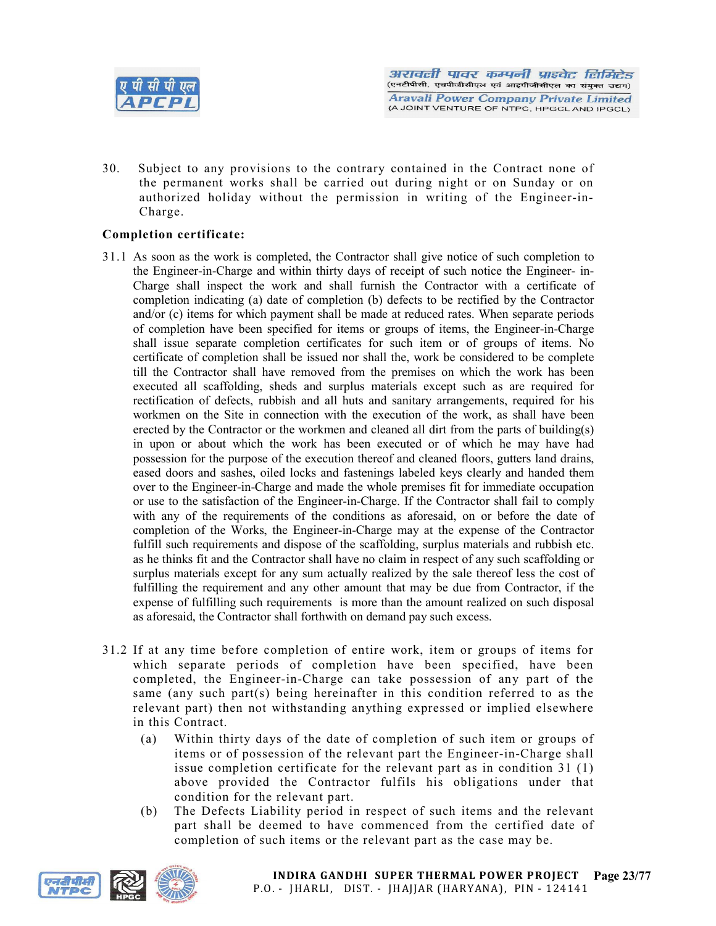

30. Subject to any provisions to the contrary contained in the Contract none of the permanent works shall be carried out during night or on Sunday or on authorized holiday without the permission in writing of the Engineer-in-Charge.

## Completion certificate:

- 31.1 As soon as the work is completed, the Contractor shall give notice of such completion to the Engineer-in-Charge and within thirty days of receipt of such notice the Engineer- in-Charge shall inspect the work and shall furnish the Contractor with a certificate of completion indicating (a) date of completion (b) defects to be rectified by the Contractor and/or (c) items for which payment shall be made at reduced rates. When separate periods of completion have been specified for items or groups of items, the Engineer-in-Charge shall issue separate completion certificates for such item or of groups of items. No certificate of completion shall be issued nor shall the, work be considered to be complete till the Contractor shall have removed from the premises on which the work has been executed all scaffolding, sheds and surplus materials except such as are required for rectification of defects, rubbish and all huts and sanitary arrangements, required for his workmen on the Site in connection with the execution of the work, as shall have been erected by the Contractor or the workmen and cleaned all dirt from the parts of building(s) in upon or about which the work has been executed or of which he may have had possession for the purpose of the execution thereof and cleaned floors, gutters land drains, eased doors and sashes, oiled locks and fastenings labeled keys clearly and handed them over to the Engineer-in-Charge and made the whole premises fit for immediate occupation or use to the satisfaction of the Engineer-in-Charge. If the Contractor shall fail to comply with any of the requirements of the conditions as aforesaid, on or before the date of completion of the Works, the Engineer-in-Charge may at the expense of the Contractor fulfill such requirements and dispose of the scaffolding, surplus materials and rubbish etc. as he thinks fit and the Contractor shall have no claim in respect of any such scaffolding or surplus materials except for any sum actually realized by the sale thereof less the cost of fulfilling the requirement and any other amount that may be due from Contractor, if the expense of fulfilling such requirements is more than the amount realized on such disposal as aforesaid, the Contractor shall forthwith on demand pay such excess.
- 31.2 If at any time before completion of entire work, item or groups of items for which separate periods of completion have been specified, have been completed, the Engineer-in-Charge can take possession of any part of the same (any such part(s) being hereinafter in this condition referred to as the relevant part) then not withstanding anything expressed or implied elsewhere in this Contract.
	- (a) Within thirty days of the date of completion of such item or groups of items or of possession of the relevant part the Engineer-in-Charge shall issue completion certificate for the relevant part as in condition  $31(1)$ above provided the Contractor fulfils his obligations under that condition for the relevant part.
	- (b) The Defects Liability period in respect of such items and the relevant part shall be deemed to have commenced from the certified date of completion of such items or the relevant part as the case may be.

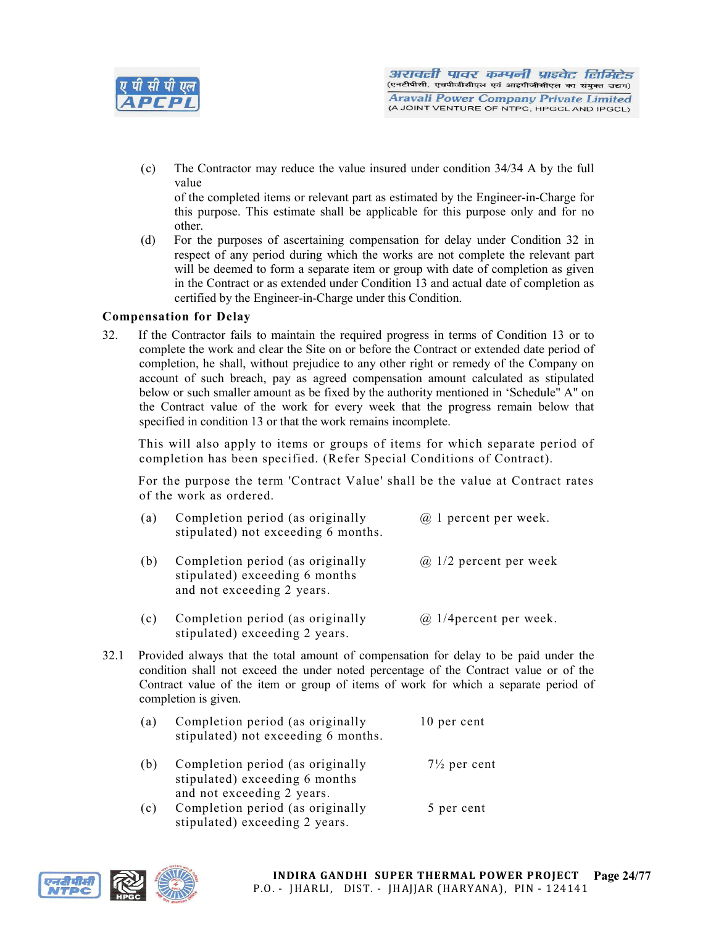

(c) The Contractor may reduce the value insured under condition 34/34 A by the full value

of the completed items or relevant part as estimated by the Engineer-in-Charge for this purpose. This estimate shall be applicable for this purpose only and for no other.

(d) For the purposes of ascertaining compensation for delay under Condition 32 in respect of any period during which the works are not complete the relevant part will be deemed to form a separate item or group with date of completion as given in the Contract or as extended under Condition 13 and actual date of completion as certified by the Engineer-in-Charge under this Condition.

## Compensation for Delay

32. If the Contractor fails to maintain the required progress in terms of Condition 13 or to complete the work and clear the Site on or before the Contract or extended date period of completion, he shall, without prejudice to any other right or remedy of the Company on account of such breach, pay as agreed compensation amount calculated as stipulated below or such smaller amount as be fixed by the authority mentioned in 'Schedule" A" on the Contract value of the work for every week that the progress remain below that specified in condition 13 or that the work remains incomplete.

This will also apply to items or groups of items for which separate period of completion has been specified. (Refer Special Conditions of Contract).

For the purpose the term 'Contract Value' shall be the value at Contract rates of the work as ordered.

| (a) | Completion period (as originally<br>stipulated) not exceeding 6 months.                          | $\omega$ 1 percent per week.  |
|-----|--------------------------------------------------------------------------------------------------|-------------------------------|
| (b) | Completion period (as originally<br>stipulated) exceeding 6 months<br>and not exceeding 2 years. | $\omega$ 1/2 percent per week |

- (c) Completion period (as originally  $\qquad$   $\qquad$   $\qquad$   $\qquad$  1/4 percent per week. stipulated) exceeding 2 years.
- 32.1 Provided always that the total amount of compensation for delay to be paid under the condition shall not exceed the under noted percentage of the Contract value or of the Contract value of the item or group of items of work for which a separate period of completion is given.

| (a) | Completion period (as originally<br>stipulated) not exceeding 6 months.                          | 10 per cent             |  |
|-----|--------------------------------------------------------------------------------------------------|-------------------------|--|
| (b) | Completion period (as originally<br>stipulated) exceeding 6 months<br>and not exceeding 2 years. | $7\frac{1}{2}$ per cent |  |
| (c) | Completion period (as originally<br>stipulated) exceeding 2 years.                               | 5 per cent              |  |

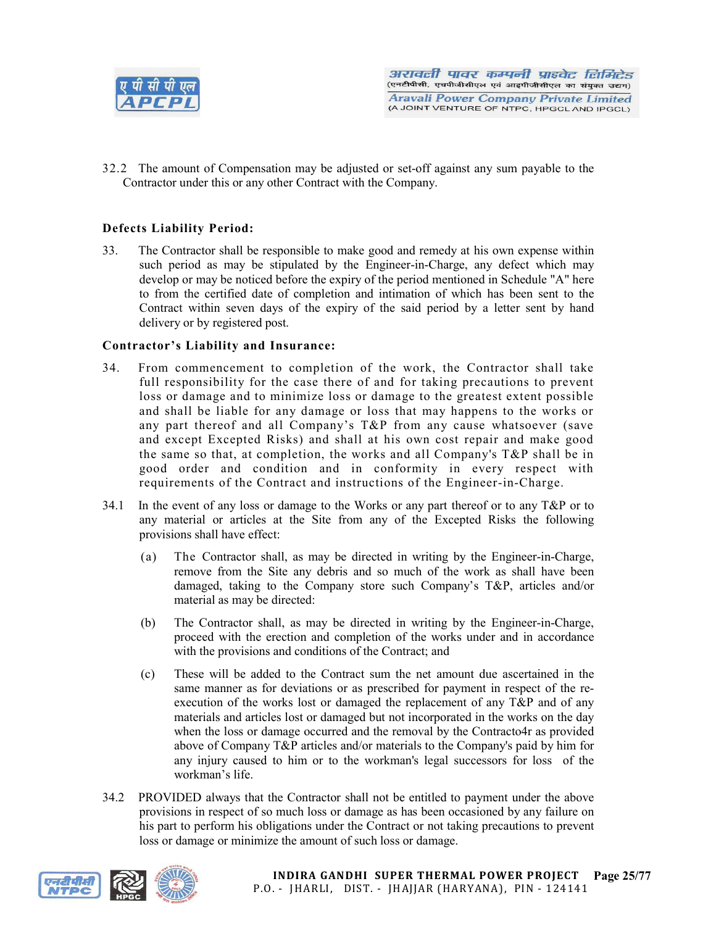

32.2 The amount of Compensation may be adjusted or set-off against any sum payable to the Contractor under this or any other Contract with the Company.

# Defects Liability Period:

33. The Contractor shall be responsible to make good and remedy at his own expense within such period as may be stipulated by the Engineer-in-Charge, any defect which may develop or may be noticed before the expiry of the period mentioned in Schedule "A" here to from the certified date of completion and intimation of which has been sent to the Contract within seven days of the expiry of the said period by a letter sent by hand delivery or by registered post.

## Contractor's Liability and Insurance:

- 34. From commencement to completion of the work, the Contractor shall take full responsibility for the case there of and for taking precautions to prevent loss or damage and to minimize loss or damage to the greatest extent possible and shall be liable for any damage or loss that may happens to the works or any part thereof and all Company's T&P from any cause whatsoever (save and except Excepted Risks) and shall at his own cost repair and make good the same so that, at completion, the works and all Company's T&P shall be in good order and condition and in conformity in every respect with requirements of the Contract and instructions of the Engineer-in-Charge.
- 34.1 In the event of any loss or damage to the Works or any part thereof or to any T&P or to any material or articles at the Site from any of the Excepted Risks the following provisions shall have effect:
	- (a) The Contractor shall, as may be directed in writing by the Engineer-in-Charge, remove from the Site any debris and so much of the work as shall have been damaged, taking to the Company store such Company's T&P, articles and/or material as may be directed:
	- (b) The Contractor shall, as may be directed in writing by the Engineer-in-Charge, proceed with the erection and completion of the works under and in accordance with the provisions and conditions of the Contract; and
	- (c) These will be added to the Contract sum the net amount due ascertained in the same manner as for deviations or as prescribed for payment in respect of the reexecution of the works lost or damaged the replacement of any T&P and of any materials and articles lost or damaged but not incorporated in the works on the day when the loss or damage occurred and the removal by the Contracto4r as provided above of Company T&P articles and/or materials to the Company's paid by him for any injury caused to him or to the workman's legal successors for loss of the workman's life.
- 34.2 PROVIDED always that the Contractor shall not be entitled to payment under the above provisions in respect of so much loss or damage as has been occasioned by any failure on his part to perform his obligations under the Contract or not taking precautions to prevent loss or damage or minimize the amount of such loss or damage.

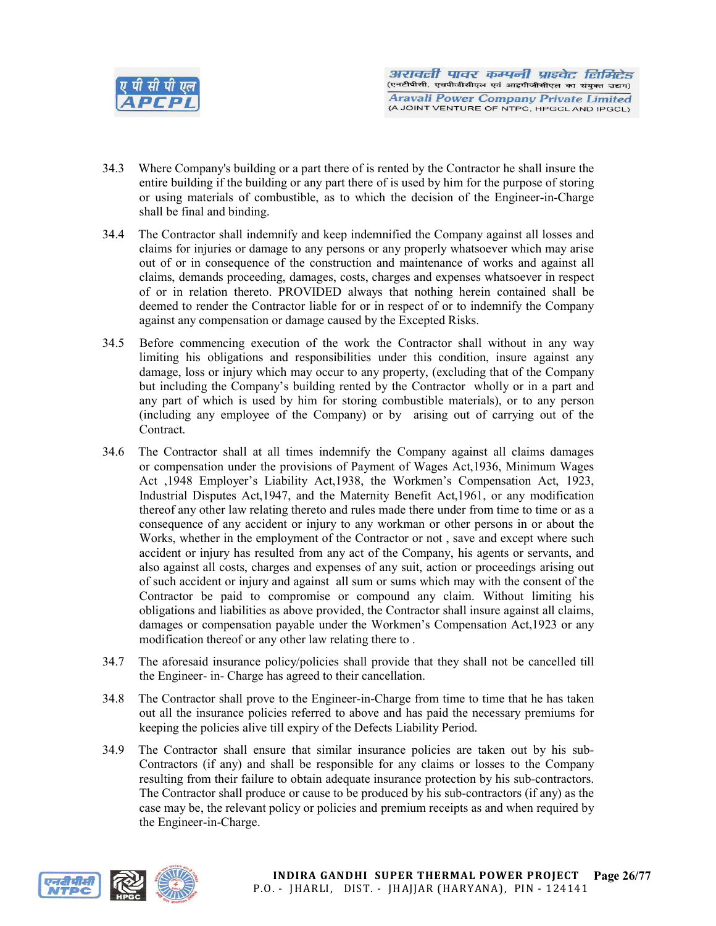

- 34.3 Where Company's building or a part there of is rented by the Contractor he shall insure the entire building if the building or any part there of is used by him for the purpose of storing or using materials of combustible, as to which the decision of the Engineer-in-Charge shall be final and binding.
- 34.4 The Contractor shall indemnify and keep indemnified the Company against all losses and claims for injuries or damage to any persons or any properly whatsoever which may arise out of or in consequence of the construction and maintenance of works and against all claims, demands proceeding, damages, costs, charges and expenses whatsoever in respect of or in relation thereto. PROVIDED always that nothing herein contained shall be deemed to render the Contractor liable for or in respect of or to indemnify the Company against any compensation or damage caused by the Excepted Risks.
- 34.5 Before commencing execution of the work the Contractor shall without in any way limiting his obligations and responsibilities under this condition, insure against any damage, loss or injury which may occur to any property, (excluding that of the Company but including the Company's building rented by the Contractor wholly or in a part and any part of which is used by him for storing combustible materials), or to any person (including any employee of the Company) or by arising out of carrying out of the Contract.
- 34.6 The Contractor shall at all times indemnify the Company against all claims damages or compensation under the provisions of Payment of Wages Act,1936, Minimum Wages Act ,1948 Employer's Liability Act,1938, the Workmen's Compensation Act, 1923, Industrial Disputes Act,1947, and the Maternity Benefit Act,1961, or any modification thereof any other law relating thereto and rules made there under from time to time or as a consequence of any accident or injury to any workman or other persons in or about the Works, whether in the employment of the Contractor or not , save and except where such accident or injury has resulted from any act of the Company, his agents or servants, and also against all costs, charges and expenses of any suit, action or proceedings arising out of such accident or injury and against all sum or sums which may with the consent of the Contractor be paid to compromise or compound any claim. Without limiting his obligations and liabilities as above provided, the Contractor shall insure against all claims, damages or compensation payable under the Workmen's Compensation Act,1923 or any modification thereof or any other law relating there to .
- 34.7 The aforesaid insurance policy/policies shall provide that they shall not be cancelled till the Engineer- in- Charge has agreed to their cancellation.
- 34.8 The Contractor shall prove to the Engineer-in-Charge from time to time that he has taken out all the insurance policies referred to above and has paid the necessary premiums for keeping the policies alive till expiry of the Defects Liability Period.
- 34.9 The Contractor shall ensure that similar insurance policies are taken out by his sub-Contractors (if any) and shall be responsible for any claims or losses to the Company resulting from their failure to obtain adequate insurance protection by his sub-contractors. The Contractor shall produce or cause to be produced by his sub-contractors (if any) as the case may be, the relevant policy or policies and premium receipts as and when required by the Engineer-in-Charge.

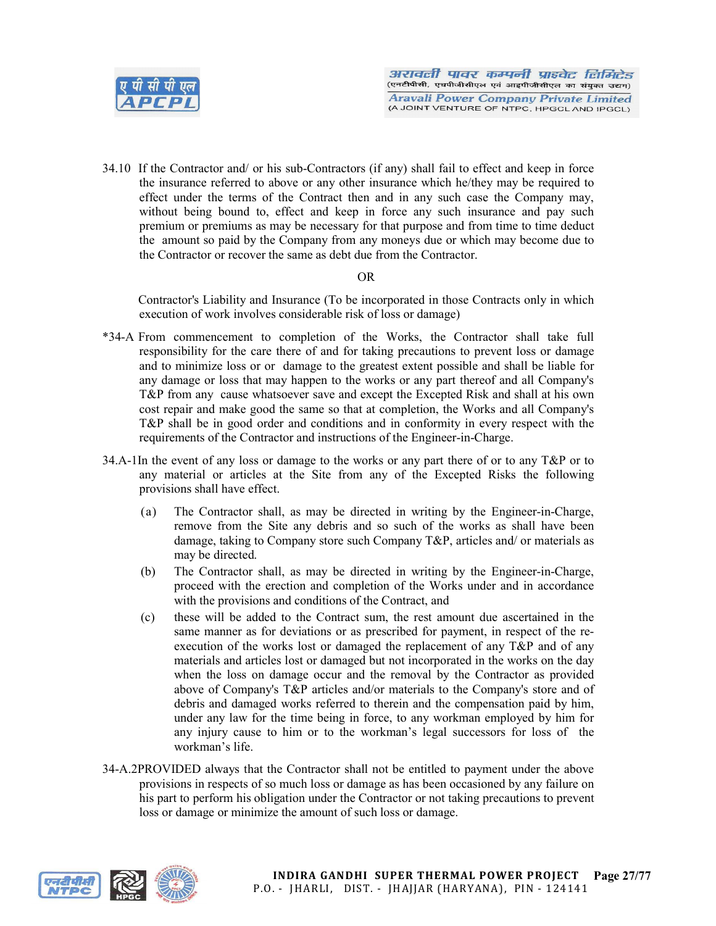

34.10 If the Contractor and/ or his sub-Contractors (if any) shall fail to effect and keep in force the insurance referred to above or any other insurance which he/they may be required to effect under the terms of the Contract then and in any such case the Company may, without being bound to, effect and keep in force any such insurance and pay such premium or premiums as may be necessary for that purpose and from time to time deduct the amount so paid by the Company from any moneys due or which may become due to the Contractor or recover the same as debt due from the Contractor.

## OR

Contractor's Liability and Insurance (To be incorporated in those Contracts only in which execution of work involves considerable risk of loss or damage)

- \*34-A From commencement to completion of the Works, the Contractor shall take full responsibility for the care there of and for taking precautions to prevent loss or damage and to minimize loss or or damage to the greatest extent possible and shall be liable for any damage or loss that may happen to the works or any part thereof and all Company's T&P from any cause whatsoever save and except the Excepted Risk and shall at his own cost repair and make good the same so that at completion, the Works and all Company's T&P shall be in good order and conditions and in conformity in every respect with the requirements of the Contractor and instructions of the Engineer-in-Charge.
- 34.A-1In the event of any loss or damage to the works or any part there of or to any T&P or to any material or articles at the Site from any of the Excepted Risks the following provisions shall have effect.
	- (a) The Contractor shall, as may be directed in writing by the Engineer-in-Charge, remove from the Site any debris and so such of the works as shall have been damage, taking to Company store such Company T&P, articles and/ or materials as may be directed.
	- (b) The Contractor shall, as may be directed in writing by the Engineer-in-Charge, proceed with the erection and completion of the Works under and in accordance with the provisions and conditions of the Contract, and
	- (c) these will be added to the Contract sum, the rest amount due ascertained in the same manner as for deviations or as prescribed for payment, in respect of the reexecution of the works lost or damaged the replacement of any T&P and of any materials and articles lost or damaged but not incorporated in the works on the day when the loss on damage occur and the removal by the Contractor as provided above of Company's T&P articles and/or materials to the Company's store and of debris and damaged works referred to therein and the compensation paid by him, under any law for the time being in force, to any workman employed by him for any injury cause to him or to the workman's legal successors for loss of the workman's life.
- 34-A.2PROVIDED always that the Contractor shall not be entitled to payment under the above provisions in respects of so much loss or damage as has been occasioned by any failure on his part to perform his obligation under the Contractor or not taking precautions to prevent loss or damage or minimize the amount of such loss or damage.

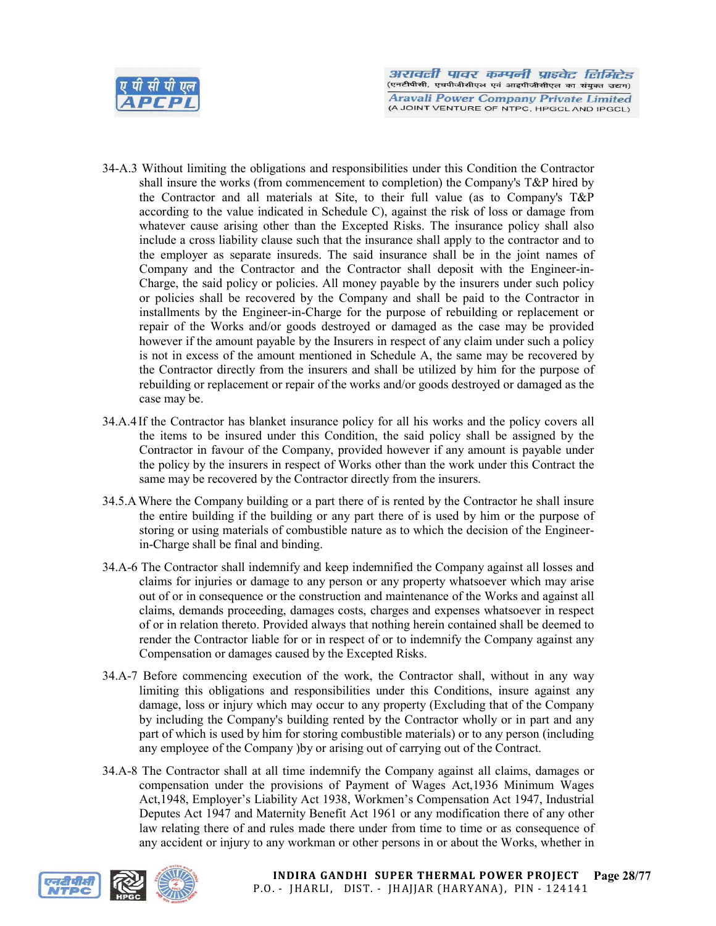

- 34-A.3 Without limiting the obligations and responsibilities under this Condition the Contractor shall insure the works (from commencement to completion) the Company's T&P hired by the Contractor and all materials at Site, to their full value (as to Company's T&P according to the value indicated in Schedule C), against the risk of loss or damage from whatever cause arising other than the Excepted Risks. The insurance policy shall also include a cross liability clause such that the insurance shall apply to the contractor and to the employer as separate insureds. The said insurance shall be in the joint names of Company and the Contractor and the Contractor shall deposit with the Engineer-in-Charge, the said policy or policies. All money payable by the insurers under such policy or policies shall be recovered by the Company and shall be paid to the Contractor in installments by the Engineer-in-Charge for the purpose of rebuilding or replacement or repair of the Works and/or goods destroyed or damaged as the case may be provided however if the amount payable by the Insurers in respect of any claim under such a policy is not in excess of the amount mentioned in Schedule A, the same may be recovered by the Contractor directly from the insurers and shall be utilized by him for the purpose of rebuilding or replacement or repair of the works and/or goods destroyed or damaged as the case may be.
- 34.A.4 If the Contractor has blanket insurance policy for all his works and the policy covers all the items to be insured under this Condition, the said policy shall be assigned by the Contractor in favour of the Company, provided however if any amount is payable under the policy by the insurers in respect of Works other than the work under this Contract the same may be recovered by the Contractor directly from the insurers.
- 34.5.AWhere the Company building or a part there of is rented by the Contractor he shall insure the entire building if the building or any part there of is used by him or the purpose of storing or using materials of combustible nature as to which the decision of the Engineerin-Charge shall be final and binding.
- 34.A-6 The Contractor shall indemnify and keep indemnified the Company against all losses and claims for injuries or damage to any person or any property whatsoever which may arise out of or in consequence or the construction and maintenance of the Works and against all claims, demands proceeding, damages costs, charges and expenses whatsoever in respect of or in relation thereto. Provided always that nothing herein contained shall be deemed to render the Contractor liable for or in respect of or to indemnify the Company against any Compensation or damages caused by the Excepted Risks.
- 34.A-7 Before commencing execution of the work, the Contractor shall, without in any way limiting this obligations and responsibilities under this Conditions, insure against any damage, loss or injury which may occur to any property (Excluding that of the Company by including the Company's building rented by the Contractor wholly or in part and any part of which is used by him for storing combustible materials) or to any person (including any employee of the Company )by or arising out of carrying out of the Contract.
- 34.A-8 The Contractor shall at all time indemnify the Company against all claims, damages or compensation under the provisions of Payment of Wages Act,1936 Minimum Wages Act,1948, Employer's Liability Act 1938, Workmen's Compensation Act 1947, Industrial Deputes Act 1947 and Maternity Benefit Act 1961 or any modification there of any other law relating there of and rules made there under from time to time or as consequence of any accident or injury to any workman or other persons in or about the Works, whether in

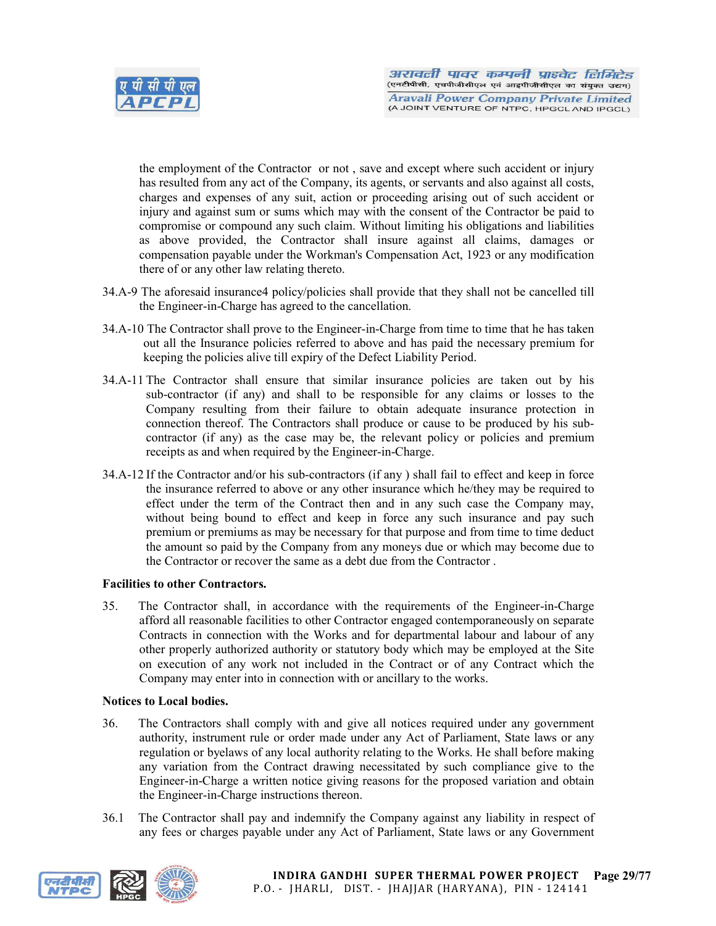

the employment of the Contractor or not , save and except where such accident or injury has resulted from any act of the Company, its agents, or servants and also against all costs, charges and expenses of any suit, action or proceeding arising out of such accident or injury and against sum or sums which may with the consent of the Contractor be paid to compromise or compound any such claim. Without limiting his obligations and liabilities as above provided, the Contractor shall insure against all claims, damages or compensation payable under the Workman's Compensation Act, 1923 or any modification there of or any other law relating thereto.

- 34.A-9 The aforesaid insurance4 policy/policies shall provide that they shall not be cancelled till the Engineer-in-Charge has agreed to the cancellation.
- 34.A-10 The Contractor shall prove to the Engineer-in-Charge from time to time that he has taken out all the Insurance policies referred to above and has paid the necessary premium for keeping the policies alive till expiry of the Defect Liability Period.
- 34.A-11 The Contractor shall ensure that similar insurance policies are taken out by his sub-contractor (if any) and shall to be responsible for any claims or losses to the Company resulting from their failure to obtain adequate insurance protection in connection thereof. The Contractors shall produce or cause to be produced by his subcontractor (if any) as the case may be, the relevant policy or policies and premium receipts as and when required by the Engineer-in-Charge.
- 34.A-12 If the Contractor and/or his sub-contractors (if any ) shall fail to effect and keep in force the insurance referred to above or any other insurance which he/they may be required to effect under the term of the Contract then and in any such case the Company may, without being bound to effect and keep in force any such insurance and pay such premium or premiums as may be necessary for that purpose and from time to time deduct the amount so paid by the Company from any moneys due or which may become due to the Contractor or recover the same as a debt due from the Contractor .

#### Facilities to other Contractors.

35. The Contractor shall, in accordance with the requirements of the Engineer-in-Charge afford all reasonable facilities to other Contractor engaged contemporaneously on separate Contracts in connection with the Works and for departmental labour and labour of any other properly authorized authority or statutory body which may be employed at the Site on execution of any work not included in the Contract or of any Contract which the Company may enter into in connection with or ancillary to the works.

#### Notices to Local bodies.

- 36. The Contractors shall comply with and give all notices required under any government authority, instrument rule or order made under any Act of Parliament, State laws or any regulation or byelaws of any local authority relating to the Works. He shall before making any variation from the Contract drawing necessitated by such compliance give to the Engineer-in-Charge a written notice giving reasons for the proposed variation and obtain the Engineer-in-Charge instructions thereon.
- 36.1 The Contractor shall pay and indemnify the Company against any liability in respect of any fees or charges payable under any Act of Parliament, State laws or any Government

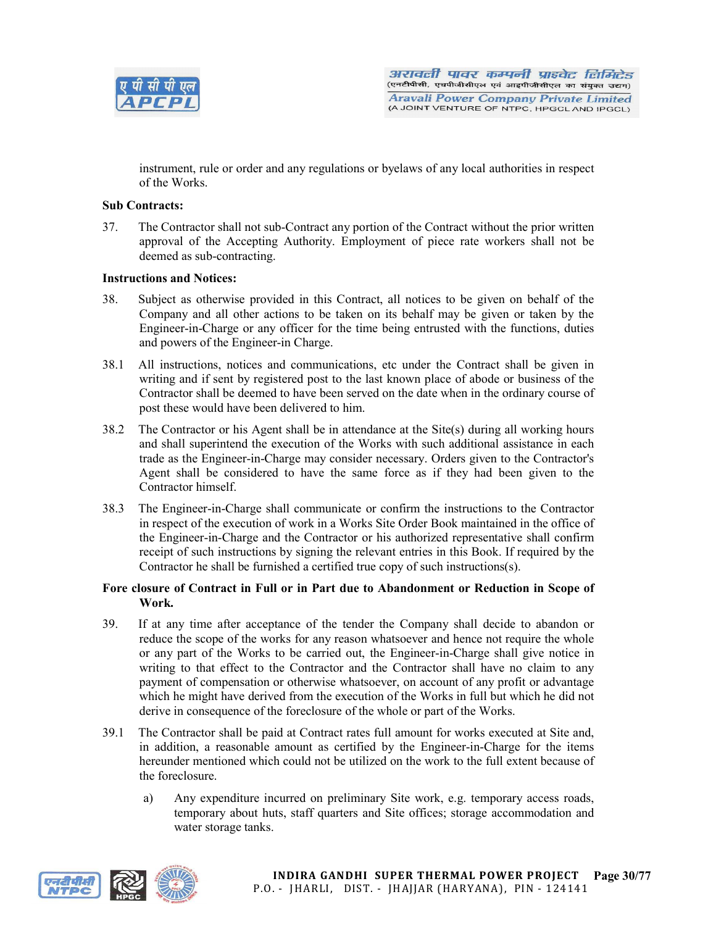

instrument, rule or order and any regulations or byelaws of any local authorities in respect of the Works.

## Sub Contracts:

37. The Contractor shall not sub-Contract any portion of the Contract without the prior written approval of the Accepting Authority. Employment of piece rate workers shall not be deemed as sub-contracting.

## Instructions and Notices:

- 38. Subject as otherwise provided in this Contract, all notices to be given on behalf of the Company and all other actions to be taken on its behalf may be given or taken by the Engineer-in-Charge or any officer for the time being entrusted with the functions, duties and powers of the Engineer-in Charge.
- 38.1 All instructions, notices and communications, etc under the Contract shall be given in writing and if sent by registered post to the last known place of abode or business of the Contractor shall be deemed to have been served on the date when in the ordinary course of post these would have been delivered to him.
- 38.2 The Contractor or his Agent shall be in attendance at the Site(s) during all working hours and shall superintend the execution of the Works with such additional assistance in each trade as the Engineer-in-Charge may consider necessary. Orders given to the Contractor's Agent shall be considered to have the same force as if they had been given to the Contractor himself.
- 38.3 The Engineer-in-Charge shall communicate or confirm the instructions to the Contractor in respect of the execution of work in a Works Site Order Book maintained in the office of the Engineer-in-Charge and the Contractor or his authorized representative shall confirm receipt of such instructions by signing the relevant entries in this Book. If required by the Contractor he shall be furnished a certified true copy of such instructions(s).

#### Fore closure of Contract in Full or in Part due to Abandonment or Reduction in Scope of Work.

- 39. If at any time after acceptance of the tender the Company shall decide to abandon or reduce the scope of the works for any reason whatsoever and hence not require the whole or any part of the Works to be carried out, the Engineer-in-Charge shall give notice in writing to that effect to the Contractor and the Contractor shall have no claim to any payment of compensation or otherwise whatsoever, on account of any profit or advantage which he might have derived from the execution of the Works in full but which he did not derive in consequence of the foreclosure of the whole or part of the Works.
- 39.1 The Contractor shall be paid at Contract rates full amount for works executed at Site and, in addition, a reasonable amount as certified by the Engineer-in-Charge for the items hereunder mentioned which could not be utilized on the work to the full extent because of the foreclosure.
	- a) Any expenditure incurred on preliminary Site work, e.g. temporary access roads, temporary about huts, staff quarters and Site offices; storage accommodation and water storage tanks.

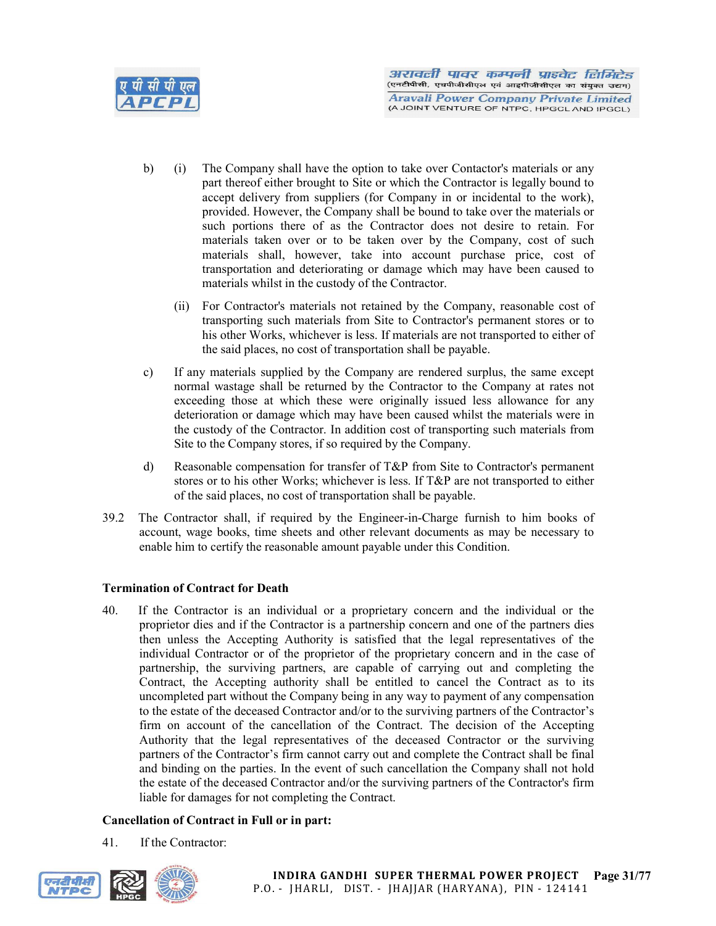

- b) (i) The Company shall have the option to take over Contactor's materials or any part thereof either brought to Site or which the Contractor is legally bound to accept delivery from suppliers (for Company in or incidental to the work), provided. However, the Company shall be bound to take over the materials or such portions there of as the Contractor does not desire to retain. For materials taken over or to be taken over by the Company, cost of such materials shall, however, take into account purchase price, cost of transportation and deteriorating or damage which may have been caused to materials whilst in the custody of the Contractor.
	- (ii) For Contractor's materials not retained by the Company, reasonable cost of transporting such materials from Site to Contractor's permanent stores or to his other Works, whichever is less. If materials are not transported to either of the said places, no cost of transportation shall be payable.
- c) If any materials supplied by the Company are rendered surplus, the same except normal wastage shall be returned by the Contractor to the Company at rates not exceeding those at which these were originally issued less allowance for any deterioration or damage which may have been caused whilst the materials were in the custody of the Contractor. In addition cost of transporting such materials from Site to the Company stores, if so required by the Company.
- d) Reasonable compensation for transfer of T&P from Site to Contractor's permanent stores or to his other Works; whichever is less. If T&P are not transported to either of the said places, no cost of transportation shall be payable.
- 39.2 The Contractor shall, if required by the Engineer-in-Charge furnish to him books of account, wage books, time sheets and other relevant documents as may be necessary to enable him to certify the reasonable amount payable under this Condition.

## Termination of Contract for Death

40. If the Contractor is an individual or a proprietary concern and the individual or the proprietor dies and if the Contractor is a partnership concern and one of the partners dies then unless the Accepting Authority is satisfied that the legal representatives of the individual Contractor or of the proprietor of the proprietary concern and in the case of partnership, the surviving partners, are capable of carrying out and completing the Contract, the Accepting authority shall be entitled to cancel the Contract as to its uncompleted part without the Company being in any way to payment of any compensation to the estate of the deceased Contractor and/or to the surviving partners of the Contractor's firm on account of the cancellation of the Contract. The decision of the Accepting Authority that the legal representatives of the deceased Contractor or the surviving partners of the Contractor's firm cannot carry out and complete the Contract shall be final and binding on the parties. In the event of such cancellation the Company shall not hold the estate of the deceased Contractor and/or the surviving partners of the Contractor's firm liable for damages for not completing the Contract.

## Cancellation of Contract in Full or in part:

41. If the Contractor:

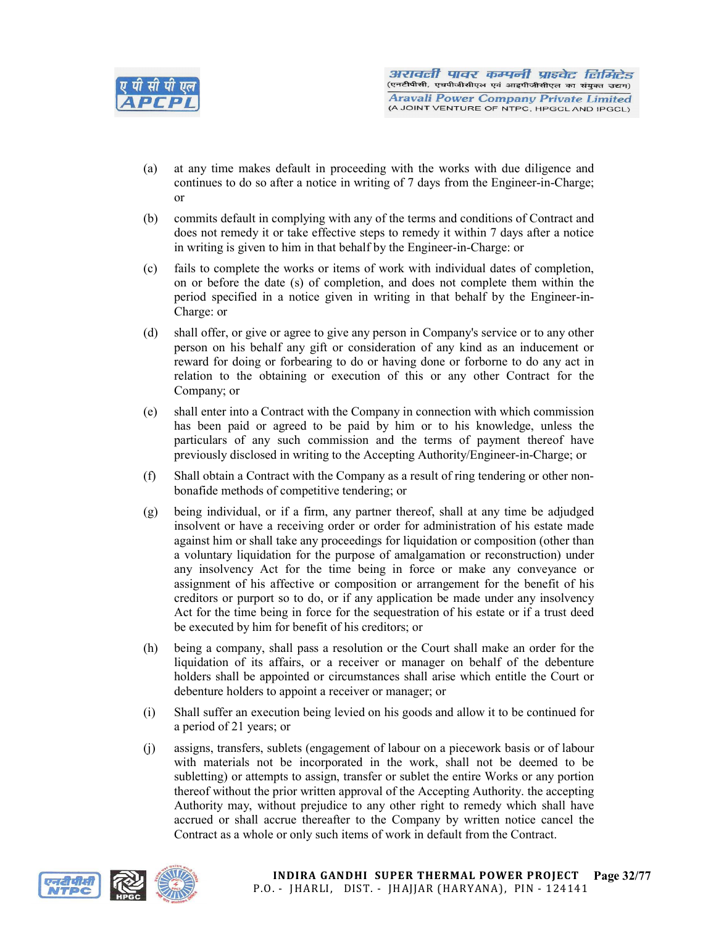

- (a) at any time makes default in proceeding with the works with due diligence and continues to do so after a notice in writing of 7 days from the Engineer-in-Charge; or
- (b) commits default in complying with any of the terms and conditions of Contract and does not remedy it or take effective steps to remedy it within 7 days after a notice in writing is given to him in that behalf by the Engineer-in-Charge: or
- (c) fails to complete the works or items of work with individual dates of completion, on or before the date (s) of completion, and does not complete them within the period specified in a notice given in writing in that behalf by the Engineer-in-Charge: or
- (d) shall offer, or give or agree to give any person in Company's service or to any other person on his behalf any gift or consideration of any kind as an inducement or reward for doing or forbearing to do or having done or forborne to do any act in relation to the obtaining or execution of this or any other Contract for the Company; or
- (e) shall enter into a Contract with the Company in connection with which commission has been paid or agreed to be paid by him or to his knowledge, unless the particulars of any such commission and the terms of payment thereof have previously disclosed in writing to the Accepting Authority/Engineer-in-Charge; or
- (f) Shall obtain a Contract with the Company as a result of ring tendering or other nonbonafide methods of competitive tendering; or
- (g) being individual, or if a firm, any partner thereof, shall at any time be adjudged insolvent or have a receiving order or order for administration of his estate made against him or shall take any proceedings for liquidation or composition (other than a voluntary liquidation for the purpose of amalgamation or reconstruction) under any insolvency Act for the time being in force or make any conveyance or assignment of his affective or composition or arrangement for the benefit of his creditors or purport so to do, or if any application be made under any insolvency Act for the time being in force for the sequestration of his estate or if a trust deed be executed by him for benefit of his creditors; or
- (h) being a company, shall pass a resolution or the Court shall make an order for the liquidation of its affairs, or a receiver or manager on behalf of the debenture holders shall be appointed or circumstances shall arise which entitle the Court or debenture holders to appoint a receiver or manager; or
- (i) Shall suffer an execution being levied on his goods and allow it to be continued for a period of 21 years; or
- (j) assigns, transfers, sublets (engagement of labour on a piecework basis or of labour with materials not be incorporated in the work, shall not be deemed to be subletting) or attempts to assign, transfer or sublet the entire Works or any portion thereof without the prior written approval of the Accepting Authority. the accepting Authority may, without prejudice to any other right to remedy which shall have accrued or shall accrue thereafter to the Company by written notice cancel the Contract as a whole or only such items of work in default from the Contract.

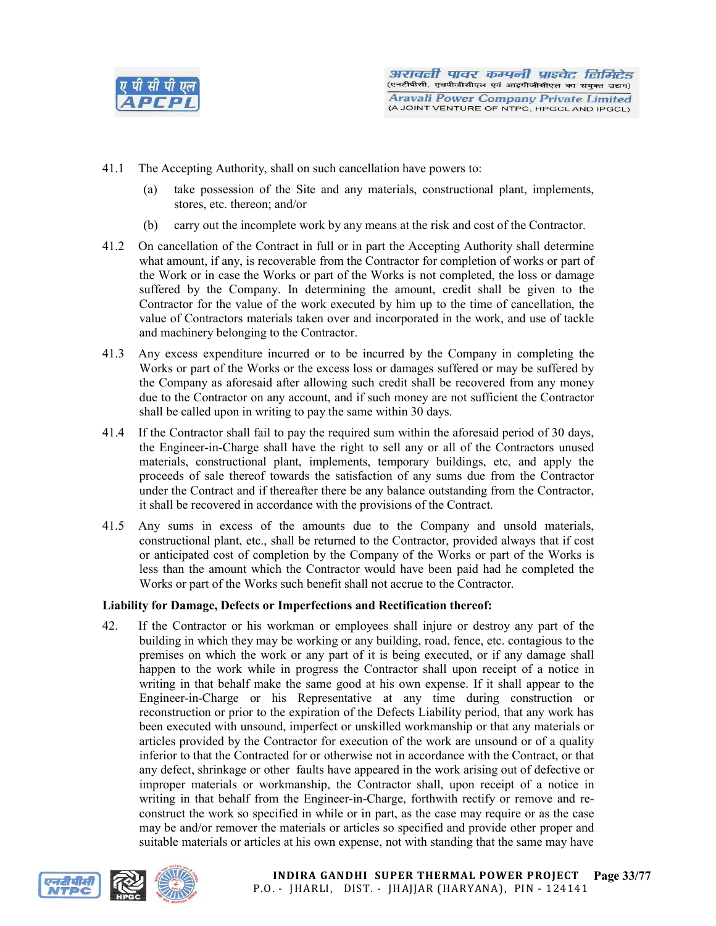

- 41.1 The Accepting Authority, shall on such cancellation have powers to:
	- (a) take possession of the Site and any materials, constructional plant, implements, stores, etc. thereon; and/or
	- (b) carry out the incomplete work by any means at the risk and cost of the Contractor.
- 41.2 On cancellation of the Contract in full or in part the Accepting Authority shall determine what amount, if any, is recoverable from the Contractor for completion of works or part of the Work or in case the Works or part of the Works is not completed, the loss or damage suffered by the Company. In determining the amount, credit shall be given to the Contractor for the value of the work executed by him up to the time of cancellation, the value of Contractors materials taken over and incorporated in the work, and use of tackle and machinery belonging to the Contractor.
- 41.3 Any excess expenditure incurred or to be incurred by the Company in completing the Works or part of the Works or the excess loss or damages suffered or may be suffered by the Company as aforesaid after allowing such credit shall be recovered from any money due to the Contractor on any account, and if such money are not sufficient the Contractor shall be called upon in writing to pay the same within 30 days.
- 41.4 If the Contractor shall fail to pay the required sum within the aforesaid period of 30 days, the Engineer-in-Charge shall have the right to sell any or all of the Contractors unused materials, constructional plant, implements, temporary buildings, etc, and apply the proceeds of sale thereof towards the satisfaction of any sums due from the Contractor under the Contract and if thereafter there be any balance outstanding from the Contractor, it shall be recovered in accordance with the provisions of the Contract.
- 41.5 Any sums in excess of the amounts due to the Company and unsold materials, constructional plant, etc., shall be returned to the Contractor, provided always that if cost or anticipated cost of completion by the Company of the Works or part of the Works is less than the amount which the Contractor would have been paid had he completed the Works or part of the Works such benefit shall not accrue to the Contractor.

## Liability for Damage, Defects or Imperfections and Rectification thereof:

42. If the Contractor or his workman or employees shall injure or destroy any part of the building in which they may be working or any building, road, fence, etc. contagious to the premises on which the work or any part of it is being executed, or if any damage shall happen to the work while in progress the Contractor shall upon receipt of a notice in writing in that behalf make the same good at his own expense. If it shall appear to the Engineer-in-Charge or his Representative at any time during construction or reconstruction or prior to the expiration of the Defects Liability period, that any work has been executed with unsound, imperfect or unskilled workmanship or that any materials or articles provided by the Contractor for execution of the work are unsound or of a quality inferior to that the Contracted for or otherwise not in accordance with the Contract, or that any defect, shrinkage or other faults have appeared in the work arising out of defective or improper materials or workmanship, the Contractor shall, upon receipt of a notice in writing in that behalf from the Engineer-in-Charge, forthwith rectify or remove and reconstruct the work so specified in while or in part, as the case may require or as the case may be and/or remover the materials or articles so specified and provide other proper and suitable materials or articles at his own expense, not with standing that the same may have

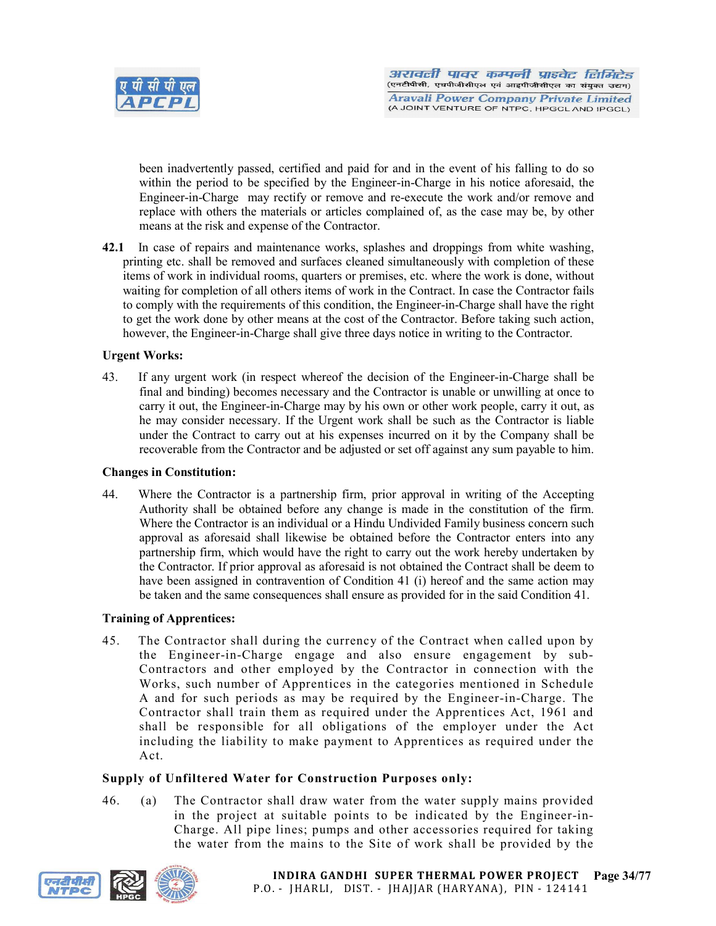

been inadvertently passed, certified and paid for and in the event of his falling to do so within the period to be specified by the Engineer-in-Charge in his notice aforesaid, the Engineer-in-Charge may rectify or remove and re-execute the work and/or remove and replace with others the materials or articles complained of, as the case may be, by other means at the risk and expense of the Contractor.

42.1 In case of repairs and maintenance works, splashes and droppings from white washing, printing etc. shall be removed and surfaces cleaned simultaneously with completion of these items of work in individual rooms, quarters or premises, etc. where the work is done, without waiting for completion of all others items of work in the Contract. In case the Contractor fails to comply with the requirements of this condition, the Engineer-in-Charge shall have the right to get the work done by other means at the cost of the Contractor. Before taking such action, however, the Engineer-in-Charge shall give three days notice in writing to the Contractor.

## Urgent Works:

43. If any urgent work (in respect whereof the decision of the Engineer-in-Charge shall be final and binding) becomes necessary and the Contractor is unable or unwilling at once to carry it out, the Engineer-in-Charge may by his own or other work people, carry it out, as he may consider necessary. If the Urgent work shall be such as the Contractor is liable under the Contract to carry out at his expenses incurred on it by the Company shall be recoverable from the Contractor and be adjusted or set off against any sum payable to him.

#### Changes in Constitution:

44. Where the Contractor is a partnership firm, prior approval in writing of the Accepting Authority shall be obtained before any change is made in the constitution of the firm. Where the Contractor is an individual or a Hindu Undivided Family business concern such approval as aforesaid shall likewise be obtained before the Contractor enters into any partnership firm, which would have the right to carry out the work hereby undertaken by the Contractor. If prior approval as aforesaid is not obtained the Contract shall be deem to have been assigned in contravention of Condition 41 (i) hereof and the same action may be taken and the same consequences shall ensure as provided for in the said Condition 41.

## Training of Apprentices:

45. The Contractor shall during the currency of the Contract when called upon by the Engineer-in-Charge engage and also ensure engagement by sub-Contractors and other employed by the Contractor in connection with the Works, such number of Apprentices in the categories mentioned in Schedule A and for such periods as may be required by the Engineer-in-Charge. The Contractor shall train them as required under the Apprentices Act, 1961 and shall be responsible for all obligations of the employer under the Act including the liability to make payment to Apprentices as required under the Act.

## Supply of Unfiltered Water for Construction Purposes only:

46. (a) The Contractor shall draw water from the water supply mains provided in the project at suitable points to be indicated by the Engineer-in-Charge. All pipe lines; pumps and other accessories required for taking the water from the mains to the Site of work shall be provided by the

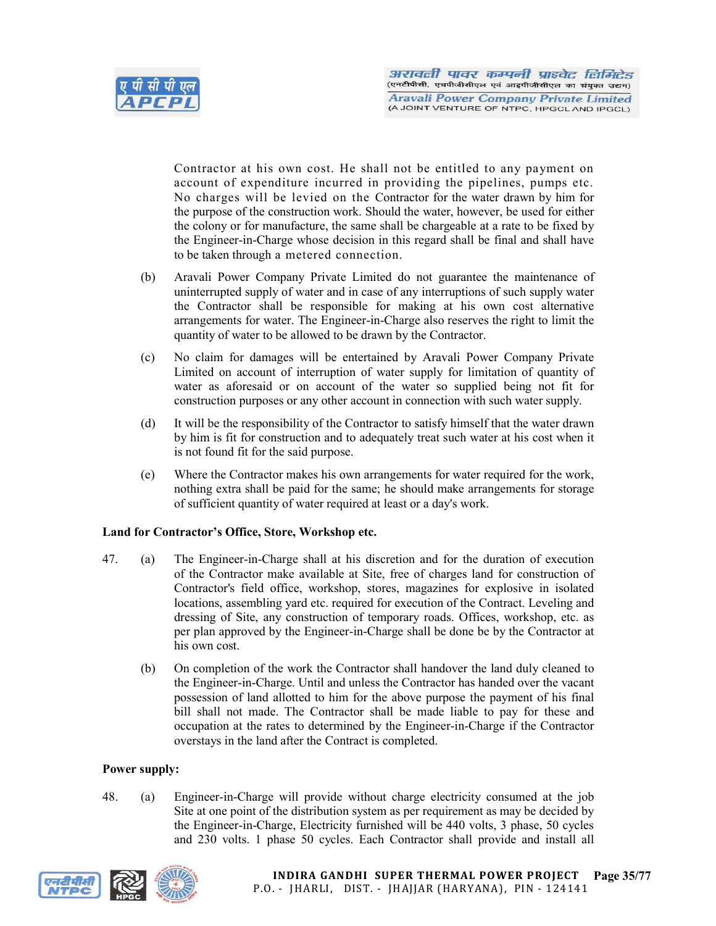

Contractor at his own cost. He shall not be entitled to any payment on account of expenditure incurred in providing the pipelines, pumps etc. No charges will be levied on the Contractor for the water drawn by him for the purpose of the construction work. Should the water, however, be used for either the colony or for manufacture, the same shall be chargeable at a rate to be fixed by the Engineer-in-Charge whose decision in this regard shall be final and shall have to be taken through a metered connection.

- (b) Aravali Power Company Private Limited do not guarantee the maintenance of uninterrupted supply of water and in case of any interruptions of such supply water the Contractor shall be responsible for making at his own cost alternative arrangements for water. The Engineer-in-Charge also reserves the right to limit the quantity of water to be allowed to be drawn by the Contractor.
- (c) No claim for damages will be entertained by Aravali Power Company Private Limited on account of interruption of water supply for limitation of quantity of water as aforesaid or on account of the water so supplied being not fit for construction purposes or any other account in connection with such water supply.
- (d) It will be the responsibility of the Contractor to satisfy himself that the water drawn by him is fit for construction and to adequately treat such water at his cost when it is not found fit for the said purpose.
- (e) Where the Contractor makes his own arrangements for water required for the work, nothing extra shall be paid for the same; he should make arrangements for storage of sufficient quantity of water required at least or a day's work.

## Land for Contractor's Office, Store, Workshop etc.

- 47. (a) The Engineer-in-Charge shall at his discretion and for the duration of execution of the Contractor make available at Site, free of charges land for construction of Contractor's field office, workshop, stores, magazines for explosive in isolated locations, assembling yard etc. required for execution of the Contract. Leveling and dressing of Site, any construction of temporary roads. Offices, workshop, etc. as per plan approved by the Engineer-in-Charge shall be done be by the Contractor at his own cost.
	- (b) On completion of the work the Contractor shall handover the land duly cleaned to the Engineer-in-Charge. Until and unless the Contractor has handed over the vacant possession of land allotted to him for the above purpose the payment of his final bill shall not made. The Contractor shall be made liable to pay for these and occupation at the rates to determined by the Engineer-in-Charge if the Contractor overstays in the land after the Contract is completed.

## Power supply:

48. (a) Engineer-in-Charge will provide without charge electricity consumed at the job Site at one point of the distribution system as per requirement as may be decided by the Engineer-in-Charge, Electricity furnished will be 440 volts, 3 phase, 50 cycles and 230 volts. 1 phase 50 cycles. Each Contractor shall provide and install all



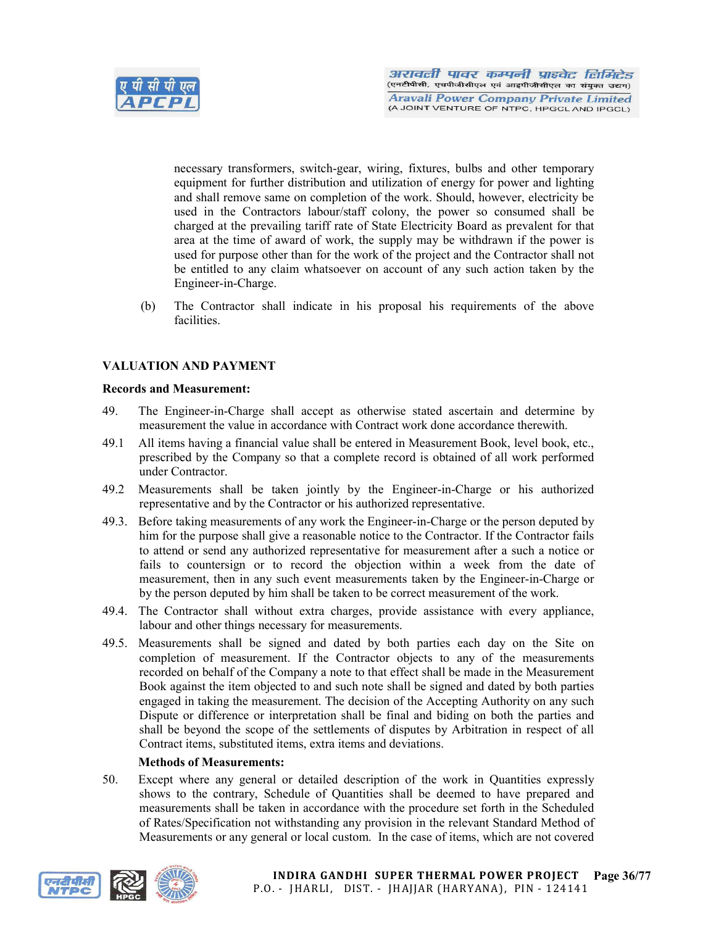

necessary transformers, switch-gear, wiring, fixtures, bulbs and other temporary equipment for further distribution and utilization of energy for power and lighting and shall remove same on completion of the work. Should, however, electricity be used in the Contractors labour/staff colony, the power so consumed shall be charged at the prevailing tariff rate of State Electricity Board as prevalent for that area at the time of award of work, the supply may be withdrawn if the power is used for purpose other than for the work of the project and the Contractor shall not be entitled to any claim whatsoever on account of any such action taken by the Engineer-in-Charge.

(b) The Contractor shall indicate in his proposal his requirements of the above facilities.

## VALUATION AND PAYMENT

#### Records and Measurement:

- 49. The Engineer-in-Charge shall accept as otherwise stated ascertain and determine by measurement the value in accordance with Contract work done accordance therewith.
- 49.1 All items having a financial value shall be entered in Measurement Book, level book, etc., prescribed by the Company so that a complete record is obtained of all work performed under Contractor.
- 49.2 Measurements shall be taken jointly by the Engineer-in-Charge or his authorized representative and by the Contractor or his authorized representative.
- 49.3. Before taking measurements of any work the Engineer-in-Charge or the person deputed by him for the purpose shall give a reasonable notice to the Contractor. If the Contractor fails to attend or send any authorized representative for measurement after a such a notice or fails to countersign or to record the objection within a week from the date of measurement, then in any such event measurements taken by the Engineer-in-Charge or by the person deputed by him shall be taken to be correct measurement of the work.
- 49.4. The Contractor shall without extra charges, provide assistance with every appliance, labour and other things necessary for measurements.
- 49.5. Measurements shall be signed and dated by both parties each day on the Site on completion of measurement. If the Contractor objects to any of the measurements recorded on behalf of the Company a note to that effect shall be made in the Measurement Book against the item objected to and such note shall be signed and dated by both parties engaged in taking the measurement. The decision of the Accepting Authority on any such Dispute or difference or interpretation shall be final and biding on both the parties and shall be beyond the scope of the settlements of disputes by Arbitration in respect of all Contract items, substituted items, extra items and deviations.

## Methods of Measurements:

50. Except where any general or detailed description of the work in Quantities expressly shows to the contrary, Schedule of Quantities shall be deemed to have prepared and measurements shall be taken in accordance with the procedure set forth in the Scheduled of Rates/Specification not withstanding any provision in the relevant Standard Method of Measurements or any general or local custom. In the case of items, which are not covered

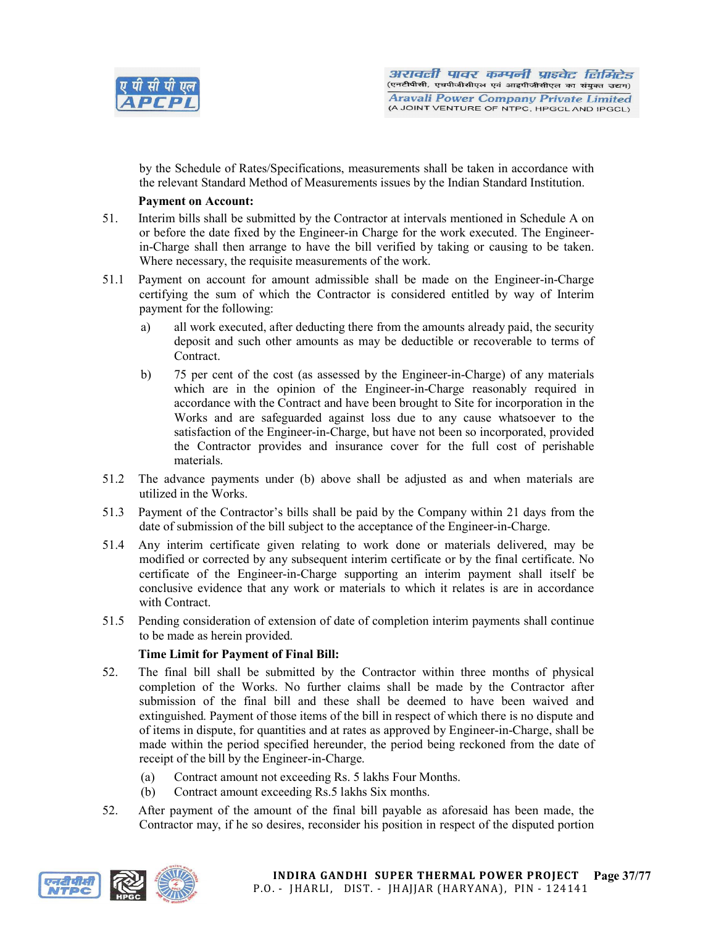

by the Schedule of Rates/Specifications, measurements shall be taken in accordance with the relevant Standard Method of Measurements issues by the Indian Standard Institution.

# Payment on Account:

- 51. Interim bills shall be submitted by the Contractor at intervals mentioned in Schedule A on or before the date fixed by the Engineer-in Charge for the work executed. The Engineerin-Charge shall then arrange to have the bill verified by taking or causing to be taken. Where necessary, the requisite measurements of the work.
- 51.1 Payment on account for amount admissible shall be made on the Engineer-in-Charge certifying the sum of which the Contractor is considered entitled by way of Interim payment for the following:
	- a) all work executed, after deducting there from the amounts already paid, the security deposit and such other amounts as may be deductible or recoverable to terms of Contract.
	- b) 75 per cent of the cost (as assessed by the Engineer-in-Charge) of any materials which are in the opinion of the Engineer-in-Charge reasonably required in accordance with the Contract and have been brought to Site for incorporation in the Works and are safeguarded against loss due to any cause whatsoever to the satisfaction of the Engineer-in-Charge, but have not been so incorporated, provided the Contractor provides and insurance cover for the full cost of perishable materials.
- 51.2 The advance payments under (b) above shall be adjusted as and when materials are utilized in the Works.
- 51.3 Payment of the Contractor's bills shall be paid by the Company within 21 days from the date of submission of the bill subject to the acceptance of the Engineer-in-Charge.
- 51.4 Any interim certificate given relating to work done or materials delivered, may be modified or corrected by any subsequent interim certificate or by the final certificate. No certificate of the Engineer-in-Charge supporting an interim payment shall itself be conclusive evidence that any work or materials to which it relates is are in accordance with Contract.
- 51.5 Pending consideration of extension of date of completion interim payments shall continue to be made as herein provided.

# Time Limit for Payment of Final Bill:

- 52. The final bill shall be submitted by the Contractor within three months of physical completion of the Works. No further claims shall be made by the Contractor after submission of the final bill and these shall be deemed to have been waived and extinguished. Payment of those items of the bill in respect of which there is no dispute and of items in dispute, for quantities and at rates as approved by Engineer-in-Charge, shall be made within the period specified hereunder, the period being reckoned from the date of receipt of the bill by the Engineer-in-Charge.
	- (a) Contract amount not exceeding Rs. 5 lakhs Four Months.
	- (b) Contract amount exceeding Rs.5 lakhs Six months.
- 52. After payment of the amount of the final bill payable as aforesaid has been made, the Contractor may, if he so desires, reconsider his position in respect of the disputed portion

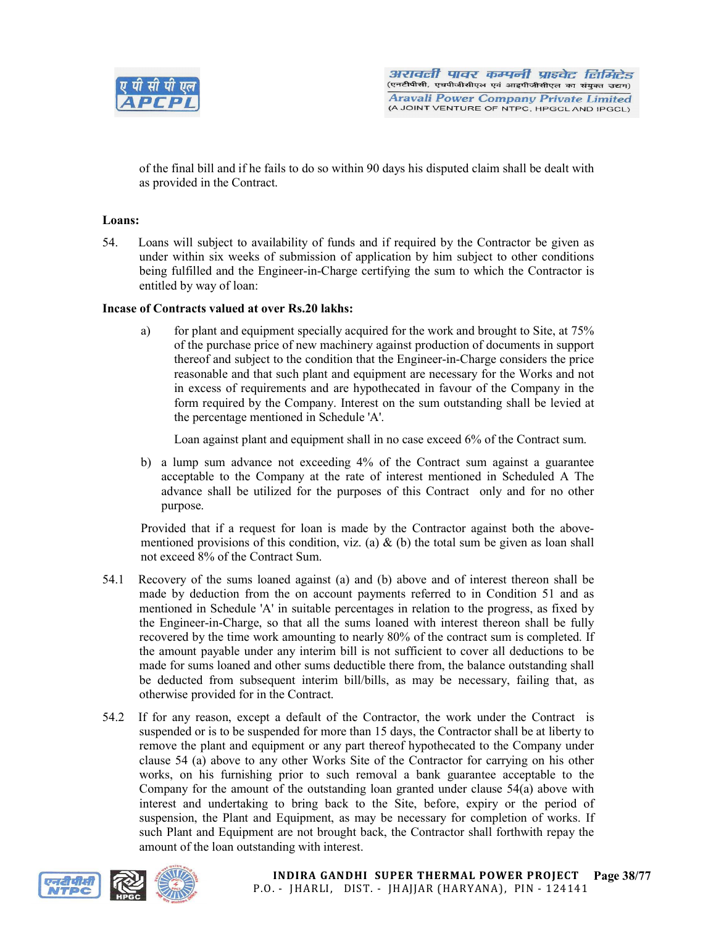

of the final bill and if he fails to do so within 90 days his disputed claim shall be dealt with as provided in the Contract.

# Loans:

54. Loans will subject to availability of funds and if required by the Contractor be given as under within six weeks of submission of application by him subject to other conditions being fulfilled and the Engineer-in-Charge certifying the sum to which the Contractor is entitled by way of loan:

## Incase of Contracts valued at over Rs.20 lakhs:

a) for plant and equipment specially acquired for the work and brought to Site, at 75% of the purchase price of new machinery against production of documents in support thereof and subject to the condition that the Engineer-in-Charge considers the price reasonable and that such plant and equipment are necessary for the Works and not in excess of requirements and are hypothecated in favour of the Company in the form required by the Company. Interest on the sum outstanding shall be levied at the percentage mentioned in Schedule 'A'.

Loan against plant and equipment shall in no case exceed 6% of the Contract sum.

b) a lump sum advance not exceeding 4% of the Contract sum against a guarantee acceptable to the Company at the rate of interest mentioned in Scheduled A The advance shall be utilized for the purposes of this Contract only and for no other purpose.

Provided that if a request for loan is made by the Contractor against both the abovementioned provisions of this condition, viz. (a)  $\&$  (b) the total sum be given as loan shall not exceed 8% of the Contract Sum.

- 54.1 Recovery of the sums loaned against (a) and (b) above and of interest thereon shall be made by deduction from the on account payments referred to in Condition 51 and as mentioned in Schedule 'A' in suitable percentages in relation to the progress, as fixed by the Engineer-in-Charge, so that all the sums loaned with interest thereon shall be fully recovered by the time work amounting to nearly 80% of the contract sum is completed. If the amount payable under any interim bill is not sufficient to cover all deductions to be made for sums loaned and other sums deductible there from, the balance outstanding shall be deducted from subsequent interim bill/bills, as may be necessary, failing that, as otherwise provided for in the Contract.
- 54.2 If for any reason, except a default of the Contractor, the work under the Contract is suspended or is to be suspended for more than 15 days, the Contractor shall be at liberty to remove the plant and equipment or any part thereof hypothecated to the Company under clause 54 (a) above to any other Works Site of the Contractor for carrying on his other works, on his furnishing prior to such removal a bank guarantee acceptable to the Company for the amount of the outstanding loan granted under clause 54(a) above with interest and undertaking to bring back to the Site, before, expiry or the period of suspension, the Plant and Equipment, as may be necessary for completion of works. If such Plant and Equipment are not brought back, the Contractor shall forthwith repay the amount of the loan outstanding with interest.



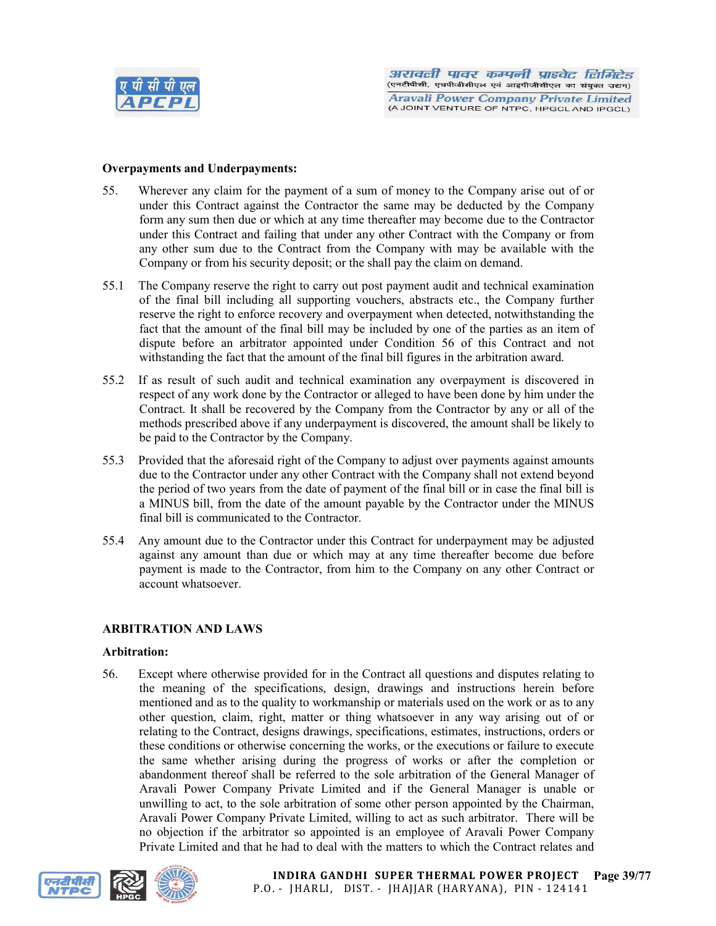

#### Overpayments and Underpayments:

- 55. Wherever any claim for the payment of a sum of money to the Company arise out of or under this Contract against the Contractor the same may be deducted by the Company form any sum then due or which at any time thereafter may become due to the Contractor under this Contract and failing that under any other Contract with the Company or from any other sum due to the Contract from the Company with may be available with the Company or from his security deposit; or the shall pay the claim on demand.
- 55.1 The Company reserve the right to carry out post payment audit and technical examination of the final bill including all supporting vouchers, abstracts etc., the Company further reserve the right to enforce recovery and overpayment when detected, notwithstanding the fact that the amount of the final bill may be included by one of the parties as an item of dispute before an arbitrator appointed under Condition 56 of this Contract and not withstanding the fact that the amount of the final bill figures in the arbitration award.
- 55.2 If as result of such audit and technical examination any overpayment is discovered in respect of any work done by the Contractor or alleged to have been done by him under the Contract. It shall be recovered by the Company from the Contractor by any or all of the methods prescribed above if any underpayment is discovered, the amount shall be likely to be paid to the Contractor by the Company.
- 55.3 Provided that the aforesaid right of the Company to adjust over payments against amounts due to the Contractor under any other Contract with the Company shall not extend beyond the period of two years from the date of payment of the final bill or in case the final bill is a MINUS bill, from the date of the amount payable by the Contractor under the MINUS final bill is communicated to the Contractor.
- 55.4 Any amount due to the Contractor under this Contract for underpayment may be adjusted against any amount than due or which may at any time thereafter become due before payment is made to the Contractor, from him to the Company on any other Contract or account whatsoever.

#### ARBITRATION AND LAWS

#### Arbitration:

56. Except where otherwise provided for in the Contract all questions and disputes relating to the meaning of the specifications, design, drawings and instructions herein before mentioned and as to the quality to workmanship or materials used on the work or as to any other question, claim, right, matter or thing whatsoever in any way arising out of or relating to the Contract, designs drawings, specifications, estimates, instructions, orders or these conditions or otherwise concerning the works, or the executions or failure to execute the same whether arising during the progress of works or after the completion or abandonment thereof shall be referred to the sole arbitration of the General Manager of Aravali Power Company Private Limited and if the General Manager is unable or unwilling to act, to the sole arbitration of some other person appointed by the Chairman, Aravali Power Company Private Limited, willing to act as such arbitrator. There will be no objection if the arbitrator so appointed is an employee of Aravali Power Company Private Limited and that he had to deal with the matters to which the Contract relates and

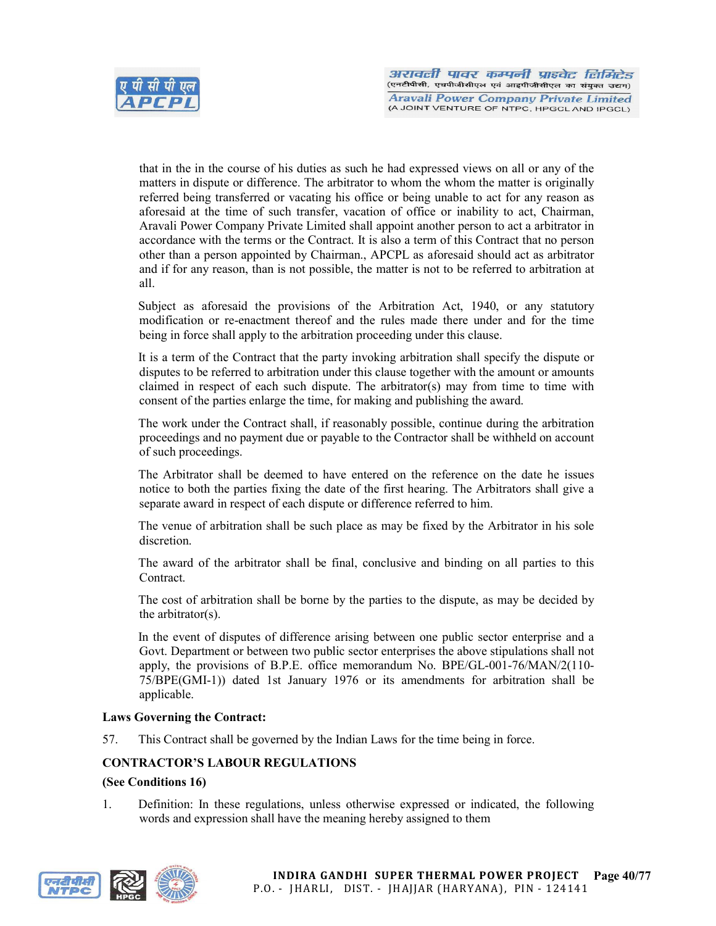

that in the in the course of his duties as such he had expressed views on all or any of the matters in dispute or difference. The arbitrator to whom the whom the matter is originally referred being transferred or vacating his office or being unable to act for any reason as aforesaid at the time of such transfer, vacation of office or inability to act, Chairman, Aravali Power Company Private Limited shall appoint another person to act a arbitrator in accordance with the terms or the Contract. It is also a term of this Contract that no person other than a person appointed by Chairman., APCPL as aforesaid should act as arbitrator and if for any reason, than is not possible, the matter is not to be referred to arbitration at all.

Subject as aforesaid the provisions of the Arbitration Act, 1940, or any statutory modification or re-enactment thereof and the rules made there under and for the time being in force shall apply to the arbitration proceeding under this clause.

It is a term of the Contract that the party invoking arbitration shall specify the dispute or disputes to be referred to arbitration under this clause together with the amount or amounts claimed in respect of each such dispute. The arbitrator(s) may from time to time with consent of the parties enlarge the time, for making and publishing the award.

The work under the Contract shall, if reasonably possible, continue during the arbitration proceedings and no payment due or payable to the Contractor shall be withheld on account of such proceedings.

The Arbitrator shall be deemed to have entered on the reference on the date he issues notice to both the parties fixing the date of the first hearing. The Arbitrators shall give a separate award in respect of each dispute or difference referred to him.

The venue of arbitration shall be such place as may be fixed by the Arbitrator in his sole discretion.

The award of the arbitrator shall be final, conclusive and binding on all parties to this Contract.

The cost of arbitration shall be borne by the parties to the dispute, as may be decided by the arbitrator(s).

In the event of disputes of difference arising between one public sector enterprise and a Govt. Department or between two public sector enterprises the above stipulations shall not apply, the provisions of B.P.E. office memorandum No. BPE/GL-001-76/MAN/2(110- 75/BPE(GMI-1)) dated 1st January 1976 or its amendments for arbitration shall be applicable.

# Laws Governing the Contract:

57. This Contract shall be governed by the Indian Laws for the time being in force.

# CONTRACTOR'S LABOUR REGULATIONS

#### (See Conditions 16)

1. Definition: In these regulations, unless otherwise expressed or indicated, the following words and expression shall have the meaning hereby assigned to them

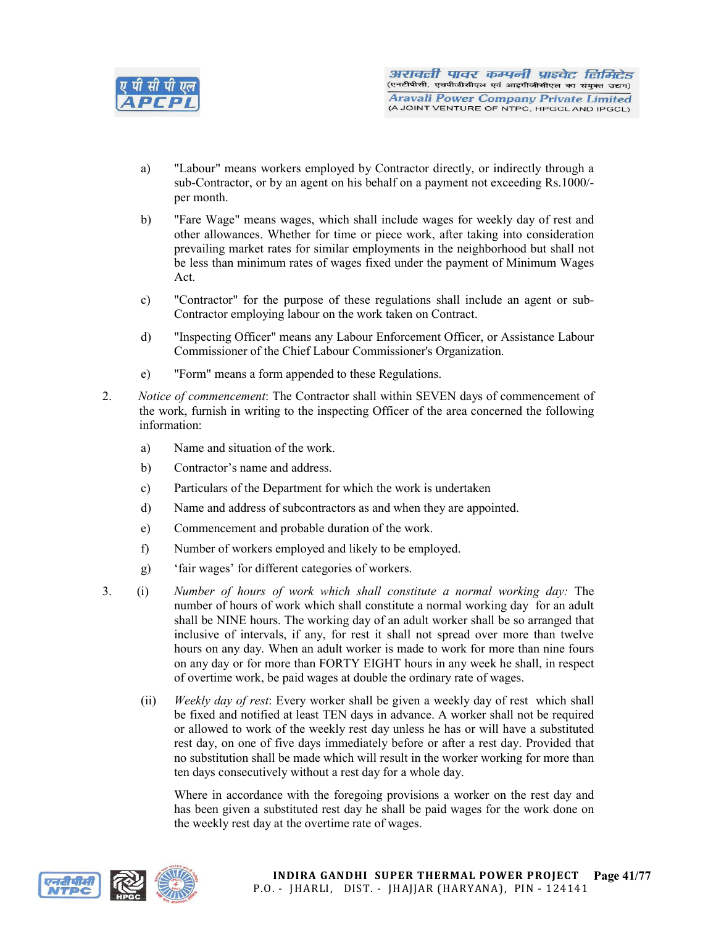

- a) "Labour" means workers employed by Contractor directly, or indirectly through a sub-Contractor, or by an agent on his behalf on a payment not exceeding Rs.1000/ per month.
- b) "Fare Wage" means wages, which shall include wages for weekly day of rest and other allowances. Whether for time or piece work, after taking into consideration prevailing market rates for similar employments in the neighborhood but shall not be less than minimum rates of wages fixed under the payment of Minimum Wages Act.
- c) "Contractor" for the purpose of these regulations shall include an agent or sub-Contractor employing labour on the work taken on Contract.
- d) "Inspecting Officer" means any Labour Enforcement Officer, or Assistance Labour Commissioner of the Chief Labour Commissioner's Organization.
- e) "Form" means a form appended to these Regulations.
- 2. *Notice of commencement*: The Contractor shall within SEVEN days of commencement of the work, furnish in writing to the inspecting Officer of the area concerned the following information:
	- a) Name and situation of the work.
	- b) Contractor's name and address.
	- c) Particulars of the Department for which the work is undertaken
	- d) Name and address of subcontractors as and when they are appointed.
	- e) Commencement and probable duration of the work.
	- f) Number of workers employed and likely to be employed.
	- g) 'fair wages' for different categories of workers.
- 3. (i) *Number of hours of work which shall constitute a normal working day:* The number of hours of work which shall constitute a normal working day for an adult shall be NINE hours. The working day of an adult worker shall be so arranged that inclusive of intervals, if any, for rest it shall not spread over more than twelve hours on any day. When an adult worker is made to work for more than nine fours on any day or for more than FORTY EIGHT hours in any week he shall, in respect of overtime work, be paid wages at double the ordinary rate of wages.
	- (ii) *Weekly day of rest*: Every worker shall be given a weekly day of rest which shall be fixed and notified at least TEN days in advance. A worker shall not be required or allowed to work of the weekly rest day unless he has or will have a substituted rest day, on one of five days immediately before or after a rest day. Provided that no substitution shall be made which will result in the worker working for more than ten days consecutively without a rest day for a whole day.

Where in accordance with the foregoing provisions a worker on the rest day and has been given a substituted rest day he shall be paid wages for the work done on the weekly rest day at the overtime rate of wages.



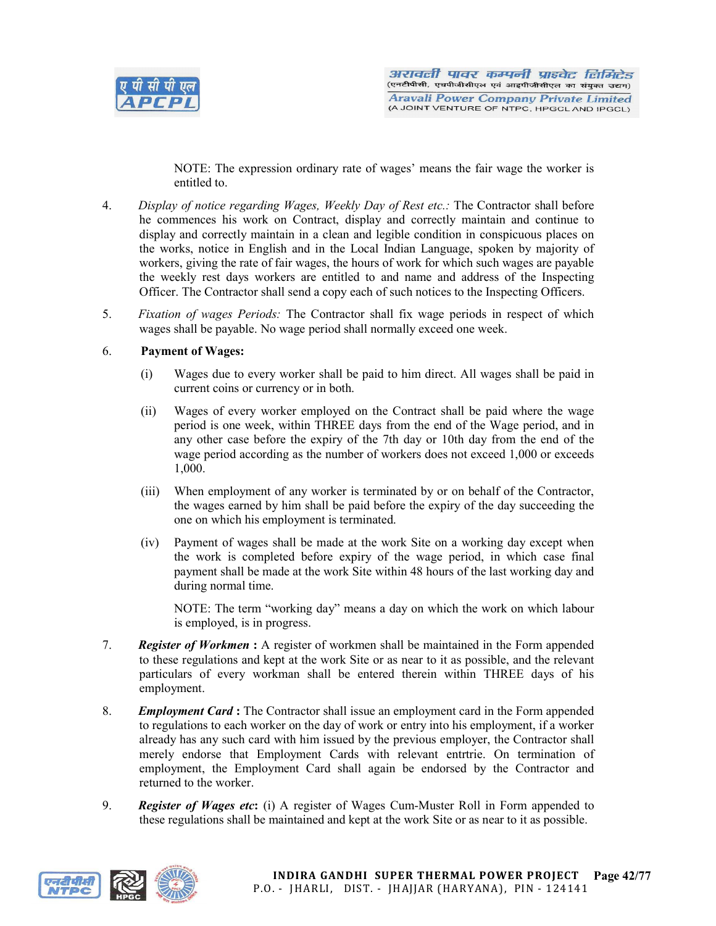

NOTE: The expression ordinary rate of wages' means the fair wage the worker is entitled to.

- 4. *Display of notice regarding Wages, Weekly Day of Rest etc.:* The Contractor shall before he commences his work on Contract, display and correctly maintain and continue to display and correctly maintain in a clean and legible condition in conspicuous places on the works, notice in English and in the Local Indian Language, spoken by majority of workers, giving the rate of fair wages, the hours of work for which such wages are payable the weekly rest days workers are entitled to and name and address of the Inspecting Officer. The Contractor shall send a copy each of such notices to the Inspecting Officers.
- 5. *Fixation of wages Periods:* The Contractor shall fix wage periods in respect of which wages shall be payable. No wage period shall normally exceed one week.

# 6. Payment of Wages:

- (i) Wages due to every worker shall be paid to him direct. All wages shall be paid in current coins or currency or in both.
- (ii) Wages of every worker employed on the Contract shall be paid where the wage period is one week, within THREE days from the end of the Wage period, and in any other case before the expiry of the 7th day or 10th day from the end of the wage period according as the number of workers does not exceed 1,000 or exceeds 1,000.
- (iii) When employment of any worker is terminated by or on behalf of the Contractor, the wages earned by him shall be paid before the expiry of the day succeeding the one on which his employment is terminated.
- (iv) Payment of wages shall be made at the work Site on a working day except when the work is completed before expiry of the wage period, in which case final payment shall be made at the work Site within 48 hours of the last working day and during normal time.

NOTE: The term "working day" means a day on which the work on which labour is employed, is in progress.

- 7. *Register of Workmen* : A register of workmen shall be maintained in the Form appended to these regulations and kept at the work Site or as near to it as possible, and the relevant particulars of every workman shall be entered therein within THREE days of his employment.
- 8. *Employment Card* : The Contractor shall issue an employment card in the Form appended to regulations to each worker on the day of work or entry into his employment, if a worker already has any such card with him issued by the previous employer, the Contractor shall merely endorse that Employment Cards with relevant entrtrie. On termination of employment, the Employment Card shall again be endorsed by the Contractor and returned to the worker.
- 9. *Register of Wages etc*: (i) A register of Wages Cum-Muster Roll in Form appended to these regulations shall be maintained and kept at the work Site or as near to it as possible.

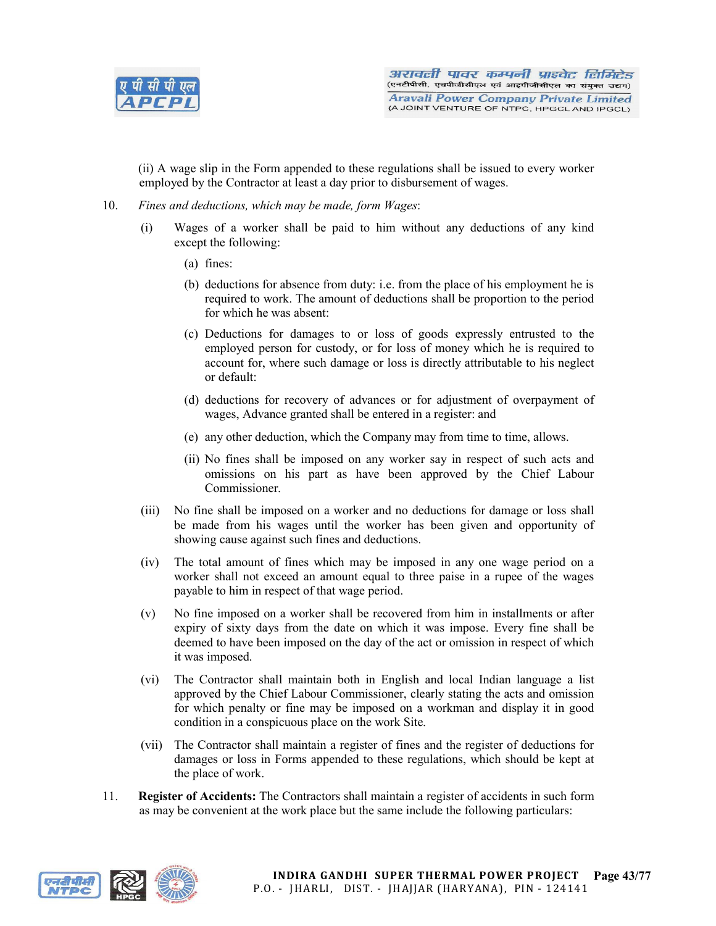

(ii) A wage slip in the Form appended to these regulations shall be issued to every worker employed by the Contractor at least a day prior to disbursement of wages.

- 10. *Fines and deductions, which may be made, form Wages*:
	- (i) Wages of a worker shall be paid to him without any deductions of any kind except the following:
		- (a) fines:
		- (b) deductions for absence from duty: i.e. from the place of his employment he is required to work. The amount of deductions shall be proportion to the period for which he was absent:
		- (c) Deductions for damages to or loss of goods expressly entrusted to the employed person for custody, or for loss of money which he is required to account for, where such damage or loss is directly attributable to his neglect or default:
		- (d) deductions for recovery of advances or for adjustment of overpayment of wages, Advance granted shall be entered in a register: and
		- (e) any other deduction, which the Company may from time to time, allows.
		- (ii) No fines shall be imposed on any worker say in respect of such acts and omissions on his part as have been approved by the Chief Labour Commissioner.
	- (iii) No fine shall be imposed on a worker and no deductions for damage or loss shall be made from his wages until the worker has been given and opportunity of showing cause against such fines and deductions.
	- (iv) The total amount of fines which may be imposed in any one wage period on a worker shall not exceed an amount equal to three paise in a rupee of the wages payable to him in respect of that wage period.
	- (v) No fine imposed on a worker shall be recovered from him in installments or after expiry of sixty days from the date on which it was impose. Every fine shall be deemed to have been imposed on the day of the act or omission in respect of which it was imposed.
	- (vi) The Contractor shall maintain both in English and local Indian language a list approved by the Chief Labour Commissioner, clearly stating the acts and omission for which penalty or fine may be imposed on a workman and display it in good condition in a conspicuous place on the work Site.
	- (vii) The Contractor shall maintain a register of fines and the register of deductions for damages or loss in Forms appended to these regulations, which should be kept at the place of work.
- 11. Register of Accidents: The Contractors shall maintain a register of accidents in such form as may be convenient at the work place but the same include the following particulars:

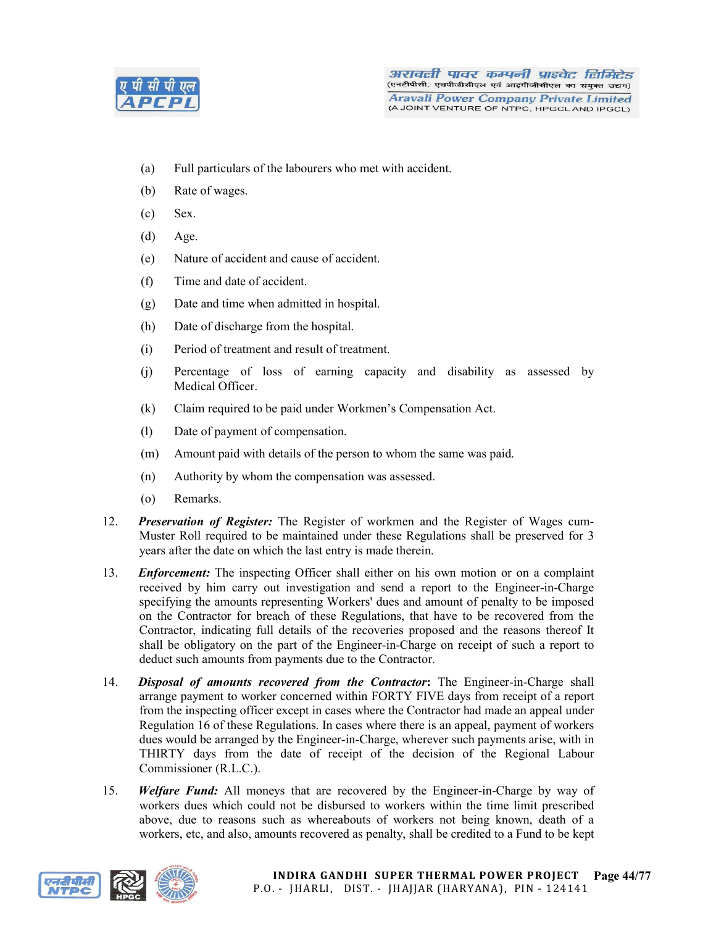

- (a) Full particulars of the labourers who met with accident.
- (b) Rate of wages.
- (c) Sex.
- (d) Age.
- (e) Nature of accident and cause of accident.
- (f) Time and date of accident.
- (g) Date and time when admitted in hospital.
- (h) Date of discharge from the hospital.
- (i) Period of treatment and result of treatment.
- (j) Percentage of loss of earning capacity and disability as assessed by Medical Officer.
- (k) Claim required to be paid under Workmen's Compensation Act.
- (l) Date of payment of compensation.
- (m) Amount paid with details of the person to whom the same was paid.
- (n) Authority by whom the compensation was assessed.
- (o) Remarks.
- 12. *Preservation of Register:* The Register of workmen and the Register of Wages cum-Muster Roll required to be maintained under these Regulations shall be preserved for 3 years after the date on which the last entry is made therein.
- 13. *Enforcement:* The inspecting Officer shall either on his own motion or on a complaint received by him carry out investigation and send a report to the Engineer-in-Charge specifying the amounts representing Workers' dues and amount of penalty to be imposed on the Contractor for breach of these Regulations, that have to be recovered from the Contractor, indicating full details of the recoveries proposed and the reasons thereof It shall be obligatory on the part of the Engineer-in-Charge on receipt of such a report to deduct such amounts from payments due to the Contractor.
- 14. *Disposal of amounts recovered from the Contractor*: The Engineer-in-Charge shall arrange payment to worker concerned within FORTY FIVE days from receipt of a report from the inspecting officer except in cases where the Contractor had made an appeal under Regulation 16 of these Regulations. In cases where there is an appeal, payment of workers dues would be arranged by the Engineer-in-Charge, wherever such payments arise, with in THIRTY days from the date of receipt of the decision of the Regional Labour Commissioner (R.L.C.).
- 15. *Welfare Fund:* All moneys that are recovered by the Engineer-in-Charge by way of workers dues which could not be disbursed to workers within the time limit prescribed above, due to reasons such as whereabouts of workers not being known, death of a workers, etc, and also, amounts recovered as penalty, shall be credited to a Fund to be kept

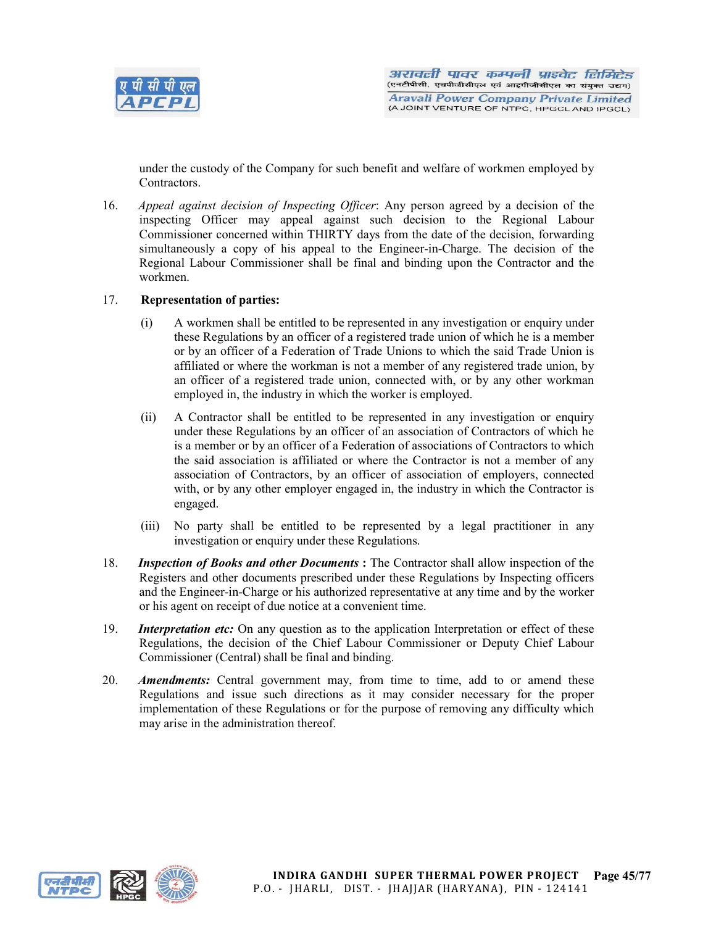

under the custody of the Company for such benefit and welfare of workmen employed by **Contractors** 

16. *Appeal against decision of Inspecting Officer*: Any person agreed by a decision of the inspecting Officer may appeal against such decision to the Regional Labour Commissioner concerned within THIRTY days from the date of the decision, forwarding simultaneously a copy of his appeal to the Engineer-in-Charge. The decision of the Regional Labour Commissioner shall be final and binding upon the Contractor and the workmen.

# 17. Representation of parties:

- (i) A workmen shall be entitled to be represented in any investigation or enquiry under these Regulations by an officer of a registered trade union of which he is a member or by an officer of a Federation of Trade Unions to which the said Trade Union is affiliated or where the workman is not a member of any registered trade union, by an officer of a registered trade union, connected with, or by any other workman employed in, the industry in which the worker is employed.
- (ii) A Contractor shall be entitled to be represented in any investigation or enquiry under these Regulations by an officer of an association of Contractors of which he is a member or by an officer of a Federation of associations of Contractors to which the said association is affiliated or where the Contractor is not a member of any association of Contractors, by an officer of association of employers, connected with, or by any other employer engaged in, the industry in which the Contractor is engaged.
- (iii) No party shall be entitled to be represented by a legal practitioner in any investigation or enquiry under these Regulations.
- 18. *Inspection of Books and other Documents* : The Contractor shall allow inspection of the Registers and other documents prescribed under these Regulations by Inspecting officers and the Engineer-in-Charge or his authorized representative at any time and by the worker or his agent on receipt of due notice at a convenient time.
- 19. *Interpretation etc:* On any question as to the application Interpretation or effect of these Regulations, the decision of the Chief Labour Commissioner or Deputy Chief Labour Commissioner (Central) shall be final and binding.
- 20. *Amendments:* Central government may, from time to time, add to or amend these Regulations and issue such directions as it may consider necessary for the proper implementation of these Regulations or for the purpose of removing any difficulty which may arise in the administration thereof.



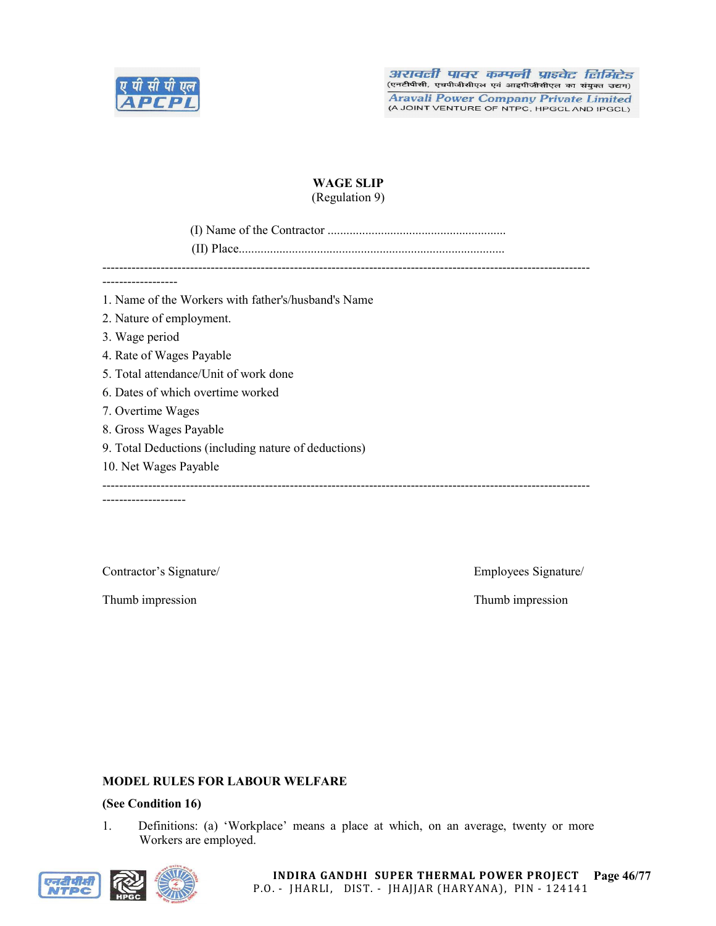

# WAGE SLIP (Regulation 9)

(I) Name of the Contractor .........................................................

(II) Place.....................................................................................

---------------------------------------------------------------------------------------------------------------------

------------------

1. Name of the Workers with father's/husband's Name

- 2. Nature of employment.
- 3. Wage period
- 4. Rate of Wages Payable
- 5. Total attendance/Unit of work done
- 6. Dates of which overtime worked
- 7. Overtime Wages
- 8. Gross Wages Payable
- 9. Total Deductions (including nature of deductions)
- 10. Net Wages Payable

--------------------

---------------------------------------------------------------------------------------------------------------------

Thumb impression Thumb impression

Contractor's Signature/ Employees Signature/

#### MODEL RULES FOR LABOUR WELFARE

# (See Condition 16)

1. Definitions: (a) 'Workplace' means a place at which, on an average, twenty or more Workers are employed.

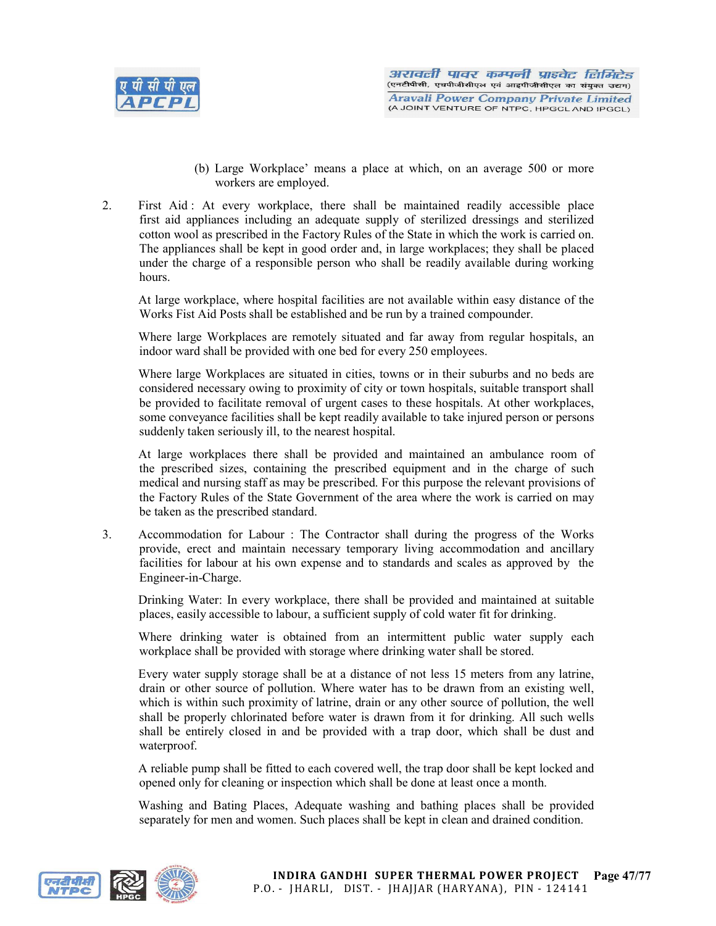

- (b) Large Workplace' means a place at which, on an average 500 or more workers are employed.
- 2. First Aid : At every workplace, there shall be maintained readily accessible place first aid appliances including an adequate supply of sterilized dressings and sterilized cotton wool as prescribed in the Factory Rules of the State in which the work is carried on. The appliances shall be kept in good order and, in large workplaces; they shall be placed under the charge of a responsible person who shall be readily available during working hours.

At large workplace, where hospital facilities are not available within easy distance of the Works Fist Aid Posts shall be established and be run by a trained compounder.

Where large Workplaces are remotely situated and far away from regular hospitals, an indoor ward shall be provided with one bed for every 250 employees.

Where large Workplaces are situated in cities, towns or in their suburbs and no beds are considered necessary owing to proximity of city or town hospitals, suitable transport shall be provided to facilitate removal of urgent cases to these hospitals. At other workplaces, some conveyance facilities shall be kept readily available to take injured person or persons suddenly taken seriously ill, to the nearest hospital.

At large workplaces there shall be provided and maintained an ambulance room of the prescribed sizes, containing the prescribed equipment and in the charge of such medical and nursing staff as may be prescribed. For this purpose the relevant provisions of the Factory Rules of the State Government of the area where the work is carried on may be taken as the prescribed standard.

3. Accommodation for Labour : The Contractor shall during the progress of the Works provide, erect and maintain necessary temporary living accommodation and ancillary facilities for labour at his own expense and to standards and scales as approved by the Engineer-in-Charge.

Drinking Water: In every workplace, there shall be provided and maintained at suitable places, easily accessible to labour, a sufficient supply of cold water fit for drinking.

Where drinking water is obtained from an intermittent public water supply each workplace shall be provided with storage where drinking water shall be stored.

Every water supply storage shall be at a distance of not less 15 meters from any latrine, drain or other source of pollution. Where water has to be drawn from an existing well, which is within such proximity of latrine, drain or any other source of pollution, the well shall be properly chlorinated before water is drawn from it for drinking. All such wells shall be entirely closed in and be provided with a trap door, which shall be dust and waterproof.

A reliable pump shall be fitted to each covered well, the trap door shall be kept locked and opened only for cleaning or inspection which shall be done at least once a month.

Washing and Bating Places, Adequate washing and bathing places shall be provided separately for men and women. Such places shall be kept in clean and drained condition.

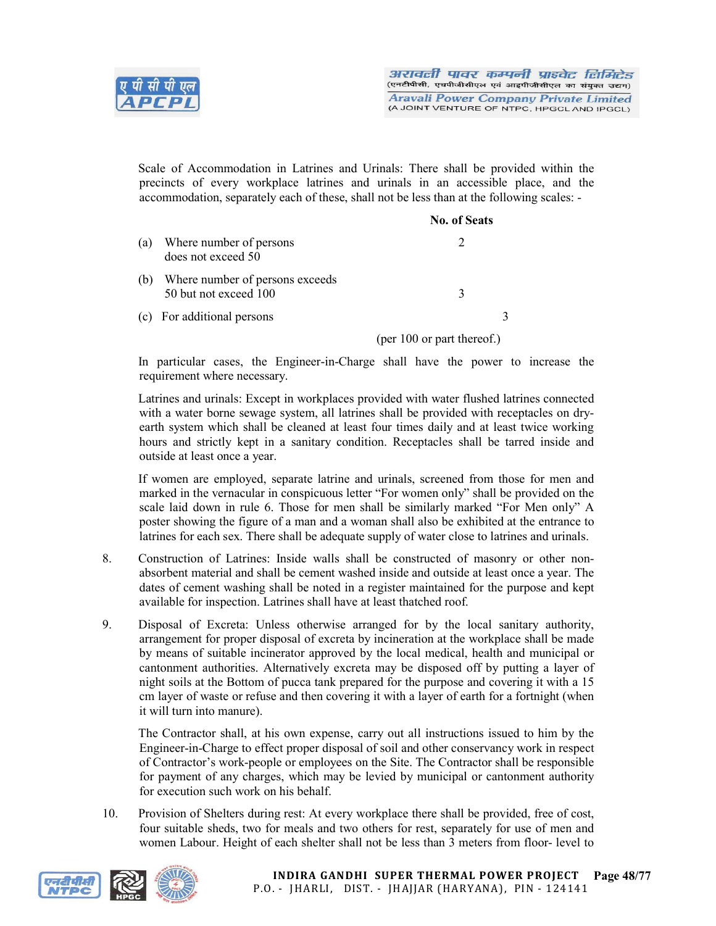

Scale of Accommodation in Latrines and Urinals: There shall be provided within the precincts of every workplace latrines and urinals in an accessible place, and the accommodation, separately each of these, shall not be less than at the following scales: -

|     |                                                          | <b>No. of Seats</b>        |
|-----|----------------------------------------------------------|----------------------------|
| (a) | Where number of persons<br>does not exceed 50            |                            |
| (b) | Where number of persons exceeds<br>50 but not exceed 100 | 3                          |
|     | (c) For additional persons                               | 3                          |
|     |                                                          | (per 100 or part thereof.) |

In particular cases, the Engineer-in-Charge shall have the power to increase the requirement where necessary.

Latrines and urinals: Except in workplaces provided with water flushed latrines connected with a water borne sewage system, all latrines shall be provided with receptacles on dryearth system which shall be cleaned at least four times daily and at least twice working hours and strictly kept in a sanitary condition. Receptacles shall be tarred inside and outside at least once a year.

If women are employed, separate latrine and urinals, screened from those for men and marked in the vernacular in conspicuous letter "For women only" shall be provided on the scale laid down in rule 6. Those for men shall be similarly marked "For Men only" A poster showing the figure of a man and a woman shall also be exhibited at the entrance to latrines for each sex. There shall be adequate supply of water close to latrines and urinals.

- 8. Construction of Latrines: Inside walls shall be constructed of masonry or other nonabsorbent material and shall be cement washed inside and outside at least once a year. The dates of cement washing shall be noted in a register maintained for the purpose and kept available for inspection. Latrines shall have at least thatched roof.
- 9. Disposal of Excreta: Unless otherwise arranged for by the local sanitary authority, arrangement for proper disposal of excreta by incineration at the workplace shall be made by means of suitable incinerator approved by the local medical, health and municipal or cantonment authorities. Alternatively excreta may be disposed off by putting a layer of night soils at the Bottom of pucca tank prepared for the purpose and covering it with a 15 cm layer of waste or refuse and then covering it with a layer of earth for a fortnight (when it will turn into manure).

The Contractor shall, at his own expense, carry out all instructions issued to him by the Engineer-in-Charge to effect proper disposal of soil and other conservancy work in respect of Contractor's work-people or employees on the Site. The Contractor shall be responsible for payment of any charges, which may be levied by municipal or cantonment authority for execution such work on his behalf.

10. Provision of Shelters during rest: At every workplace there shall be provided, free of cost, four suitable sheds, two for meals and two others for rest, separately for use of men and women Labour. Height of each shelter shall not be less than 3 meters from floor- level to

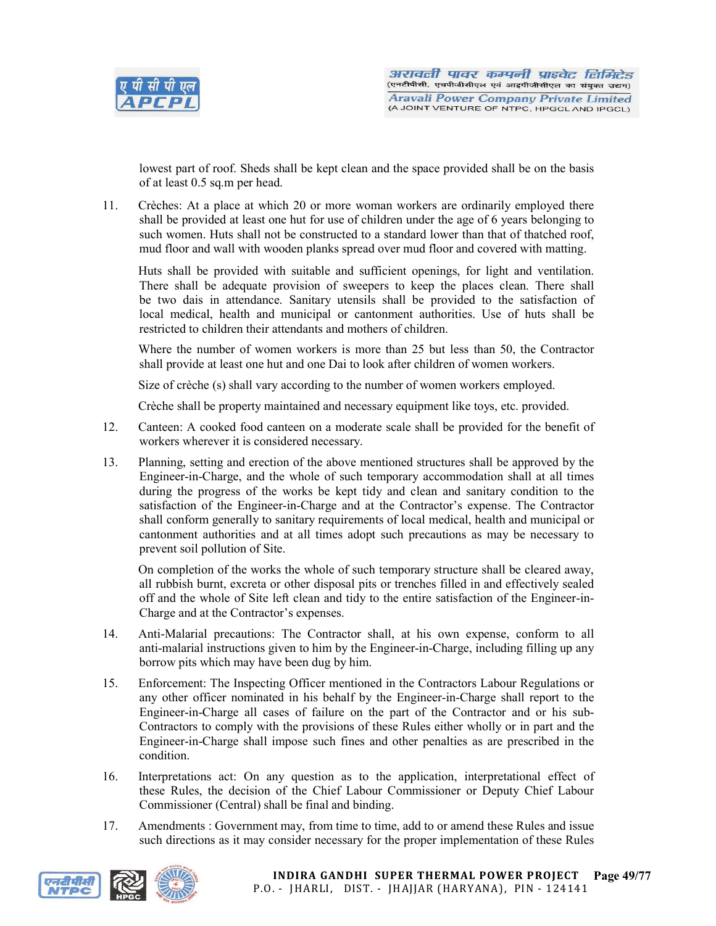

lowest part of roof. Sheds shall be kept clean and the space provided shall be on the basis of at least 0.5 sq.m per head.

11. Crèches: At a place at which 20 or more woman workers are ordinarily employed there shall be provided at least one hut for use of children under the age of 6 years belonging to such women. Huts shall not be constructed to a standard lower than that of thatched roof, mud floor and wall with wooden planks spread over mud floor and covered with matting.

Huts shall be provided with suitable and sufficient openings, for light and ventilation. There shall be adequate provision of sweepers to keep the places clean. There shall be two dais in attendance. Sanitary utensils shall be provided to the satisfaction of local medical, health and municipal or cantonment authorities. Use of huts shall be restricted to children their attendants and mothers of children.

Where the number of women workers is more than 25 but less than 50, the Contractor shall provide at least one hut and one Dai to look after children of women workers.

Size of crèche (s) shall vary according to the number of women workers employed.

Crèche shall be property maintained and necessary equipment like toys, etc. provided.

- 12. Canteen: A cooked food canteen on a moderate scale shall be provided for the benefit of workers wherever it is considered necessary.
- 13. Planning, setting and erection of the above mentioned structures shall be approved by the Engineer-in-Charge, and the whole of such temporary accommodation shall at all times during the progress of the works be kept tidy and clean and sanitary condition to the satisfaction of the Engineer-in-Charge and at the Contractor's expense. The Contractor shall conform generally to sanitary requirements of local medical, health and municipal or cantonment authorities and at all times adopt such precautions as may be necessary to prevent soil pollution of Site.

On completion of the works the whole of such temporary structure shall be cleared away, all rubbish burnt, excreta or other disposal pits or trenches filled in and effectively sealed off and the whole of Site left clean and tidy to the entire satisfaction of the Engineer-in-Charge and at the Contractor's expenses.

- 14. Anti-Malarial precautions: The Contractor shall, at his own expense, conform to all anti-malarial instructions given to him by the Engineer-in-Charge, including filling up any borrow pits which may have been dug by him.
- 15. Enforcement: The Inspecting Officer mentioned in the Contractors Labour Regulations or any other officer nominated in his behalf by the Engineer-in-Charge shall report to the Engineer-in-Charge all cases of failure on the part of the Contractor and or his sub-Contractors to comply with the provisions of these Rules either wholly or in part and the Engineer-in-Charge shall impose such fines and other penalties as are prescribed in the condition.
- 16. Interpretations act: On any question as to the application, interpretational effect of these Rules, the decision of the Chief Labour Commissioner or Deputy Chief Labour Commissioner (Central) shall be final and binding.
- 17. Amendments : Government may, from time to time, add to or amend these Rules and issue such directions as it may consider necessary for the proper implementation of these Rules

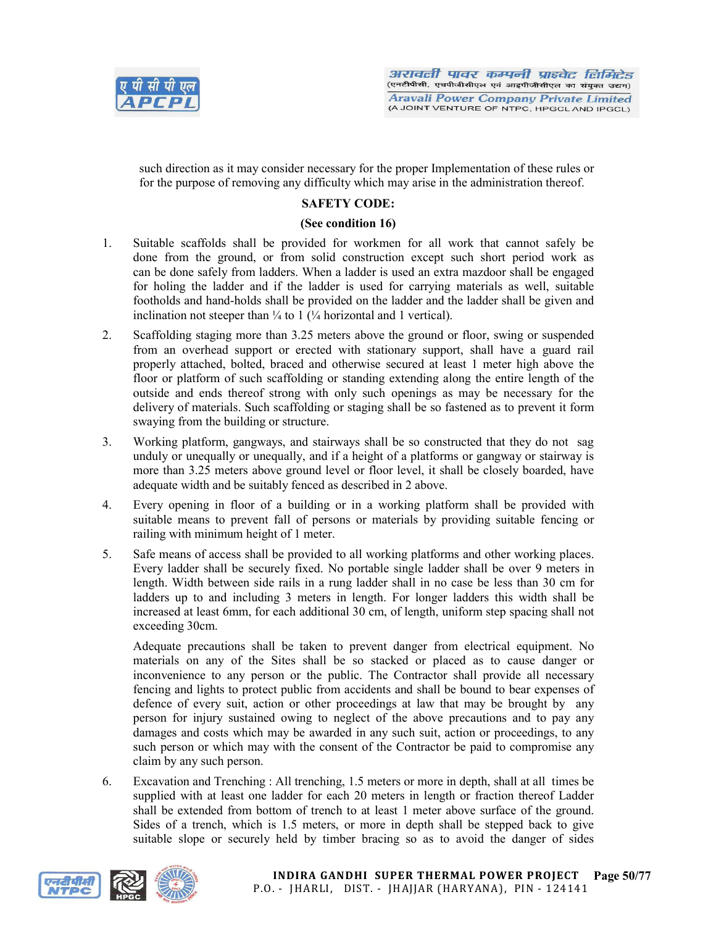

such direction as it may consider necessary for the proper Implementation of these rules or for the purpose of removing any difficulty which may arise in the administration thereof.

# SAFETY CODE:

## (See condition 16)

- 1. Suitable scaffolds shall be provided for workmen for all work that cannot safely be done from the ground, or from solid construction except such short period work as can be done safely from ladders. When a ladder is used an extra mazdoor shall be engaged for holing the ladder and if the ladder is used for carrying materials as well, suitable footholds and hand-holds shall be provided on the ladder and the ladder shall be given and inclination not steeper than  $\frac{1}{4}$  to 1 ( $\frac{1}{4}$  horizontal and 1 vertical).
- 2. Scaffolding staging more than 3.25 meters above the ground or floor, swing or suspended from an overhead support or erected with stationary support, shall have a guard rail properly attached, bolted, braced and otherwise secured at least 1 meter high above the floor or platform of such scaffolding or standing extending along the entire length of the outside and ends thereof strong with only such openings as may be necessary for the delivery of materials. Such scaffolding or staging shall be so fastened as to prevent it form swaying from the building or structure.
- 3. Working platform, gangways, and stairways shall be so constructed that they do not sag unduly or unequally or unequally, and if a height of a platforms or gangway or stairway is more than 3.25 meters above ground level or floor level, it shall be closely boarded, have adequate width and be suitably fenced as described in 2 above.
- 4. Every opening in floor of a building or in a working platform shall be provided with suitable means to prevent fall of persons or materials by providing suitable fencing or railing with minimum height of 1 meter.
- 5. Safe means of access shall be provided to all working platforms and other working places. Every ladder shall be securely fixed. No portable single ladder shall be over 9 meters in length. Width between side rails in a rung ladder shall in no case be less than 30 cm for ladders up to and including 3 meters in length. For longer ladders this width shall be increased at least 6mm, for each additional 30 cm, of length, uniform step spacing shall not exceeding 30cm.

Adequate precautions shall be taken to prevent danger from electrical equipment. No materials on any of the Sites shall be so stacked or placed as to cause danger or inconvenience to any person or the public. The Contractor shall provide all necessary fencing and lights to protect public from accidents and shall be bound to bear expenses of defence of every suit, action or other proceedings at law that may be brought by any person for injury sustained owing to neglect of the above precautions and to pay any damages and costs which may be awarded in any such suit, action or proceedings, to any such person or which may with the consent of the Contractor be paid to compromise any claim by any such person.

6. Excavation and Trenching : All trenching, 1.5 meters or more in depth, shall at all times be supplied with at least one ladder for each 20 meters in length or fraction thereof Ladder shall be extended from bottom of trench to at least 1 meter above surface of the ground. Sides of a trench, which is 1.5 meters, or more in depth shall be stepped back to give suitable slope or securely held by timber bracing so as to avoid the danger of sides

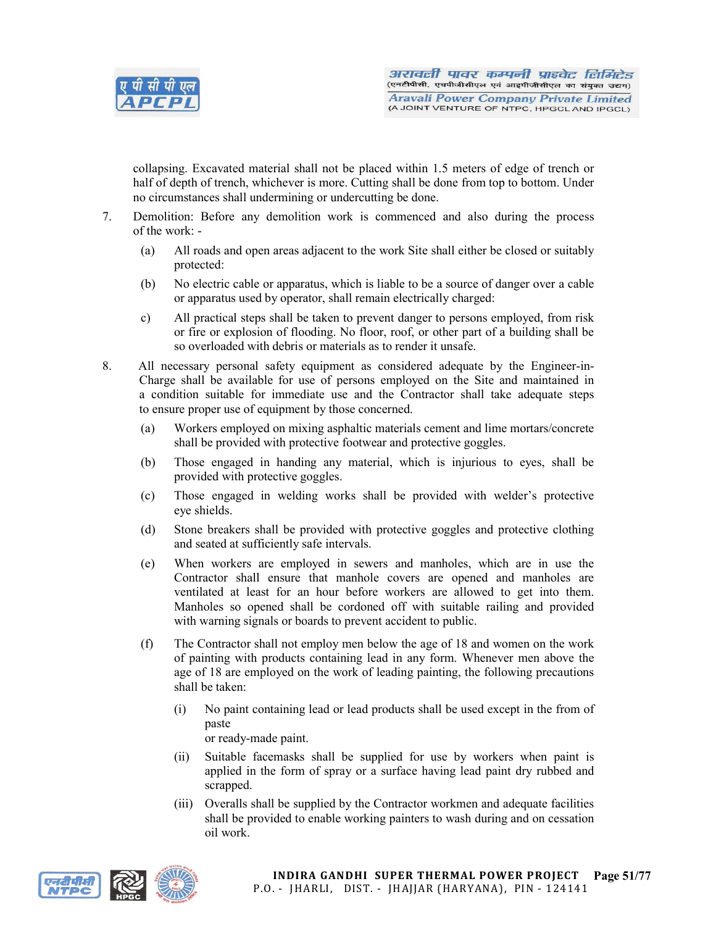

collapsing. Excavated material shall not be placed within 1.5 meters of edge of trench or half of depth of trench, whichever is more. Cutting shall be done from top to bottom. Under no circumstances shall undermining or undercutting be done.

- 7. Demolition: Before any demolition work is commenced and also during the process of the work: -
	- (a) All roads and open areas adjacent to the work Site shall either be closed or suitably protected:
	- (b) No electric cable or apparatus, which is liable to be a source of danger over a cable or apparatus used by operator, shall remain electrically charged:
	- c) All practical steps shall be taken to prevent danger to persons employed, from risk or fire or explosion of flooding. No floor, roof, or other part of a building shall be so overloaded with debris or materials as to render it unsafe.
- 8. All necessary personal safety equipment as considered adequate by the Engineer-in-Charge shall be available for use of persons employed on the Site and maintained in a condition suitable for immediate use and the Contractor shall take adequate steps to ensure proper use of equipment by those concerned.
	- (a) Workers employed on mixing asphaltic materials cement and lime mortars/concrete shall be provided with protective footwear and protective goggles.
	- (b) Those engaged in handing any material, which is injurious to eyes, shall be provided with protective goggles.
	- (c) Those engaged in welding works shall be provided with welder's protective eye shields.
	- (d) Stone breakers shall be provided with protective goggles and protective clothing and seated at sufficiently safe intervals.
	- (e) When workers are employed in sewers and manholes, which are in use the Contractor shall ensure that manhole covers are opened and manholes are ventilated at least for an hour before workers are allowed to get into them. Manholes so opened shall be cordoned off with suitable railing and provided with warning signals or boards to prevent accident to public.
	- (f) The Contractor shall not employ men below the age of 18 and women on the work of painting with products containing lead in any form. Whenever men above the age of 18 are employed on the work of leading painting, the following precautions shall be taken:
		- (i) No paint containing lead or lead products shall be used except in the from of paste or ready-made paint.
		- (ii) Suitable facemasks shall be supplied for use by workers when paint is applied in the form of spray or a surface having lead paint dry rubbed and scrapped.
		- (iii) Overalls shall be supplied by the Contractor workmen and adequate facilities shall be provided to enable working painters to wash during and on cessation oil work.

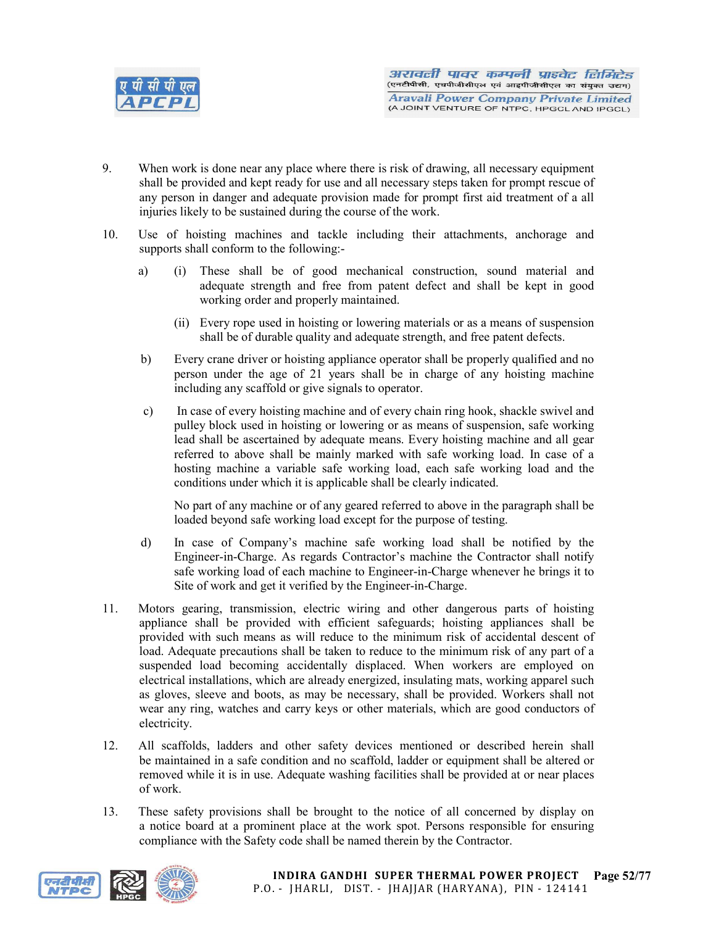

- 9. When work is done near any place where there is risk of drawing, all necessary equipment shall be provided and kept ready for use and all necessary steps taken for prompt rescue of any person in danger and adequate provision made for prompt first aid treatment of a all injuries likely to be sustained during the course of the work.
- 10. Use of hoisting machines and tackle including their attachments, anchorage and supports shall conform to the following:
	- a) (i) These shall be of good mechanical construction, sound material and adequate strength and free from patent defect and shall be kept in good working order and properly maintained.
		- (ii) Every rope used in hoisting or lowering materials or as a means of suspension shall be of durable quality and adequate strength, and free patent defects.
	- b) Every crane driver or hoisting appliance operator shall be properly qualified and no person under the age of 21 years shall be in charge of any hoisting machine including any scaffold or give signals to operator.
	- c) In case of every hoisting machine and of every chain ring hook, shackle swivel and pulley block used in hoisting or lowering or as means of suspension, safe working lead shall be ascertained by adequate means. Every hoisting machine and all gear referred to above shall be mainly marked with safe working load. In case of a hosting machine a variable safe working load, each safe working load and the conditions under which it is applicable shall be clearly indicated.

No part of any machine or of any geared referred to above in the paragraph shall be loaded beyond safe working load except for the purpose of testing.

- d) In case of Company's machine safe working load shall be notified by the Engineer-in-Charge. As regards Contractor's machine the Contractor shall notify safe working load of each machine to Engineer-in-Charge whenever he brings it to Site of work and get it verified by the Engineer-in-Charge.
- 11. Motors gearing, transmission, electric wiring and other dangerous parts of hoisting appliance shall be provided with efficient safeguards; hoisting appliances shall be provided with such means as will reduce to the minimum risk of accidental descent of load. Adequate precautions shall be taken to reduce to the minimum risk of any part of a suspended load becoming accidentally displaced. When workers are employed on electrical installations, which are already energized, insulating mats, working apparel such as gloves, sleeve and boots, as may be necessary, shall be provided. Workers shall not wear any ring, watches and carry keys or other materials, which are good conductors of electricity.
- 12. All scaffolds, ladders and other safety devices mentioned or described herein shall be maintained in a safe condition and no scaffold, ladder or equipment shall be altered or removed while it is in use. Adequate washing facilities shall be provided at or near places of work.
- 13. These safety provisions shall be brought to the notice of all concerned by display on a notice board at a prominent place at the work spot. Persons responsible for ensuring compliance with the Safety code shall be named therein by the Contractor.

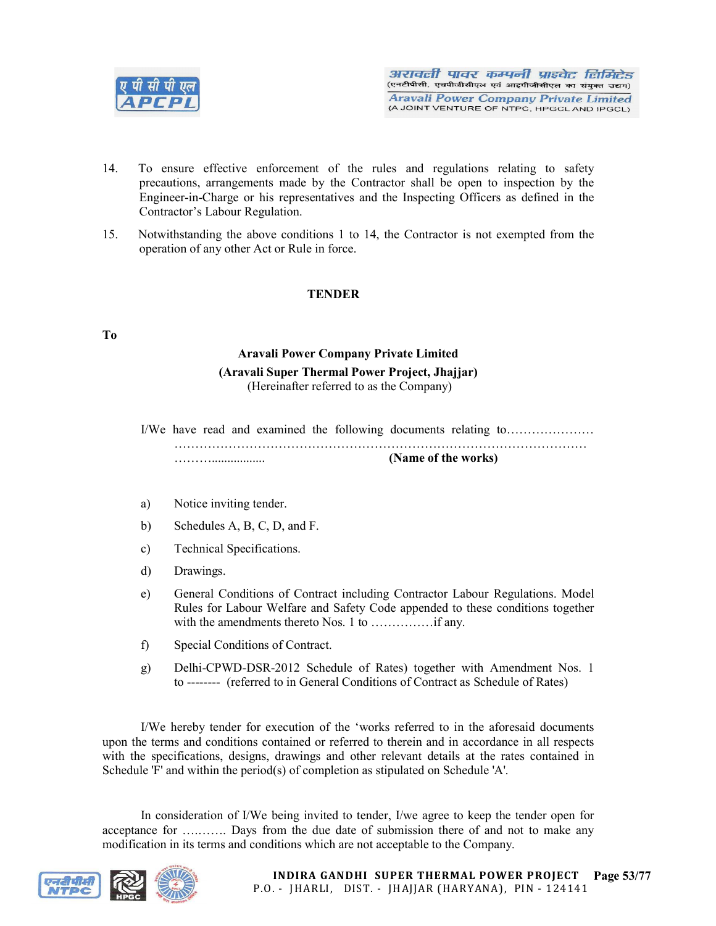

- 14. To ensure effective enforcement of the rules and regulations relating to safety precautions, arrangements made by the Contractor shall be open to inspection by the Engineer-in-Charge or his representatives and the Inspecting Officers as defined in the Contractor's Labour Regulation.
- 15. Notwithstanding the above conditions 1 to 14, the Contractor is not exempted from the operation of any other Act or Rule in force.

# **TENDER**

### To

# Aravali Power Company Private Limited (Aravali Super Thermal Power Project, Jhajjar) (Hereinafter referred to as the Company)

I/We have read and examined the following documents relating to………………… ……………………………………………………………………………………… ………................. (Name of the works)

- a) Notice inviting tender.
- b) Schedules A, B, C, D, and F.
- c) Technical Specifications.
- d) Drawings.
- e) General Conditions of Contract including Contractor Labour Regulations. Model Rules for Labour Welfare and Safety Code appended to these conditions together with the amendments thereto Nos. 1 to ……………if any.
- f) Special Conditions of Contract.
- g) Delhi-CPWD-DSR-2012 Schedule of Rates) together with Amendment Nos. 1 to -------- (referred to in General Conditions of Contract as Schedule of Rates)

I/We hereby tender for execution of the 'works referred to in the aforesaid documents upon the terms and conditions contained or referred to therein and in accordance in all respects with the specifications, designs, drawings and other relevant details at the rates contained in Schedule 'F' and within the period(s) of completion as stipulated on Schedule 'A'.

In consideration of I/We being invited to tender, I/we agree to keep the tender open for acceptance for ….……. Days from the due date of submission there of and not to make any modification in its terms and conditions which are not acceptable to the Company.

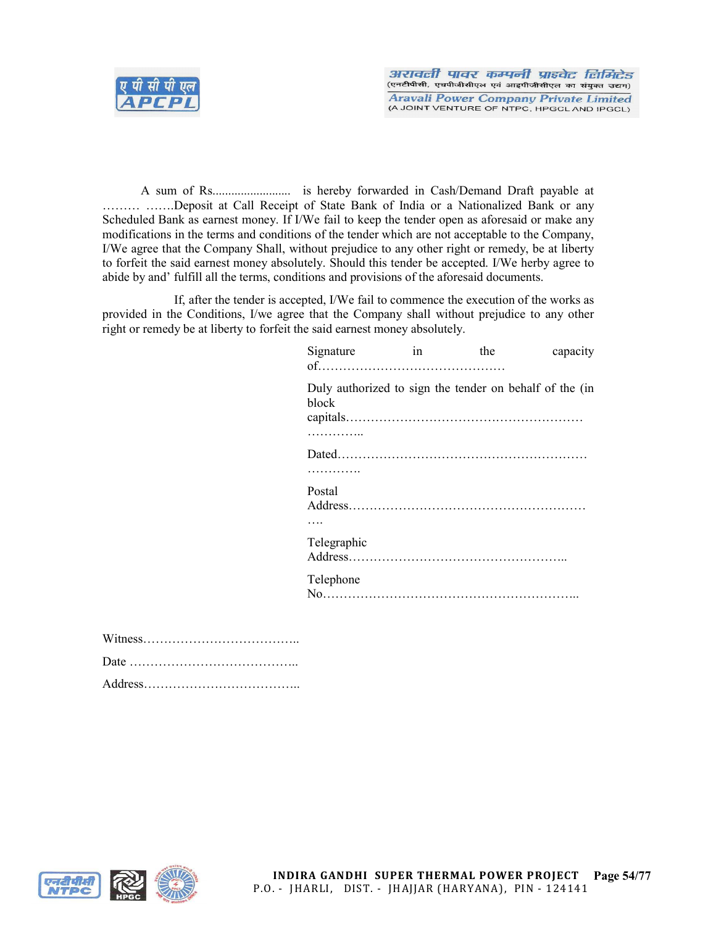

A sum of Rs......................... is hereby forwarded in Cash/Demand Draft payable at ……… …….Deposit at Call Receipt of State Bank of India or a Nationalized Bank or any Scheduled Bank as earnest money. If I/We fail to keep the tender open as aforesaid or make any modifications in the terms and conditions of the tender which are not acceptable to the Company, I/We agree that the Company Shall, without prejudice to any other right or remedy, be at liberty to forfeit the said earnest money absolutely. Should this tender be accepted. I/We herby agree to abide by and' fulfill all the terms, conditions and provisions of the aforesaid documents.

If, after the tender is accepted, I/We fail to commence the execution of the works as provided in the Conditions, I/we agree that the Company shall without prejudice to any other right or remedy be at liberty to forfeit the said earnest money absolutely.

| Signature   | 1n | the | capacity                                                |
|-------------|----|-----|---------------------------------------------------------|
| block       |    |     | Duly authorized to sign the tender on behalf of the (in |
| .           |    |     |                                                         |
|             |    |     |                                                         |
| .           |    |     |                                                         |
| Postal      |    |     |                                                         |
|             |    |     |                                                         |
| Telegraphic |    |     |                                                         |
| Telephone   |    |     |                                                         |
|             |    |     |                                                         |



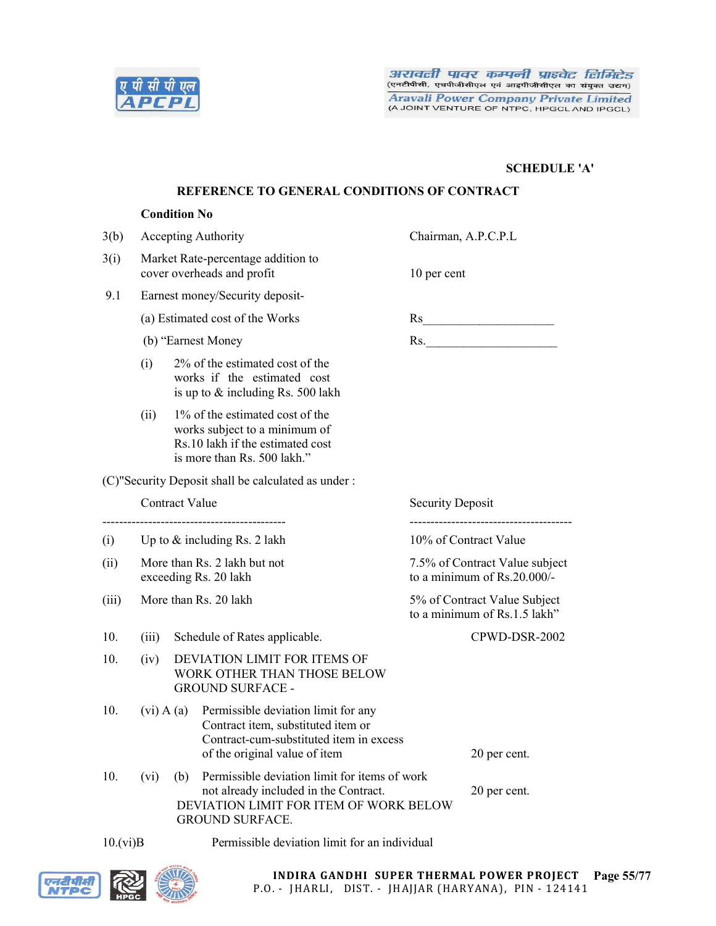

# SCHEDULE 'A'

## REFERENCE TO GENERAL CONDITIONS OF CONTRACT

### Condition No

| 3(b)  |                                |     | <b>Accepting Authority</b>                                                                                                                                 | Chairman, A.P.C.P.L                                              |  |  |
|-------|--------------------------------|-----|------------------------------------------------------------------------------------------------------------------------------------------------------------|------------------------------------------------------------------|--|--|
| 3(i)  |                                |     | Market Rate-percentage addition to<br>cover overheads and profit                                                                                           | 10 per cent                                                      |  |  |
| 9.1   |                                |     | Earnest money/Security deposit-                                                                                                                            |                                                                  |  |  |
|       |                                |     | (a) Estimated cost of the Works                                                                                                                            |                                                                  |  |  |
|       |                                |     | (b) "Earnest Money                                                                                                                                         | Rs.                                                              |  |  |
|       | (i)                            |     | 2% of the estimated cost of the<br>works if the estimated cost<br>is up to $&$ including Rs. 500 lakh                                                      |                                                                  |  |  |
|       | (ii)                           |     | 1% of the estimated cost of the<br>works subject to a minimum of<br>Rs.10 lakh if the estimated cost<br>is more than Rs. 500 lakh."                        |                                                                  |  |  |
|       |                                |     | (C)"Security Deposit shall be calculated as under:                                                                                                         |                                                                  |  |  |
|       | <b>Contract Value</b>          |     |                                                                                                                                                            | <b>Security Deposit</b><br>------------------------------------- |  |  |
| (i)   | Up to $&$ including Rs. 2 lakh |     |                                                                                                                                                            | 10% of Contract Value                                            |  |  |
| (ii)  |                                |     | More than Rs. 2 lakh but not<br>exceeding Rs. 20 lakh                                                                                                      | 7.5% of Contract Value subject<br>to a minimum of Rs.20.000/-    |  |  |
| (iii) |                                |     | More than Rs. 20 lakh                                                                                                                                      | 5% of Contract Value Subject<br>to a minimum of Rs.1.5 lakh"     |  |  |
| 10.   | (iii)                          |     | Schedule of Rates applicable.                                                                                                                              | CPWD-DSR-2002                                                    |  |  |
| 10.   | (iv)                           |     | DEVIATION LIMIT FOR ITEMS OF<br>WORK OTHER THAN THOSE BELOW<br><b>GROUND SURFACE -</b>                                                                     |                                                                  |  |  |
| 10.   | $(vi)$ A $(a)$                 |     | Permissible deviation limit for any<br>Contract item, substituted item or<br>Contract-cum-substituted item in excess<br>of the original value of item      | 20 per cent.                                                     |  |  |
| 10.   | (vi)                           | (b) | Permissible deviation limit for items of work<br>not already included in the Contract.<br>DEVIATION LIMIT FOR ITEM OF WORK BELOW<br><b>GROUND SURFACE.</b> | 20 per cent.                                                     |  |  |

10.(vi)B Permissible deviation limit for an individual

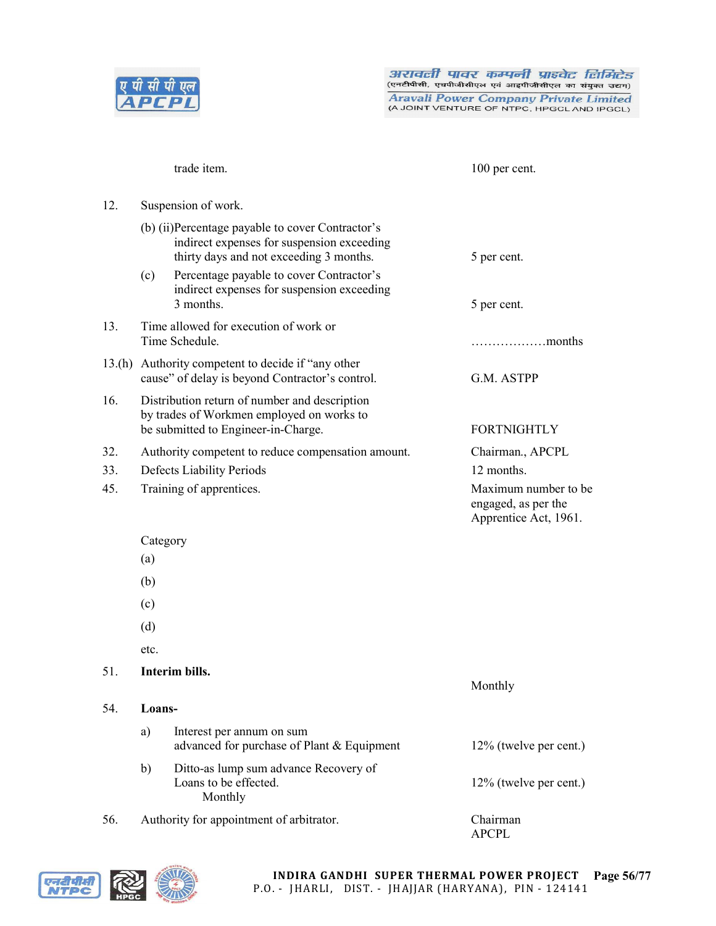

(A JOINT VENTURE OF NTPC, HPGCL AND IPGCL)

trade item. 100 per cent. 12. Suspension of work. (b) (ii)Percentage payable to cover Contractor's indirect expenses for suspension exceeding thirty days and not exceeding 3 months. 5 per cent. (c) Percentage payable to cover Contractor's indirect expenses for suspension exceeding 3 months. 5 per cent. 13. Time allowed for execution of work or Time Schedule. **Example 20 Example 20 Example 20 Example 20 Example 20 Example 20 Example 20 Example 20 Example 20 Example 20 EXAMPLE 20 EXAMPLE 20 EXAMPLE 20 EXAMPLE 20 EXAMPLE 20 EXAMPLE 20** 13.(h) Authority competent to decide if "any other cause" of delay is beyond Contractor's control. G.M. ASTPP 16. Distribution return of number and description by trades of Workmen employed on works to be submitted to Engineer-in-Charge. FORTNIGHTLY 32. Authority competent to reduce compensation amount. Chairman., APCPL 33. Defects Liability Periods 12 months. 45. Training of apprentices. Maximum number to be engaged, as per the Apprentice Act, 1961. Category (a) (b) (c) (d) etc. 51. Interim bills. Monthly 54. Loansa) Interest per annum on sum advanced for purchase of Plant & Equipment 12% (twelve per cent.) b) Ditto-as lump sum advance Recovery of Loans to be effected. 12% (twelve per cent.) Monthly

56. Authority for appointment of arbitrator. Chairman

APCPL

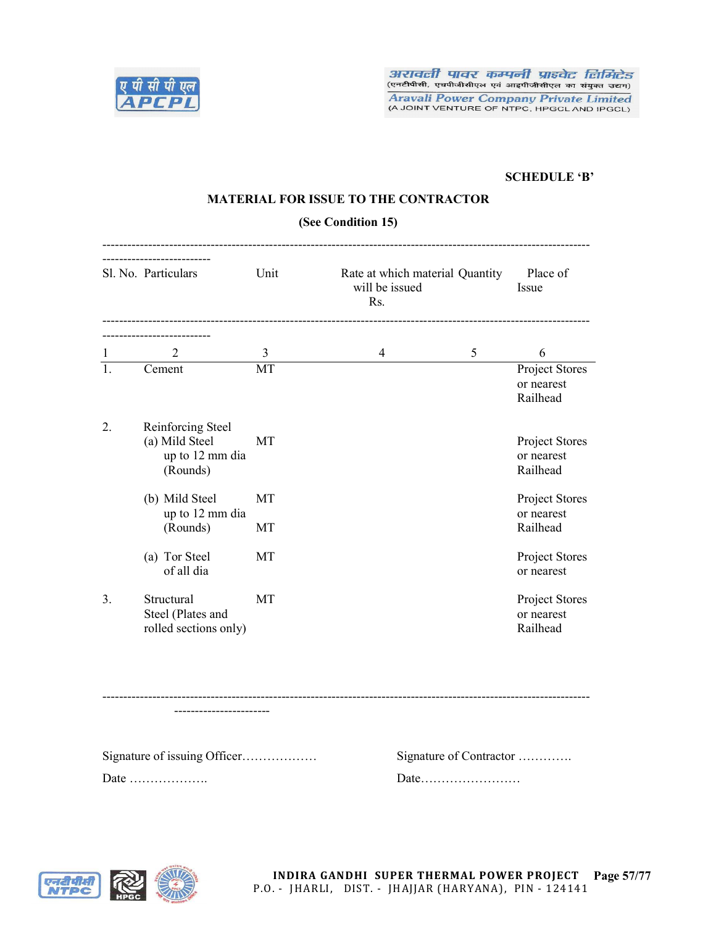

# SCHEDULE 'B'

# MATERIAL FOR ISSUE TO THE CONTRACTOR

### (See Condition 15)

|                | Sl. No. Particulars                                                | Unit<br>Rate at which material Quantity<br>will be issued<br>Rs. |                | Place of<br>Issue       |                                          |
|----------------|--------------------------------------------------------------------|------------------------------------------------------------------|----------------|-------------------------|------------------------------------------|
|                | 2                                                                  | $\overline{3}$                                                   | $\overline{4}$ | 5                       | 6                                        |
| 1<br>1.        | Cement                                                             | MT                                                               |                |                         | Project Stores<br>or nearest<br>Railhead |
| 2.             | Reinforcing Steel<br>(a) Mild Steel<br>up to 12 mm dia<br>(Rounds) | <b>MT</b>                                                        |                |                         | Project Stores<br>or nearest<br>Railhead |
|                | (b) Mild Steel<br>up to 12 mm dia                                  | MT                                                               |                |                         | Project Stores<br>or nearest             |
|                | (Rounds)                                                           | MT                                                               |                |                         | Railhead                                 |
|                | (a) Tor Steel<br>of all dia                                        | MT                                                               |                |                         | Project Stores<br>or nearest             |
| 3 <sub>1</sub> | Structural<br>Steel (Plates and<br>rolled sections only)           | <b>MT</b>                                                        |                |                         | Project Stores<br>or nearest<br>Railhead |
|                |                                                                    |                                                                  |                |                         |                                          |
|                |                                                                    |                                                                  |                |                         |                                          |
|                | Signature of issuing Officer                                       |                                                                  |                | Signature of Contractor |                                          |
|                |                                                                    |                                                                  |                | Date                    |                                          |

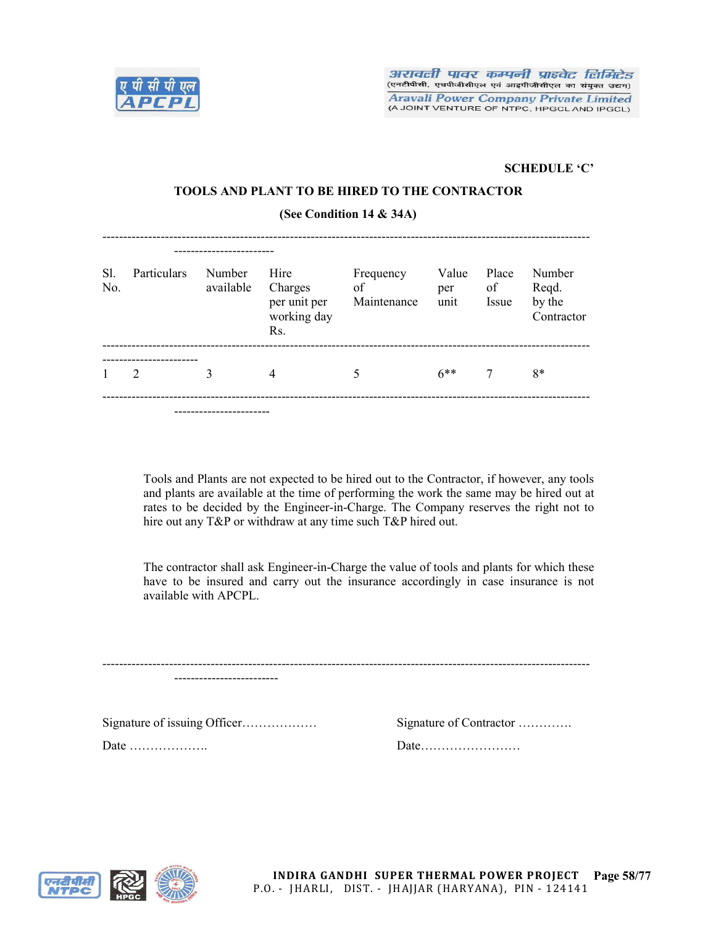

## SCHEDULE 'C'

## TOOLS AND PLANT TO BE HIRED TO THE CONTRACTOR

(See Condition 14 & 34A)

| S1.<br>No. | Particulars                 | Number<br>available | Hire<br>Charges<br>per unit per<br>working day<br>Rs. | Frequency<br>of<br>Maintenance | Value<br>per<br>unit | Place<br>of<br>Issue | Number<br>Reqd.<br>by the<br>Contractor |
|------------|-----------------------------|---------------------|-------------------------------------------------------|--------------------------------|----------------------|----------------------|-----------------------------------------|
| 1          | $\mathcal{D}_{\mathcal{L}}$ | 3                   | 4                                                     | 5                              | $6***$               | 7                    | $8*$                                    |
|            |                             |                     |                                                       |                                |                      |                      |                                         |

Tools and Plants are not expected to be hired out to the Contractor, if however, any tools and plants are available at the time of performing the work the same may be hired out at rates to be decided by the Engineer-in-Charge. The Company reserves the right not to hire out any T&P or withdraw at any time such T&P hired out.

The contractor shall ask Engineer-in-Charge the value of tools and plants for which these have to be insured and carry out the insurance accordingly in case insurance is not available with APCPL.

| Signature of issuing Officer | Signature of Contractor |
|------------------------------|-------------------------|
|                              |                         |



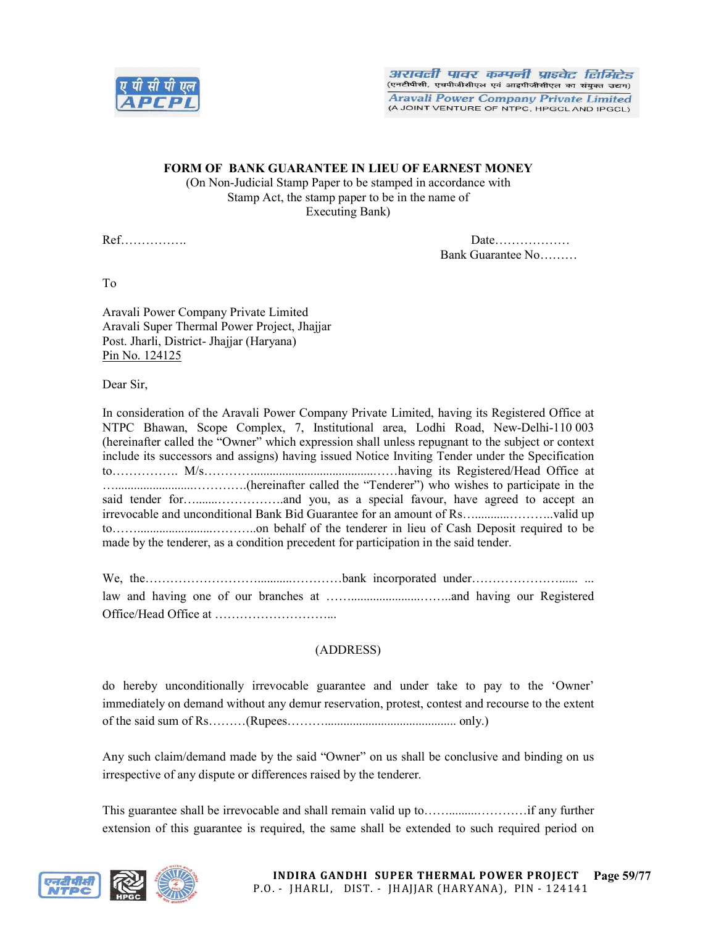

# FORM OF BANK GUARANTEE IN LIEU OF EARNEST MONEY

(On Non-Judicial Stamp Paper to be stamped in accordance with Stamp Act, the stamp paper to be in the name of Executing Bank)

Ref……………. Date……………… Bank Guarantee No………

To

Aravali Power Company Private Limited Aravali Super Thermal Power Project, Jhajjar Post. Jharli, District- Jhajjar (Haryana) Pin No. 124125

Dear Sir,

In consideration of the Aravali Power Company Private Limited, having its Registered Office at NTPC Bhawan, Scope Complex, 7, Institutional area, Lodhi Road, New-Delhi-110 003 (hereinafter called the "Owner" which expression shall unless repugnant to the subject or context include its successors and assigns) having issued Notice Inviting Tender under the Specification to……………. M/s…………......................................……having its Registered/Head Office at ….........................………….(hereinafter called the "Tenderer") who wishes to participate in the said tender for….......…………….and you, as a special favour, have agreed to accept an irrevocable and unconditional Bank Bid Guarantee for an amount of Rs…...........………..valid up to……........................………..on behalf of the tenderer in lieu of Cash Deposit required to be made by the tenderer, as a condition precedent for participation in the said tender.

We, the…………………………………………………bank incorporated under………………………………………………………………………………… law and having one of our branches at ……......................……..and having our Registered Office/Head Office at ………………………...

# (ADDRESS)

do hereby unconditionally irrevocable guarantee and under take to pay to the 'Owner' immediately on demand without any demur reservation, protest, contest and recourse to the extent of the said sum of Rs………(Rupees……….......................................... only.)

Any such claim/demand made by the said "Owner" on us shall be conclusive and binding on us irrespective of any dispute or differences raised by the tenderer.

This guarantee shall be irrevocable and shall remain valid up to…….........…………if any further extension of this guarantee is required, the same shall be extended to such required period on

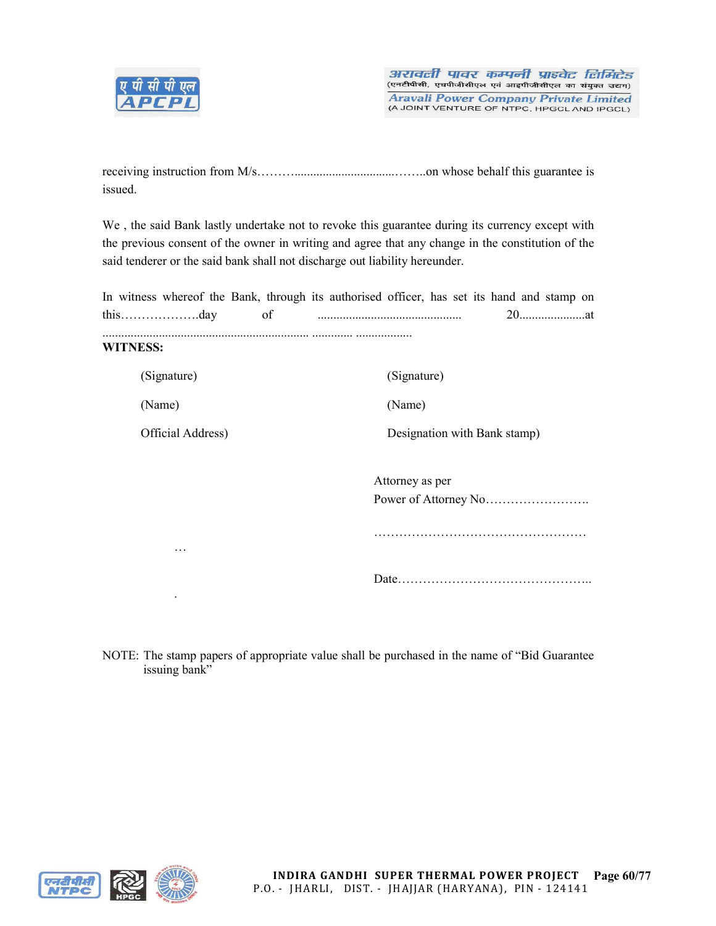

| issued. |  |  |  |
|---------|--|--|--|

We , the said Bank lastly undertake not to revoke this guarantee during its currency except with the previous consent of the owner in writing and agree that any change in the constitution of the said tenderer or the said bank shall not discharge out liability hereunder.

|                   | In witness whereof the Bank, through its authorised officer, has set its hand and stamp on |
|-------------------|--------------------------------------------------------------------------------------------|
|                   |                                                                                            |
| <b>WITNESS:</b>   |                                                                                            |
| (Signature)       | (Signature)                                                                                |
| (Name)            | (Name)                                                                                     |
| Official Address) | Designation with Bank stamp)                                                               |
|                   | Attorney as per                                                                            |
|                   |                                                                                            |
| .                 |                                                                                            |
|                   |                                                                                            |
|                   |                                                                                            |

NOTE: The stamp papers of appropriate value shall be purchased in the name of "Bid Guarantee issuing bank"

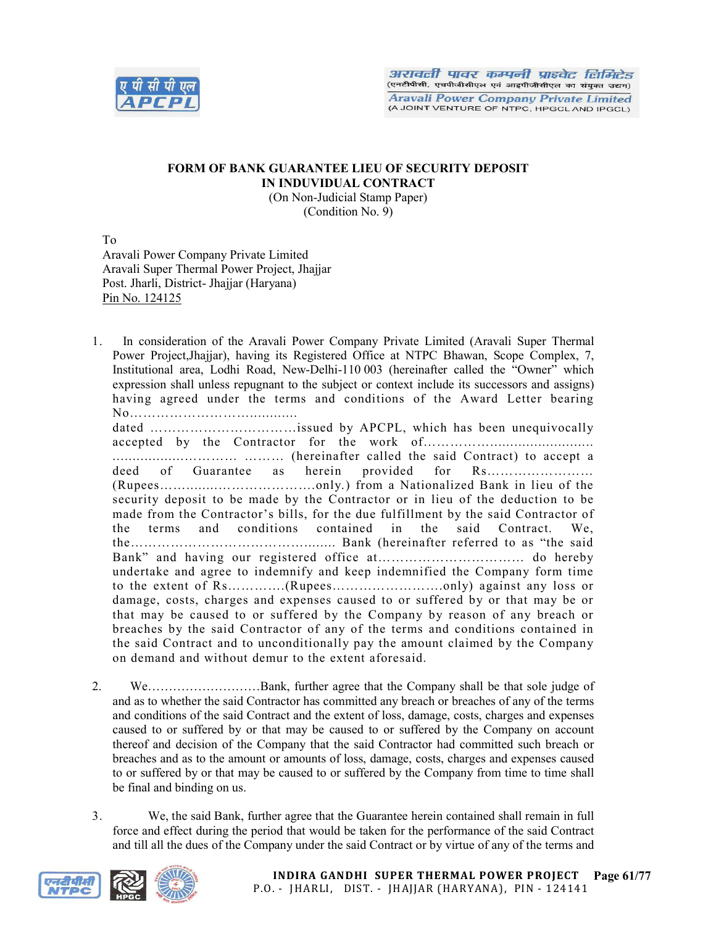

### FORM OF BANK GUARANTEE LIEU OF SECURITY DEPOSIT IN INDUVIDUAL CONTRACT (On Non-Judicial Stamp Paper)

(Condition No. 9)

To Aravali Power Company Private Limited Aravali Super Thermal Power Project, Jhajjar Post. Jharli, District- Jhajjar (Haryana) Pin No. 124125

1. In consideration of the Aravali Power Company Private Limited (Aravali Super Thermal Power Project,Jhajjar), having its Registered Office at NTPC Bhawan, Scope Complex, 7, Institutional area, Lodhi Road, New-Delhi-110 003 (hereinafter called the "Owner" which expression shall unless repugnant to the subject or context include its successors and assigns) having agreed under the terms and conditions of the Award Letter bearing No………………………………… dated ……………………………issued by APCPL, which has been unequivocally accepted by the Contractor for the work of…………….......................... ..................………… ……… (hereinafter called the said Contract) to accept a deed of Guarantee as herein provided for Rs…………………… (Rupees……........………………….only.) from a Nationalized Bank in lieu of the security deposit to be made by the Contractor or in lieu of the deduction to be made from the Contractor's bills, for the due fulfillment by the said Contractor of the terms and conditions contained in the said Contract. We, the…………………………………........ Bank (hereinafter referred to as "the said Bank" and having our registered office at…………………………… do hereby undertake and agree to indemnify and keep indemnified the Company form time to the extent of Rs………….(Rupees…………………….only) against any loss or damage, costs, charges and expenses caused to or suffered by or that may be or that may be caused to or suffered by the Company by reason of any breach or breaches by the said Contractor of any of the terms and conditions contained in

- the said Contract and to unconditionally pay the amount claimed by the Company on demand and without demur to the extent aforesaid. 2. We………………………Bank, further agree that the Company shall be that sole judge of and as to whether the said Contractor has committed any breach or breaches of any of the terms and conditions of the said Contract and the extent of loss, damage, costs, charges and expenses caused to or suffered by or that may be caused to or suffered by the Company on account thereof and decision of the Company that the said Contractor had committed such breach or
- breaches and as to the amount or amounts of loss, damage, costs, charges and expenses caused to or suffered by or that may be caused to or suffered by the Company from time to time shall be final and binding on us.
- 3. We, the said Bank, further agree that the Guarantee herein contained shall remain in full force and effect during the period that would be taken for the performance of the said Contract and till all the dues of the Company under the said Contract or by virtue of any of the terms and

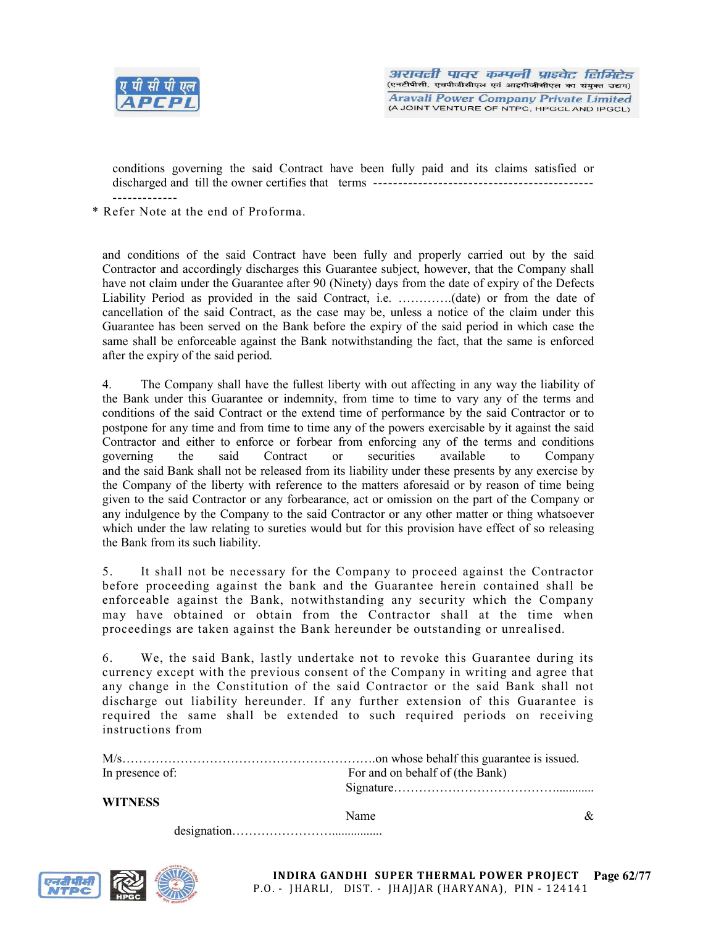

conditions governing the said Contract have been fully paid and its claims satisfied or discharged and till the owner certifies that terms -------------------------------------------- -------------

\* Refer Note at the end of Proforma.

and conditions of the said Contract have been fully and properly carried out by the said Contractor and accordingly discharges this Guarantee subject, however, that the Company shall have not claim under the Guarantee after 90 (Ninety) days from the date of expiry of the Defects Liability Period as provided in the said Contract, i.e. ………….(date) or from the date of cancellation of the said Contract, as the case may be, unless a notice of the claim under this Guarantee has been served on the Bank before the expiry of the said period in which case the same shall be enforceable against the Bank notwithstanding the fact, that the same is enforced after the expiry of the said period.

4. The Company shall have the fullest liberty with out affecting in any way the liability of the Bank under this Guarantee or indemnity, from time to time to vary any of the terms and conditions of the said Contract or the extend time of performance by the said Contractor or to postpone for any time and from time to time any of the powers exercisable by it against the said Contractor and either to enforce or forbear from enforcing any of the terms and conditions governing the said Contract or securities available to Company governing the said Contract or securities available to Company and the said Bank shall not be released from its liability under these presents by any exercise by the Company of the liberty with reference to the matters aforesaid or by reason of time being given to the said Contractor or any forbearance, act or omission on the part of the Company or any indulgence by the Company to the said Contractor or any other matter or thing whatsoever which under the law relating to sureties would but for this provision have effect of so releasing the Bank from its such liability.

5. It shall not be necessary for the Company to proceed against the Contractor before proceeding against the bank and the Guarantee herein contained shall be enforceable against the Bank, notwithstanding any security which the Company may have obtained or obtain from the Contractor shall at the time when proceedings are taken against the Bank hereunder be outstanding or unrealised.

6. We, the said Bank, lastly undertake not to revoke this Guarantee during its currency except with the previous consent of the Company in writing and agree that any change in the Constitution of the said Contractor or the said Bank shall not discharge out liability hereunder. If any further extension of this Guarantee is required the same shall be extended to such required periods on receiving instructions from

| In presence of: | For and on behalf of (the Bank) |
|-----------------|---------------------------------|
|                 |                                 |

designation……………………................

#### WITNESS

Name  $\&$ 

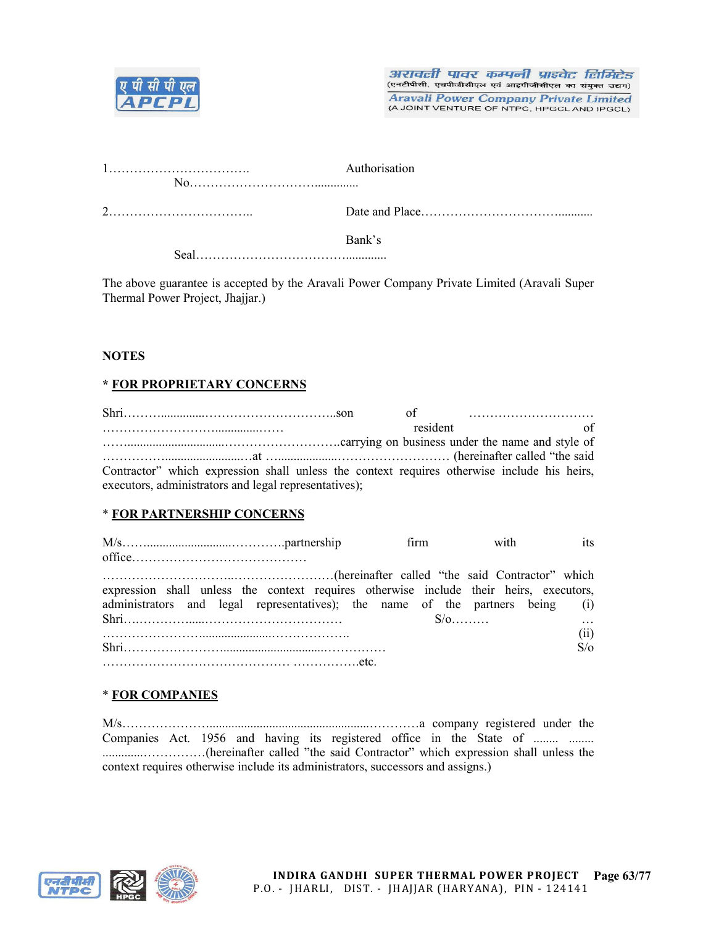

|  | Authorisation |
|--|---------------|
|  |               |
|  |               |
|  | Bank's        |
|  |               |

The above guarantee is accepted by the Aravali Power Company Private Limited (Aravali Super Thermal Power Project, Jhajjar.)

# **NOTES**

# \* FOR PROPRIETARY CONCERNS

|                                                       |          | $\sigma$ of $\ldots$ $\ldots$ $\ldots$                                                      |
|-------------------------------------------------------|----------|---------------------------------------------------------------------------------------------|
|                                                       | resident | of                                                                                          |
|                                                       |          |                                                                                             |
|                                                       |          |                                                                                             |
|                                                       |          | Contractor" which expression shall unless the context requires otherwise include his heirs, |
| executors, administrators and legal representatives); |          |                                                                                             |

# \* FOR PARTNERSHIP CONCERNS

|                                                                                        | firm | with | its        |
|----------------------------------------------------------------------------------------|------|------|------------|
| (hereinafter called "the said Contractor" which                                        |      |      |            |
| expression shall unless the context requires otherwise include their heirs, executors, |      |      |            |
| administrators and legal representatives); the name of the partners being (i)          |      |      |            |
|                                                                                        |      |      |            |
|                                                                                        |      |      | (11)       |
| Shri                                                                                   |      |      | $S/\sigma$ |
|                                                                                        |      |      |            |

# \* FOR COMPANIES

M/s…………………...................................................…………a company registered under the Companies Act. 1956 and having its registered office in the State of ........ ........ .............……………(hereinafter called "the said Contractor" which expression shall unless the context requires otherwise include its administrators, successors and assigns.)

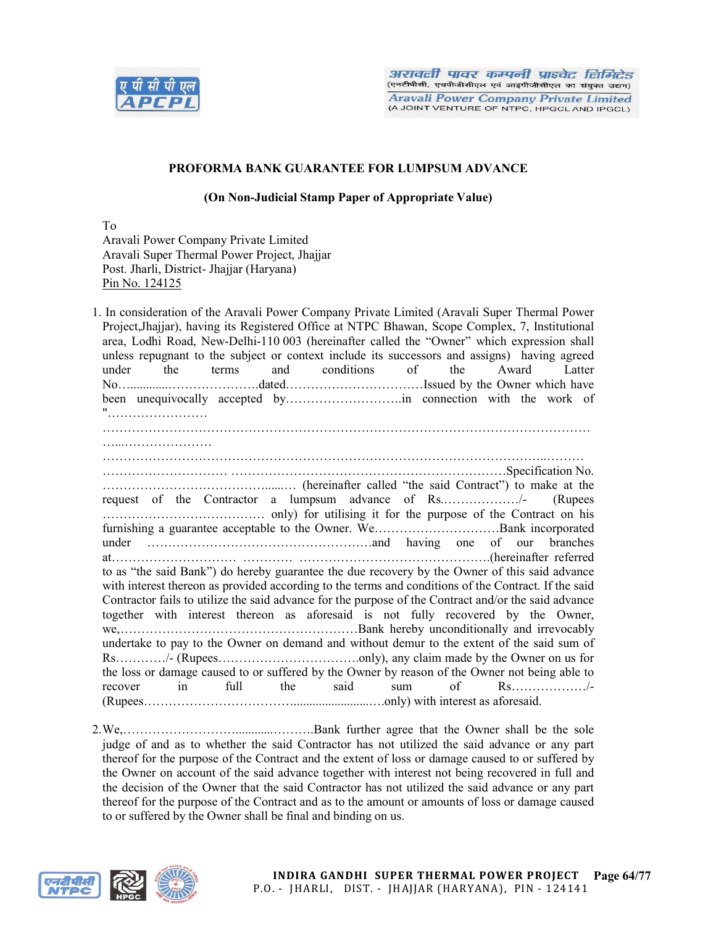

## PROFORMA BANK GUARANTEE FOR LUMPSUM ADVANCE

(On Non-Judicial Stamp Paper of Appropriate Value)

To Aravali Power Company Private Limited Aravali Super Thermal Power Project, Jhajjar Post. Jharli, District- Jhajjar (Haryana) Pin No. 124125

1. In consideration of the Aravali Power Company Private Limited (Aravali Super Thermal Power Project,Jhajjar), having its Registered Office at NTPC Bhawan, Scope Complex, 7, Institutional area, Lodhi Road, New-Delhi-110 003 (hereinafter called the "Owner" which expression shall unless repugnant to the subject or context include its successors and assigns) having agreed under the terms and conditions of the Award Latter No…............………………….dated……………………………Issued by the Owner which have been unequivocally accepted by……………………….in connection with the work of "…………………… ……………………………………………………………………………………………………… ……………………………………………………………………………………………..……… ………………………… …………………………………………………………Specification No. …………………………………......… (hereinafter called "the said Contract") to make at the request of the Contractor a lumpsum advance of Rs.………………/- (Rupees ………………………………… only) for utilising it for the purpose of the Contract on his furnishing a guarantee acceptable to the Owner. We…………………………Bank incorporated under ………………………………………………and having one of our branches at………………………… ………… ……………………………………….(hereinafter referred to as "the said Bank") do hereby guarantee the due recovery by the Owner of this said advance with interest thereon as provided according to the terms and conditions of the Contract. If the said Contractor fails to utilize the said advance for the purpose of the Contract and/or the said advance together with interest thereon as aforesaid is not fully recovered by the Owner, we,…………………………………………………Bank hereby unconditionally and irrevocably undertake to pay to the Owner on demand and without demur to the extent of the said sum of Rs…………/- (Rupees…………………………….only), any claim made by the Owner on us for the loss or damage caused to or suffered by the Owner by reason of the Owner not being able to recover in full the said sum of Rs………………/- (Rupees………………………………........................….only) with interest as aforesaid.

2.We,………………………............……….Bank further agree that the Owner shall be the sole judge of and as to whether the said Contractor has not utilized the said advance or any part thereof for the purpose of the Contract and the extent of loss or damage caused to or suffered by the Owner on account of the said advance together with interest not being recovered in full and the decision of the Owner that the said Contractor has not utilized the said advance or any part thereof for the purpose of the Contract and as to the amount or amounts of loss or damage caused to or suffered by the Owner shall be final and binding on us.

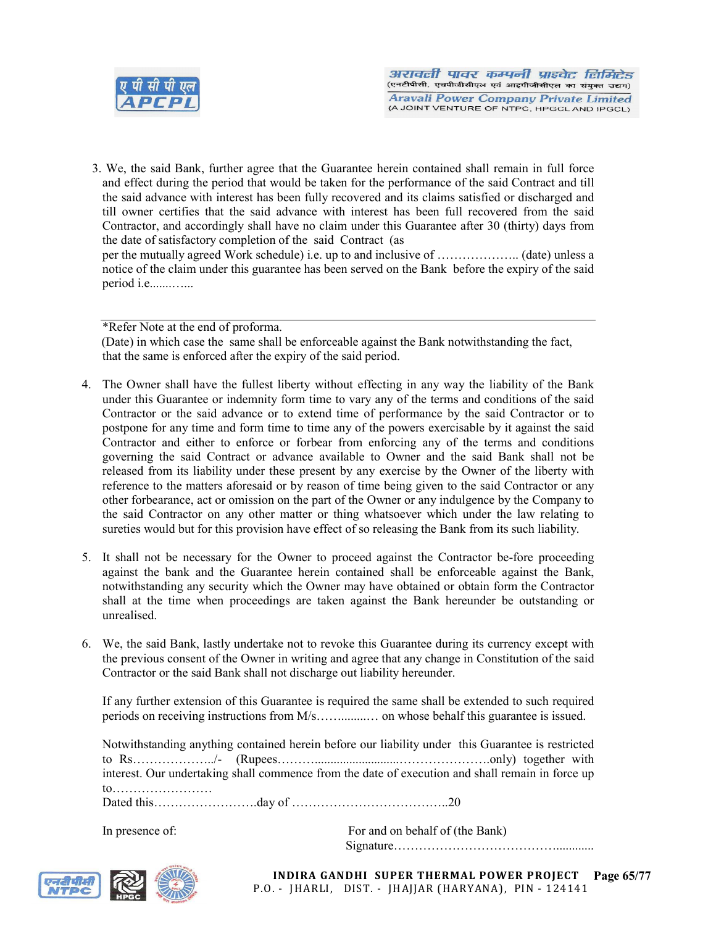

3. We, the said Bank, further agree that the Guarantee herein contained shall remain in full force and effect during the period that would be taken for the performance of the said Contract and till the said advance with interest has been fully recovered and its claims satisfied or discharged and till owner certifies that the said advance with interest has been full recovered from the said Contractor, and accordingly shall have no claim under this Guarantee after 30 (thirty) days from the date of satisfactory completion of the said Contract (as per the mutually agreed Work schedule) i.e. up to and inclusive of ……………….. (date) unless a notice of the claim under this guarantee has been served on the Bank before the expiry of the said period i.e.......…...

\*Refer Note at the end of proforma.

 (Date) in which case the same shall be enforceable against the Bank notwithstanding the fact, that the same is enforced after the expiry of the said period.

- 4. The Owner shall have the fullest liberty without effecting in any way the liability of the Bank under this Guarantee or indemnity form time to vary any of the terms and conditions of the said Contractor or the said advance or to extend time of performance by the said Contractor or to postpone for any time and form time to time any of the powers exercisable by it against the said Contractor and either to enforce or forbear from enforcing any of the terms and conditions governing the said Contract or advance available to Owner and the said Bank shall not be released from its liability under these present by any exercise by the Owner of the liberty with reference to the matters aforesaid or by reason of time being given to the said Contractor or any other forbearance, act or omission on the part of the Owner or any indulgence by the Company to the said Contractor on any other matter or thing whatsoever which under the law relating to sureties would but for this provision have effect of so releasing the Bank from its such liability.
- 5. It shall not be necessary for the Owner to proceed against the Contractor be-fore proceeding against the bank and the Guarantee herein contained shall be enforceable against the Bank, notwithstanding any security which the Owner may have obtained or obtain form the Contractor shall at the time when proceedings are taken against the Bank hereunder be outstanding or unrealised.
- 6. We, the said Bank, lastly undertake not to revoke this Guarantee during its currency except with the previous consent of the Owner in writing and agree that any change in Constitution of the said Contractor or the said Bank shall not discharge out liability hereunder.

If any further extension of this Guarantee is required the same shall be extended to such required periods on receiving instructions from M/s……........… on whose behalf this guarantee is issued.

Notwithstanding anything contained herein before our liability under this Guarantee is restricted to Rs………………../- (Rupees………...........................………………….only) together with interest. Our undertaking shall commence from the date of execution and shall remain in force up to…………………… Dated this…………………….day of ………………………………..20

In presence of: For and on behalf of (the Bank) Signature…………………………………............



Page 65/77 INDIRA GANDHI SUPER THERMAL POWER PROJECT P.O. - JHARLI, DIST. - JHAJJAR (HARYANA), PIN - 124141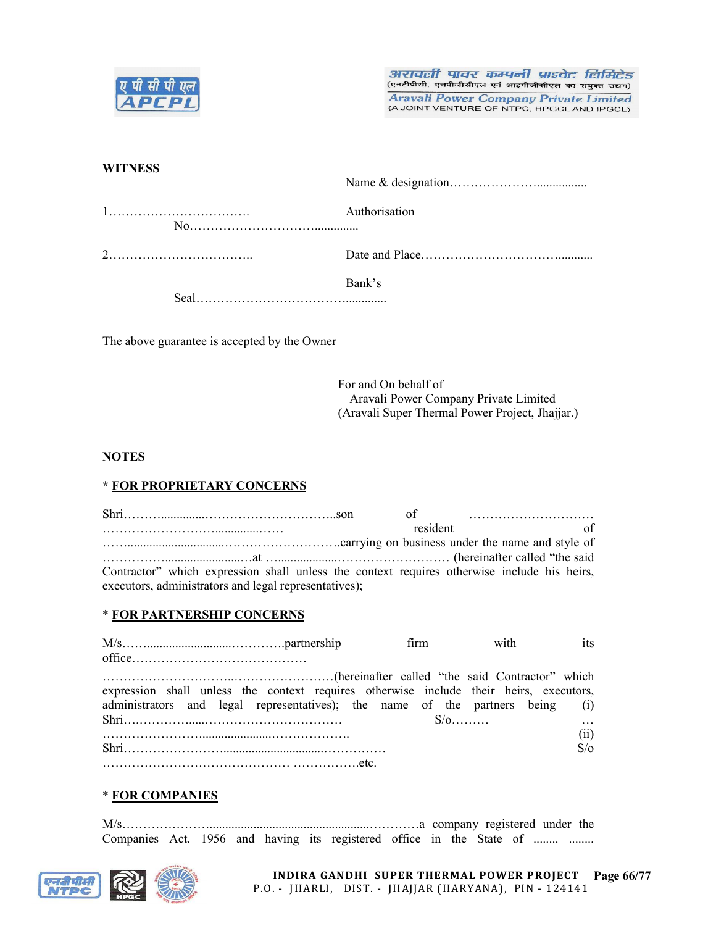

अरावली पावर कम्पनी प्राइवेट लिमिटेड (एनटीपीसी, एचपीजीसीएल एवं आइपीजीसीएल का संयुक्त उद्यम) **Aravali Power Company Private Limited** 

(A JOINT VENTURE OF NTPC, HPGCL AND IPGCL)

## **WITNESS**

|                                                                                                   | Authorisation |
|---------------------------------------------------------------------------------------------------|---------------|
|                                                                                                   |               |
| $\text{Real} \dots \dots \dots \dots \dots \dots \dots \dots \dots \dots \dots \dots \dots \dots$ | Bank's        |

The above guarantee is accepted by the Owner

For and On behalf of Aravali Power Company Private Limited (Aravali Super Thermal Power Project, Jhajjar.)

## **NOTES**

# \* FOR PROPRIETARY CONCERNS

Shri………..............…………………………..son of ………………………… ………………………..............…… resident of ……...............................……………………….carrying on business under the name and style of ……………........................…at …...................……………………… (hereinafter called "the said Contractor" which expression shall unless the context requires otherwise include his heirs, executors, administrators and legal representatives);

#### \* FOR PARTNERSHIP CONCERNS

|                                                                                        | firm to the set of the set of the set of the set of the set of the set of the set of the set of the set of the | with | its        |
|----------------------------------------------------------------------------------------|----------------------------------------------------------------------------------------------------------------|------|------------|
|                                                                                        |                                                                                                                |      |            |
|                                                                                        |                                                                                                                |      |            |
| expression shall unless the context requires otherwise include their heirs, executors, |                                                                                                                |      |            |
| administrators and legal representatives); the name of the partners being (i)          |                                                                                                                |      |            |
|                                                                                        |                                                                                                                |      |            |
|                                                                                        |                                                                                                                |      | (ii)       |
|                                                                                        |                                                                                                                |      | $S/\sigma$ |
|                                                                                        |                                                                                                                |      |            |

#### \* FOR COMPANIES

M/s…………………...................................................…………a company registered under the Companies Act. 1956 and having its registered office in the State of ........ ........

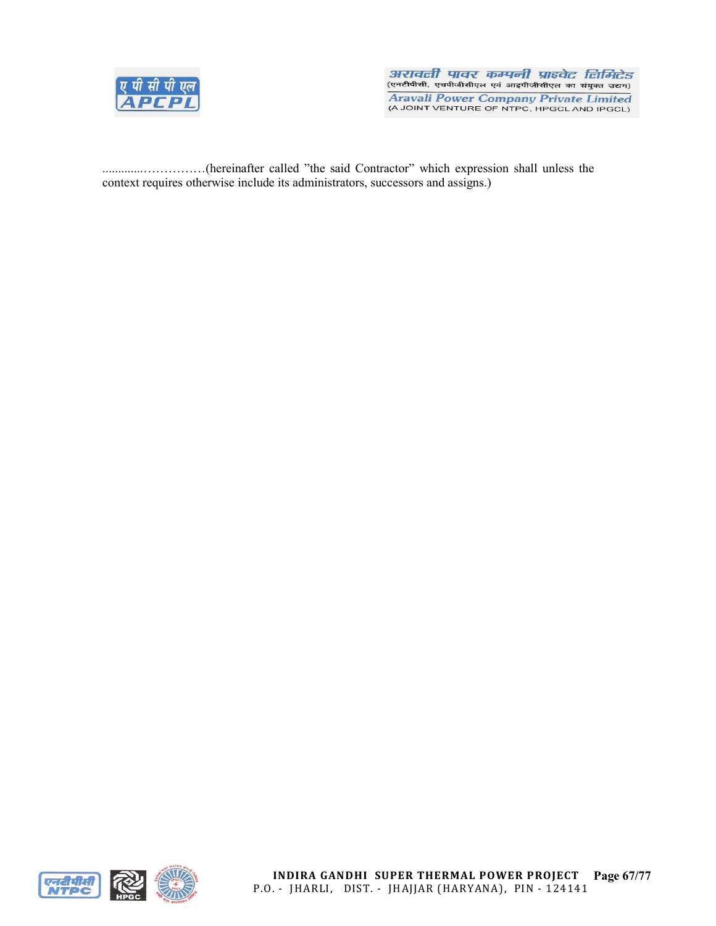

अरावली पावर कम्पनी प्राइवेट लिमिटेड पर नामा गायर नगर नगर आरम्भा समागरित<br>(एनटीपीसी, एचपीजीसीएल एवं आइपीजीसीएल का संयुक्त उद्यम) **Aravali Power Company Private Limited** (A JOINT VENTURE OF NTPC, HPGCL AND IPGCL)

.............……………(hereinafter called "the said Contractor" which expression shall unless the context requires otherwise include its administrators, successors and assigns.)



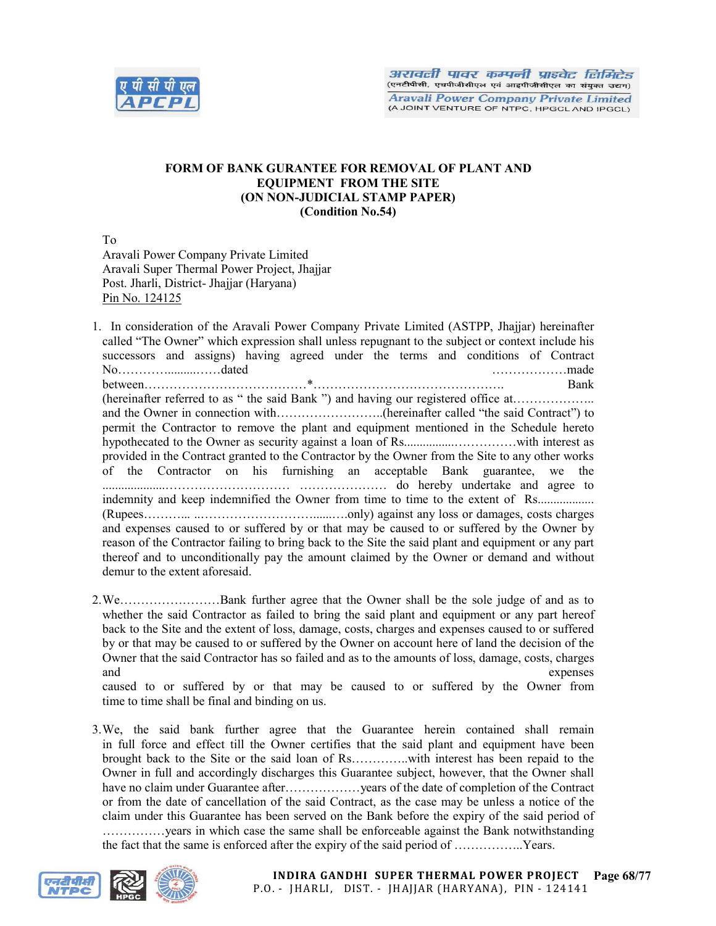

# FORM OF BANK GURANTEE FOR REMOVAL OF PLANT AND EQUIPMENT FROM THE SITE (ON NON-JUDICIAL STAMP PAPER) (Condition No.54)

To

Aravali Power Company Private Limited Aravali Super Thermal Power Project, Jhajjar Post. Jharli, District- Jhajjar (Haryana) Pin No. 124125

1. In consideration of the Aravali Power Company Private Limited (ASTPP, Jhajjar) hereinafter called "The Owner" which expression shall unless repugnant to the subject or context include his successors and assigns) having agreed under the terms and conditions of Contract No………….........……dated ………………made between…………………………………\*………………………………………. Bank (hereinafter referred to as " the said Bank ") and having our registered office at………………. and the Owner in connection with……………………..(hereinafter called "the said Contract") to permit the Contractor to remove the plant and equipment mentioned in the Schedule hereto hypothecated to the Owner as security against a loan of Rs................……………with interest as provided in the Contract granted to the Contractor by the Owner from the Site to any other works of the Contractor on his furnishing an acceptable Bank guarantee, we the ....................………………………… ………………… do hereby undertake and agree to indemnity and keep indemnified the Owner from time to time to the extent of Rs................... (Rupees………... ..………………………......….only) against any loss or damages, costs charges and expenses caused to or suffered by or that may be caused to or suffered by the Owner by reason of the Contractor failing to bring back to the Site the said plant and equipment or any part thereof and to unconditionally pay the amount claimed by the Owner or demand and without demur to the extent aforesaid.

2.We……………………Bank further agree that the Owner shall be the sole judge of and as to whether the said Contractor as failed to bring the said plant and equipment or any part hereof back to the Site and the extent of loss, damage, costs, charges and expenses caused to or suffered by or that may be caused to or suffered by the Owner on account here of land the decision of the Owner that the said Contractor has so failed and as to the amounts of loss, damage, costs, charges and expenses

caused to or suffered by or that may be caused to or suffered by the Owner from time to time shall be final and binding on us.

3.We, the said bank further agree that the Guarantee herein contained shall remain in full force and effect till the Owner certifies that the said plant and equipment have been brought back to the Site or the said loan of Rs…………..with interest has been repaid to the Owner in full and accordingly discharges this Guarantee subject, however, that the Owner shall have no claim under Guarantee after………………… years of the date of completion of the Contract or from the date of cancellation of the said Contract, as the case may be unless a notice of the claim under this Guarantee has been served on the Bank before the expiry of the said period of ……………years in which case the same shall be enforceable against the Bank notwithstanding the fact that the same is enforced after the expiry of the said period of ……………..Years.

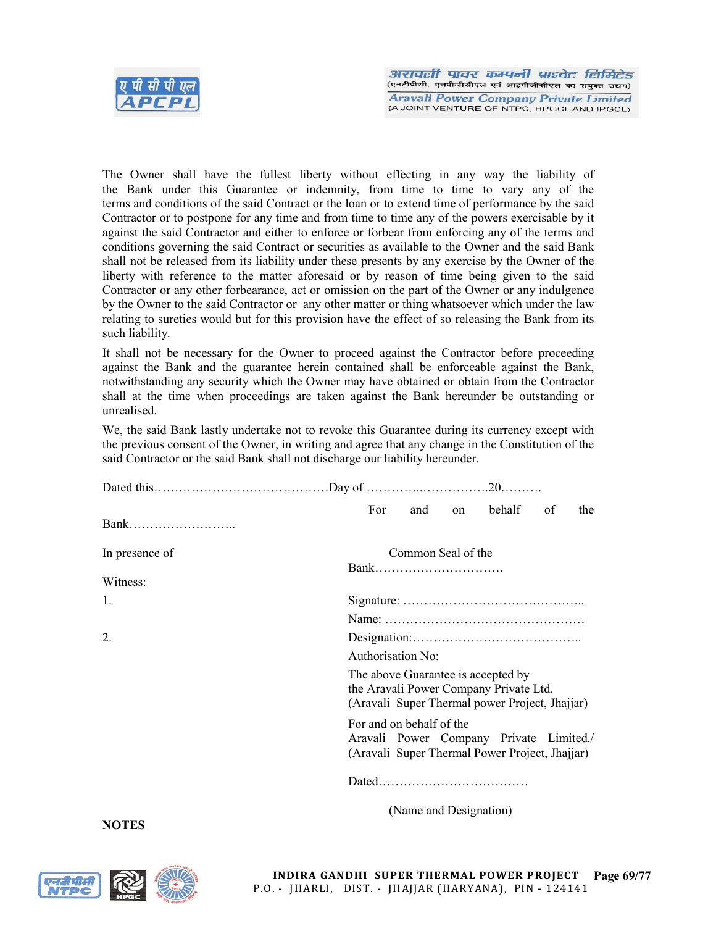

The Owner shall have the fullest liberty without effecting in any way the liability of the Bank under this Guarantee or indemnity, from time to time to vary any of the terms and conditions of the said Contract or the loan or to extend time of performance by the said Contractor or to postpone for any time and from time to time any of the powers exercisable by it against the said Contractor and either to enforce or forbear from enforcing any of the terms and conditions governing the said Contract or securities as available to the Owner and the said Bank shall not be released from its liability under these presents by any exercise by the Owner of the liberty with reference to the matter aforesaid or by reason of time being given to the said Contractor or any other forbearance, act or omission on the part of the Owner or any indulgence by the Owner to the said Contractor or any other matter or thing whatsoever which under the law relating to sureties would but for this provision have the effect of so releasing the Bank from its such liability.

It shall not be necessary for the Owner to proceed against the Contractor before proceeding against the Bank and the guarantee herein contained shall be enforceable against the Bank, notwithstanding any security which the Owner may have obtained or obtain from the Contractor shall at the time when proceedings are taken against the Bank hereunder be outstanding or unrealised.

We, the said Bank lastly undertake not to revoke this Guarantee during its currency except with the previous consent of the Owner, in writing and agree that any change in the Constitution of the said Contractor or the said Bank shall not discharge our liability hereunder.

|                  | For<br>on behalf<br>and<br>of<br>the                                                      |  |  |  |  |  |  |  |
|------------------|-------------------------------------------------------------------------------------------|--|--|--|--|--|--|--|
|                  |                                                                                           |  |  |  |  |  |  |  |
| In presence of   | Common Seal of the                                                                        |  |  |  |  |  |  |  |
|                  | Bank                                                                                      |  |  |  |  |  |  |  |
| Witness:         |                                                                                           |  |  |  |  |  |  |  |
| 1.               |                                                                                           |  |  |  |  |  |  |  |
|                  |                                                                                           |  |  |  |  |  |  |  |
| $\overline{2}$ . |                                                                                           |  |  |  |  |  |  |  |
|                  | Authorisation No:                                                                         |  |  |  |  |  |  |  |
|                  | The above Guarantee is accepted by                                                        |  |  |  |  |  |  |  |
|                  | the Aravali Power Company Private Ltd.<br>(Aravali Super Thermal power Project, Jhajjar)  |  |  |  |  |  |  |  |
|                  | For and on behalf of the                                                                  |  |  |  |  |  |  |  |
|                  | Aravali Power Company Private Limited./<br>(Aravali Super Thermal Power Project, Jhajjar) |  |  |  |  |  |  |  |
|                  |                                                                                           |  |  |  |  |  |  |  |
| NATES            | (Name and Designation)                                                                    |  |  |  |  |  |  |  |

NOTES



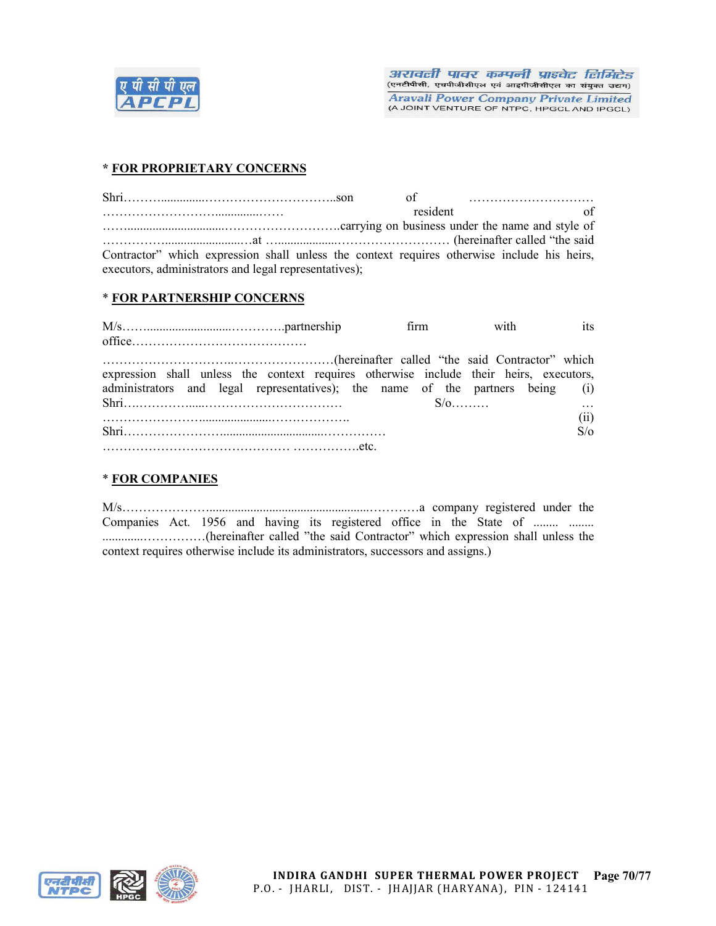

# \* FOR PROPRIETARY CONCERNS

|                                                                                                                                                      |  |          |  | $\sigma$ of $\ldots$ $\ldots$ $\ldots$ $\ldots$ $\ldots$ |  |
|------------------------------------------------------------------------------------------------------------------------------------------------------|--|----------|--|----------------------------------------------------------|--|
|                                                                                                                                                      |  | resident |  |                                                          |  |
|                                                                                                                                                      |  |          |  |                                                          |  |
|                                                                                                                                                      |  |          |  |                                                          |  |
| Contractor" which expression shall unless the context requires otherwise include his heirs,<br>executors, administrators and legal representatives); |  |          |  |                                                          |  |

## \* FOR PARTNERSHIP CONCERNS

|                                                                                        |  | firm with | its        |
|----------------------------------------------------------------------------------------|--|-----------|------------|
|                                                                                        |  |           |            |
|                                                                                        |  |           |            |
| expression shall unless the context requires otherwise include their heirs, executors, |  |           |            |
| administrators and legal representatives); the name of the partners being (i)          |  |           |            |
|                                                                                        |  |           |            |
|                                                                                        |  |           | (i)        |
|                                                                                        |  |           | $S/\alpha$ |
|                                                                                        |  |           |            |

# \* FOR COMPANIES

M/s…………………...................................................…………a company registered under the Companies Act. 1956 and having its registered office in the State of ........ ........ .............……………(hereinafter called "the said Contractor" which expression shall unless the context requires otherwise include its administrators, successors and assigns.)



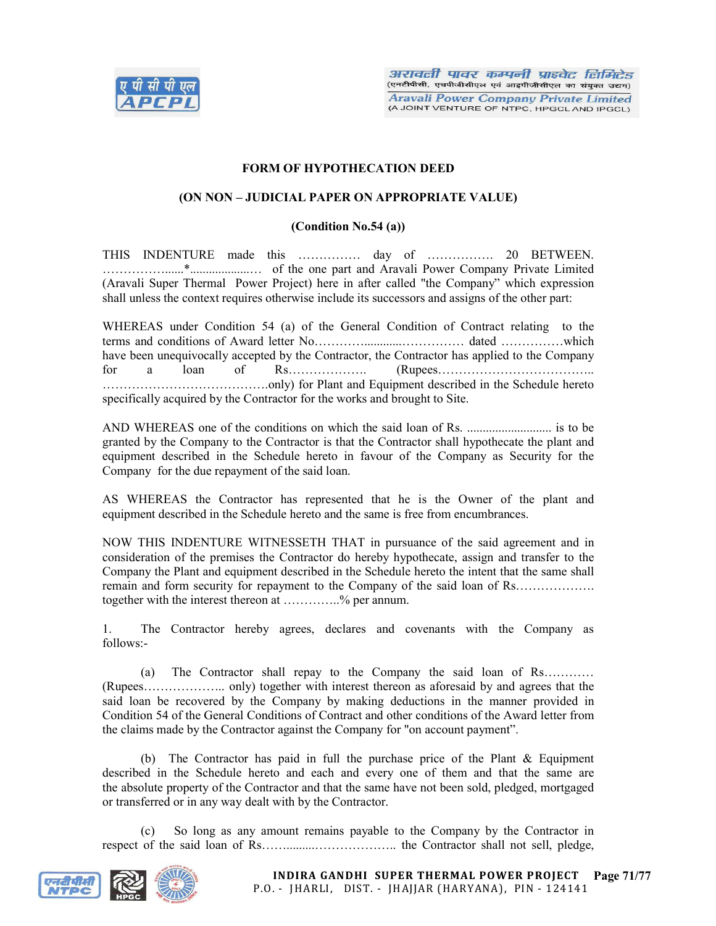

## FORM OF HYPOTHECATION DEED

### (ON NON – JUDICIAL PAPER ON APPROPRIATE VALUE)

#### (Condition No.54 (a))

THIS INDENTURE made this …………… day of ……………. 20 BETWEEN. ……………......\*...................… of the one part and Aravali Power Company Private Limited (Aravali Super Thermal Power Project) here in after called "the Company" which expression shall unless the context requires otherwise include its successors and assigns of the other part:

WHEREAS under Condition 54 (a) of the General Condition of Contract relating to the terms and conditions of Award letter No…………............…………… dated ……………which have been unequivocally accepted by the Contractor, the Contractor has applied to the Company for a loan of Rs………………. (Rupees……………………………….. ………………………………….only) for Plant and Equipment described in the Schedule hereto specifically acquired by the Contractor for the works and brought to Site.

AND WHEREAS one of the conditions on which the said loan of Rs. ........................... is to be granted by the Company to the Contractor is that the Contractor shall hypothecate the plant and equipment described in the Schedule hereto in favour of the Company as Security for the Company for the due repayment of the said loan.

AS WHEREAS the Contractor has represented that he is the Owner of the plant and equipment described in the Schedule hereto and the same is free from encumbrances.

NOW THIS INDENTURE WITNESSETH THAT in pursuance of the said agreement and in consideration of the premises the Contractor do hereby hypothecate, assign and transfer to the Company the Plant and equipment described in the Schedule hereto the intent that the same shall remain and form security for repayment to the Company of the said loan of Rs……………… together with the interest thereon at …………..% per annum.

1. The Contractor hereby agrees, declares and covenants with the Company as follows:-

(a) The Contractor shall repay to the Company the said loan of Rs………… (Rupees……………….. only) together with interest thereon as aforesaid by and agrees that the said loan be recovered by the Company by making deductions in the manner provided in Condition 54 of the General Conditions of Contract and other conditions of the Award letter from the claims made by the Contractor against the Company for "on account payment".

(b) The Contractor has paid in full the purchase price of the Plant & Equipment described in the Schedule hereto and each and every one of them and that the same are the absolute property of the Contractor and that the same have not been sold, pledged, mortgaged or transferred or in any way dealt with by the Contractor.

(c) So long as any amount remains payable to the Company by the Contractor in respect of the said loan of Rs…….........……………….. the Contractor shall not sell, pledge,

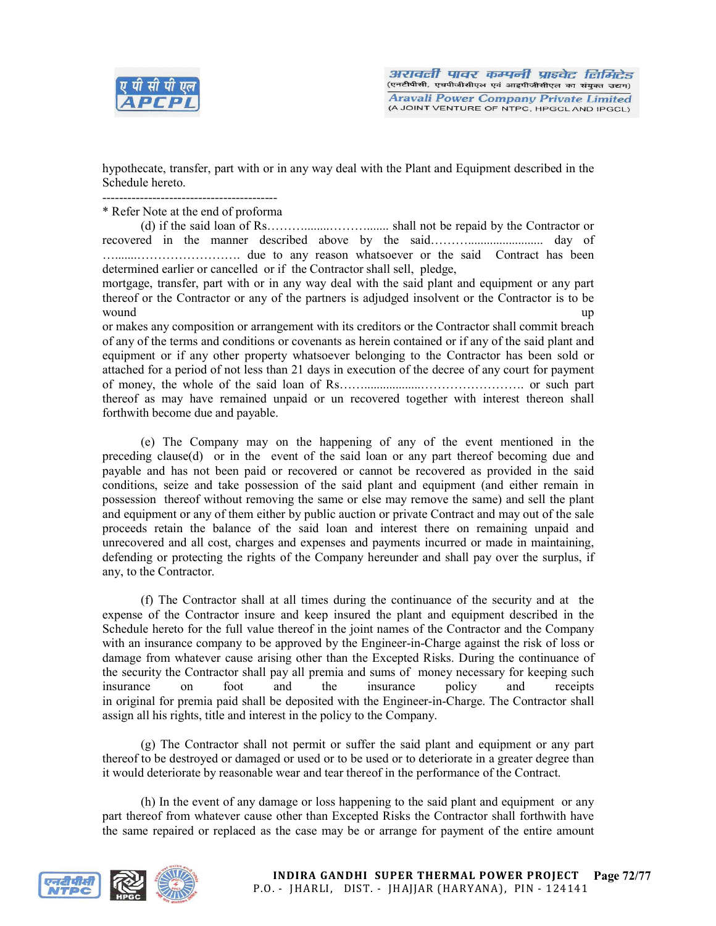

hypothecate, transfer, part with or in any way deal with the Plant and Equipment described in the Schedule hereto.

------------------------------------------

\* Refer Note at the end of proforma

(d) if the said loan of Rs………........………....... shall not be repaid by the Contractor or recovered in the manner described above by the said………........................ day of ….......……………………. due to any reason whatsoever or the said Contract has been determined earlier or cancelled or if the Contractor shall sell, pledge,

mortgage, transfer, part with or in any way deal with the said plant and equipment or any part thereof or the Contractor or any of the partners is adjudged insolvent or the Contractor is to be wound the contract of the contract of the contract of the contract of the contract of the contract of the contract of the contract of the contract of the contract of the contract of the contract of the contract of the cont

or makes any composition or arrangement with its creditors or the Contractor shall commit breach of any of the terms and conditions or covenants as herein contained or if any of the said plant and equipment or if any other property whatsoever belonging to the Contractor has been sold or attached for a period of not less than 21 days in execution of the decree of any court for payment of money, the whole of the said loan of Rs……..................……………………. or such part thereof as may have remained unpaid or un recovered together with interest thereon shall forthwith become due and payable.

(e) The Company may on the happening of any of the event mentioned in the preceding clause(d) or in the event of the said loan or any part thereof becoming due and payable and has not been paid or recovered or cannot be recovered as provided in the said conditions, seize and take possession of the said plant and equipment (and either remain in possession thereof without removing the same or else may remove the same) and sell the plant and equipment or any of them either by public auction or private Contract and may out of the sale proceeds retain the balance of the said loan and interest there on remaining unpaid and unrecovered and all cost, charges and expenses and payments incurred or made in maintaining, defending or protecting the rights of the Company hereunder and shall pay over the surplus, if any, to the Contractor.

(f) The Contractor shall at all times during the continuance of the security and at the expense of the Contractor insure and keep insured the plant and equipment described in the Schedule hereto for the full value thereof in the joint names of the Contractor and the Company with an insurance company to be approved by the Engineer-in-Charge against the risk of loss or damage from whatever cause arising other than the Excepted Risks. During the continuance of the security the Contractor shall pay all premia and sums of money necessary for keeping such insurance on foot and the insurance policy and receipts in original for premia paid shall be deposited with the Engineer-in-Charge. The Contractor shall assign all his rights, title and interest in the policy to the Company.

(g) The Contractor shall not permit or suffer the said plant and equipment or any part thereof to be destroyed or damaged or used or to be used or to deteriorate in a greater degree than it would deteriorate by reasonable wear and tear thereof in the performance of the Contract.

(h) In the event of any damage or loss happening to the said plant and equipment or any part thereof from whatever cause other than Excepted Risks the Contractor shall forthwith have the same repaired or replaced as the case may be or arrange for payment of the entire amount

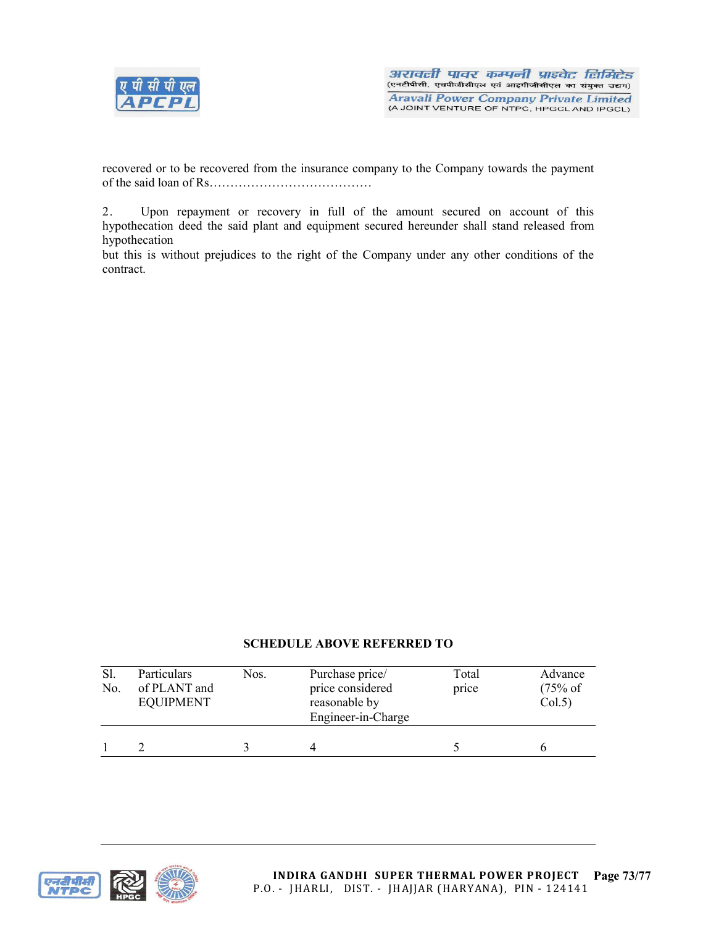

recovered or to be recovered from the insurance company to the Company towards the payment of the said loan of Rs…………………………………

2. Upon repayment or recovery in full of the amount secured on account of this hypothecation deed the said plant and equipment secured hereunder shall stand released from hypothecation

but this is without prejudices to the right of the Company under any other conditions of the contract.

# SCHEDULE ABOVE REFERRED TO

| Sl.<br>No. | Particulars<br>of PLANT and<br><b>EQUIPMENT</b> | Nos. | Purchase price/<br>price considered<br>reasonable by<br>Engineer-in-Charge | Total<br>price | Advance<br>$(75% \text{ of }$<br>Col.5) |
|------------|-------------------------------------------------|------|----------------------------------------------------------------------------|----------------|-----------------------------------------|
|            |                                                 |      |                                                                            |                |                                         |



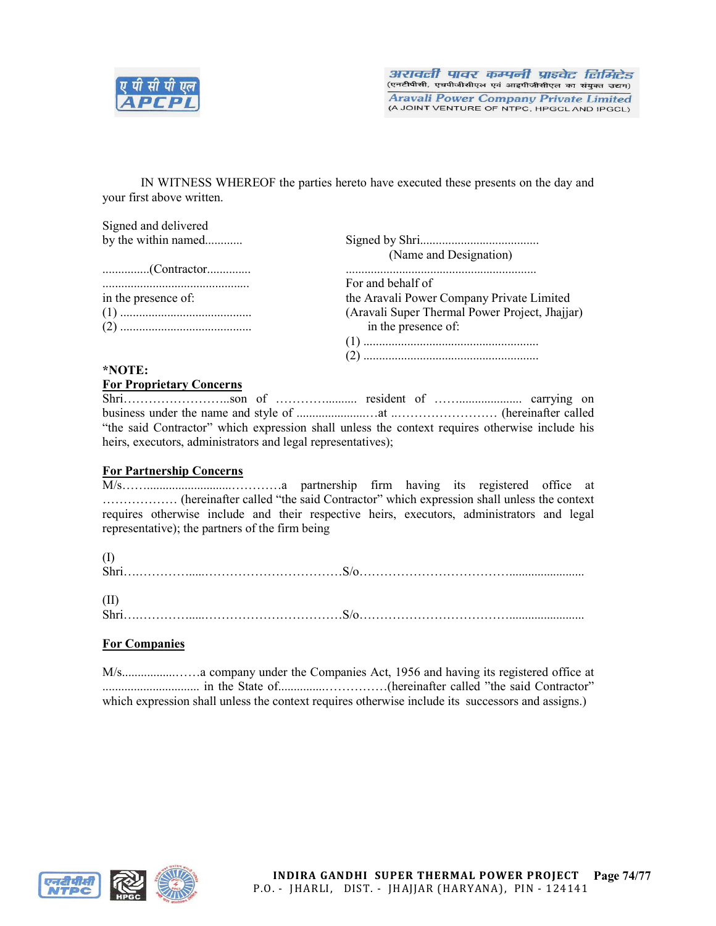

IN WITNESS WHEREOF the parties hereto have executed these presents on the day and your first above written.

Signed and delivered by the within named............ Signed by Shri...................................... (Name and Designation) ...............(Contractor.............. ............................................................. ............................................... For and behalf of the Aravali Power Company Private Limited (1) .......................................... (Aravali Super Thermal Power Project, Jhajjar) (2) .......................................... in the presence of: (1) ........................................................ (2) ........................................................

# \*NOTE:

## For Proprietary Concerns

| "the said Contractor" which expression shall unless the context requires otherwise include his |  |  |  |
|------------------------------------------------------------------------------------------------|--|--|--|
| heirs, executors, administrators and legal representatives);                                   |  |  |  |

## For Partnership Concerns

M/s……...........................…………a partnership firm having its registered office at ……………… (hereinafter called "the said Contractor" which expression shall unless the context requires otherwise include and their respective heirs, executors, administrators and legal representative); the partners of the firm being

| <b>Shri</b> |  |
|-------------|--|
|             |  |

(II) Shri….………….....……………………………S/o………………………………........................

## For Companies

M/s.................……a company under the Companies Act, 1956 and having its registered office at ............................... in the State of...............……………(hereinafter called "the said Contractor" which expression shall unless the context requires otherwise include its successors and assigns.)



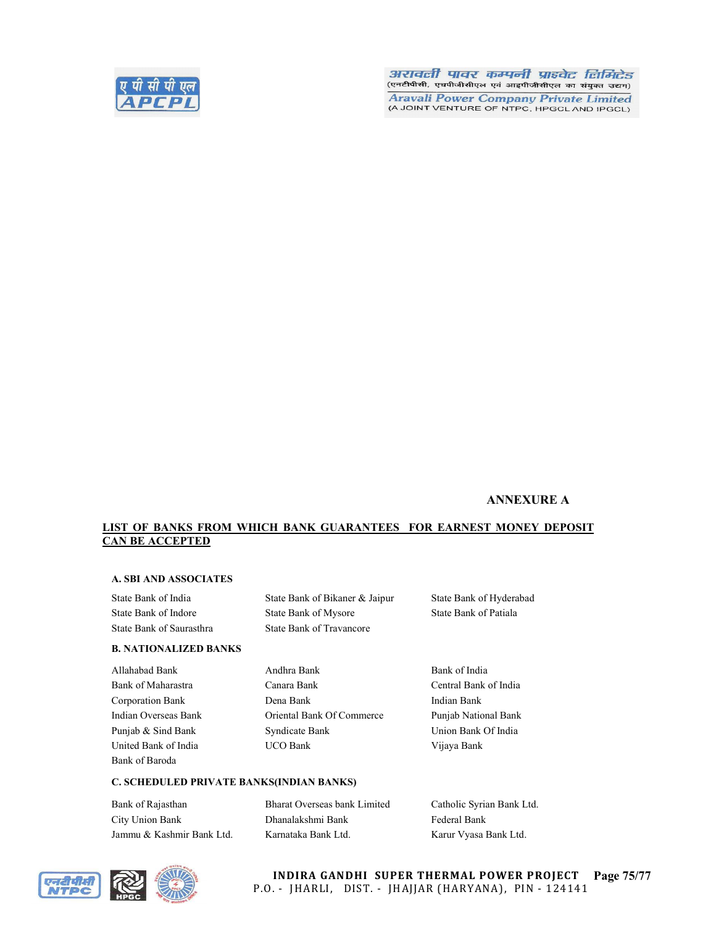

#### अरावली पावर कम्पनी प्राइवेट लिमिटेड (एनटीपीसी, एचपीजीसीएल एवं आइपीजीसीएल का संयुक्त उद्यम)

**Aravali Power Company Private Limited** (A JOINT VENTURE OF NTPC, HPGCL AND IPGCL)

## ANNEXURE A

#### LIST OF BANKS FROM WHICH BANK GUARANTEES FOR EARNEST MONEY DEPOSIT CAN BE ACCEPTED

## A. SBI AND ASSOCIATES

## B. NATIONALIZED BANKS

Bank of Baroda

## State Bank of India State Bank of Bikaner & Jaipur State Bank of Hyderabad State Bank of Indore State Bank of Mysore State Bank of Patiala State Bank of Saurasthra State Bank of Travancore

Allahabad Bank **Andhra Bank** Bank Bank of India Bank of Maharastra Canara Bank Central Bank of India Corporation Bank Dena Bank Indian Bank Indian Overseas Bank Oriental Bank Of Commerce Punjab National Bank Punjab & Sind Bank Syndicate Bank Union Bank Of India United Bank of India UCO Bank Vijaya Bank

#### C. SCHEDULED PRIVATE BANKS(INDIAN BANKS)

| Bank of Rajasthan         | Bharat Overseas bank Limited | Catholic Syrian Bank Ltd. |
|---------------------------|------------------------------|---------------------------|
| City Union Bank           | Dhanalakshmi Bank            | Federal Bank              |
| Jammu & Kashmir Bank Ltd. | Karnataka Bank Ltd.          | Karur Vyasa Bank Ltd.     |



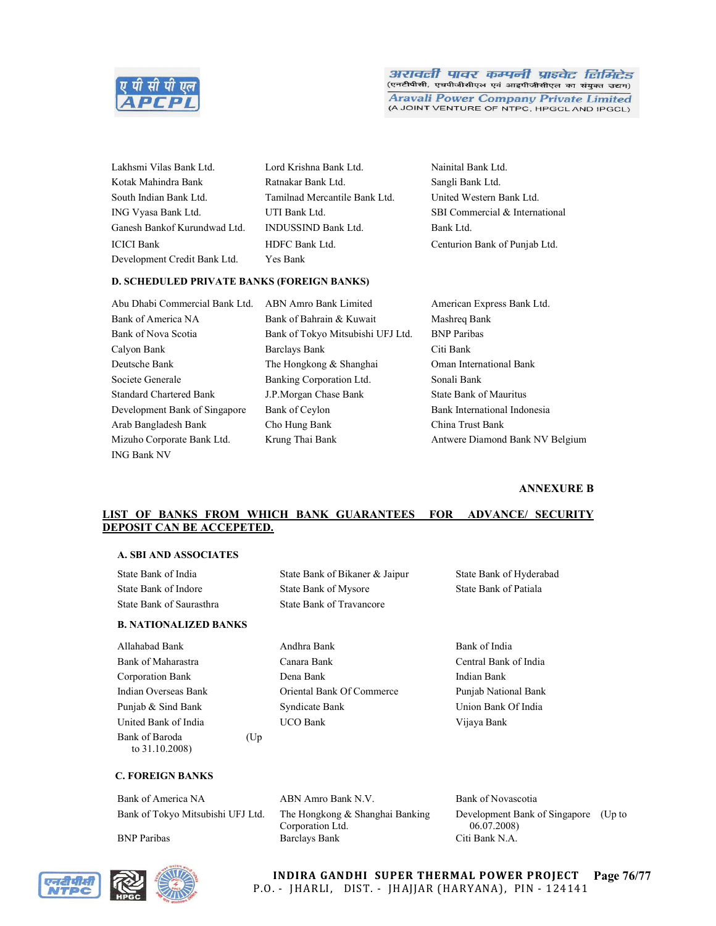

#### अरावली पावर कम्पनी प्राइवेट लिमिटेड (एनटीपीसी, एचपीजीसीएल एवं आइपीजीसीएल का संयुक्त उद्यम)

**Aravali Power Company Private Limited** (A JOINT VENTURE OF NTPC, HPGCL AND IPGCL)

| Lakhsmi Vilas Bank Ltd.      | Lord Krishna Bank Ltd.        | Nainital B |
|------------------------------|-------------------------------|------------|
| Kotak Mahindra Bank          | Ratnakar Bank Ltd.            | Sangli Ba  |
| South Indian Bank Ltd.       | Tamilnad Mercantile Bank Ltd. | United W   |
| ING Vyasa Bank Ltd.          | UTI Bank Ltd.                 | SBI Com    |
| Ganesh Bankof Kurundwad Ltd. | <b>INDUSSIND Bank Ltd.</b>    | Bank Ltd.  |
| ICICI Bank                   | HDFC Bank Ltd.                | Centurion  |
| Development Credit Bank Ltd. | Yes Bank                      |            |

nk Ltd. Nainital Bank Ltd. td. Sangli Bank Ltd. ntile Bank Ltd. United Western Bank Ltd. SBI Commercial & International Centurion Bank of Punjab Ltd.

#### D. SCHEDULED PRIVATE BANKS (FOREIGN BANKS)

Abu Dhabi Commercial Bank Ltd. ABN Amro Bank Limited American Express Bank Ltd. Bank of America NA Bank of Bahrain & Kuwait Mashreq Bank Bank of Nova Scotia Bank of Tokyo Mitsubishi UFJ Ltd. BNP Paribas Calyon Bank Barclays Bank Citi Bank Deutsche Bank The Hongkong & Shanghai Oman International Bank Societe Generale Banking Corporation Ltd. Sonali Bank Standard Chartered Bank J.P.Morgan Chase Bank State Bank State Bank of Mauritus Development Bank of Singapore Bank of Ceylon Bank International Indonesia Arab Bangladesh Bank Cho Hung Bank China Trust Bank Mizuho Corporate Bank Ltd. Krung Thai Bank Antwere Diamond Bank NV Belgium ING Bank NV

#### ANNEXURE B

## LIST OF BANKS FROM WHICH BANK GUARANTEES FOR ADVANCE/ SECURITY DEPOSIT CAN BE ACCEPETED.

#### A. SBI AND ASSOCIATES

| State Bank of India                 |      | State Bank of Bikaner & Jaipur  | State Bank of Hyderabad |
|-------------------------------------|------|---------------------------------|-------------------------|
| State Bank of Indore                |      | <b>State Bank of Mysore</b>     | State Bank of Patiala   |
| State Bank of Saurasthra            |      | <b>State Bank of Travancore</b> |                         |
| <b>B. NATIONALIZED BANKS</b>        |      |                                 |                         |
| Allahabad Bank                      |      | Andhra Bank                     | Bank of India           |
| Bank of Maharastra                  |      | Canara Bank                     | Central Bank of India   |
| Corporation Bank                    |      | Dena Bank                       | Indian Bank             |
| Indian Overseas Bank                |      | Oriental Bank Of Commerce       | Punjab National Bank    |
| Punjab & Sind Bank                  |      | Syndicate Bank                  | Union Bank Of India     |
| United Bank of India                |      | <b>UCO</b> Bank                 | Vijaya Bank             |
| Bank of Baroda<br>to $31.10.2008$ ) | (Up) |                                 |                         |

Bank of America NA ABN Amro Bank N.V. Bank of Novascotia Bank of Tokyo Mitsubishi UFJ Ltd. The Hongkong & Shanghai Banking





Corporation Ltd. BNP Paribas Barclays Bank Citi Bank N.A.

Development Bank of Singapore (Up to 06.07.2008)